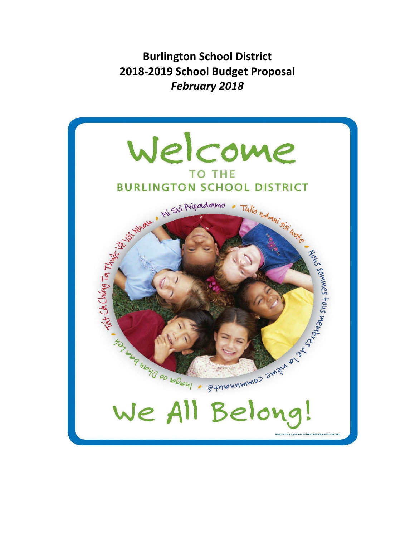**Burlington School District 2018‐2019 School Budget Proposal** *February 2018*

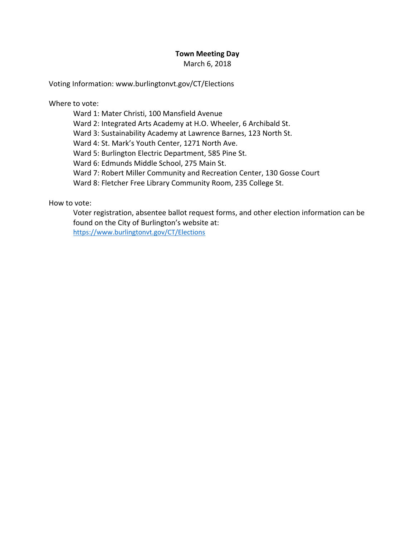### **Town Meeting Day**

March 6, 2018

Voting Information: www.burlingtonvt.gov/CT/Elections

Where to vote:

Ward 1: Mater Christi, 100 Mansfield Avenue

Ward 2: Integrated Arts Academy at H.O. Wheeler, 6 Archibald St.

Ward 3: Sustainability Academy at Lawrence Barnes, 123 North St.

Ward 4: St. Mark's Youth Center, 1271 North Ave.

Ward 5: Burlington Electric Department, 585 Pine St.

Ward 6: Edmunds Middle School, 275 Main St.

Ward 7: Robert Miller Community and Recreation Center, 130 Gosse Court

Ward 8: Fletcher Free Library Community Room, 235 College St.

How to vote:

Voter registration, absentee ballot request forms, and other election information can be found on the City of Burlington's website at: https://www.burlingtonvt.gov/CT/Elections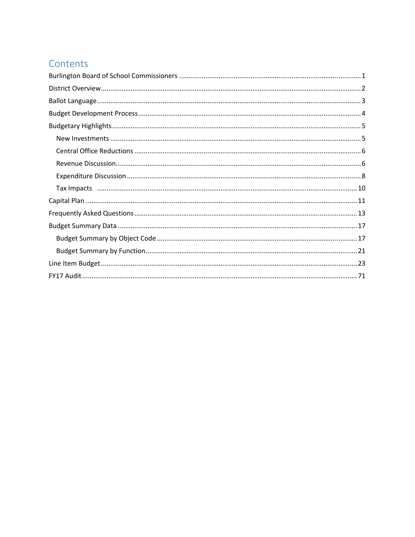# Contents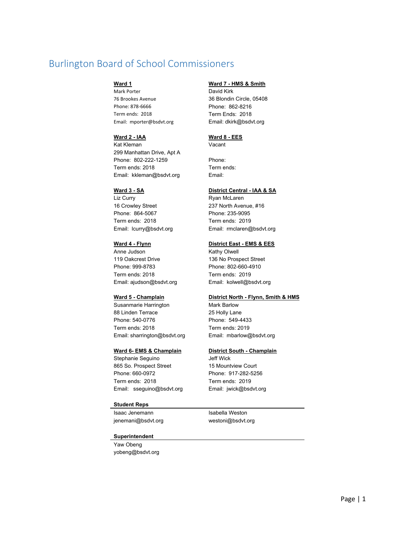# Burlington Board of School Commissioners

Mark Porter **David Kirk** 76 Brookes Avenue 36 Blondin Circle, 05408 Phone: 878-6666 Phone: 862-8216 Term ends: 2018 Term Ends: 2018 Email: mporter@bsdvt.org Email: dkirk@bsdvt.org

#### **Ward 2 - IAA Ward 8 - EES**

Kat Kleman Vacant 299 Manhattan Drive, Apt A Phone: 802-222-1259 Phone: Term ends: 2018 Term ends: Email: kkleman@bsdvt.org Email:

Liz Curry **Ryan McLaren** 16 Crowley Street 237 North Avenue, #16 Phone: 864-5067 Phone: 235-9095 Term ends: 2018 Term ends: 2019 Email: lcurry@bsdvt.org Email: rmclaren@bsdvt.org

# Anne Judson **Kathy Olwell** 119 Oakcrest Drive 136 No Prospect Street Phone: 999-8783 Phone: 802-660-4910 Term ends: 2018 Term ends: 2019

Susanmarie Harrington Mark Barlow 88 Linden Terrace 25 Holly Lane Phone: 540-0776 Phone: 549-4433 Term ends: 2018 Term ends: 2019 Email: sharrington@bsdvt.org Email: mbarlow@bsdvt.org

Stephanie Seguino **Jeff Wick** 865 So. Prospect Street 15 Mountview Court Phone: 660-0972 Phone: 917-282-5256 Term ends: 2018 Term ends: 2019 Email: sseguino@bsdvt.org Email: jwick@bsdvt.org

#### **Student Reps**

Isaac Jenemann **Isabella** Weston jenemani@bsdvt.org westoni@bsdvt.org

### **Ward 1 Ward 7 - HMS & Smith**

### **Ward 3 - SA District Central - IAA & SA**

#### **Ward 4 - Flynn Company Company Company Company District East - EMS & EES**

Email: ajudson@bsdvt.org Email: kolwell@bsdvt.org

### Ward 5 - Champlain **District North - Flynn, Smith & HMS**

#### **Ward 6- EMS & Champlain District South - Champlain**

#### **Superintendent**

Yaw Obeng yobeng@bsdvt.org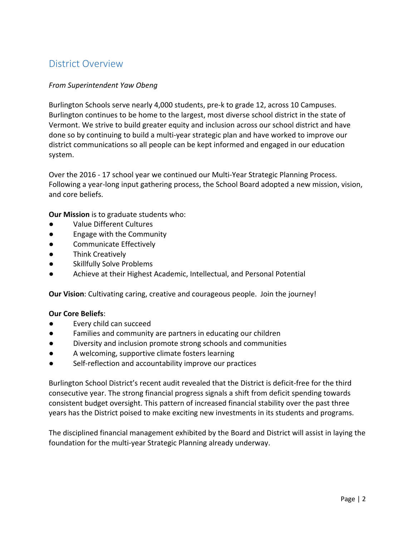# District Overview

### *From Superintendent Yaw Obeng*

Burlington Schools serve nearly 4,000 students, pre‐k to grade 12, across 10 Campuses. Burlington continues to be home to the largest, most diverse school district in the state of Vermont. We strive to build greater equity and inclusion across our school district and have done so by continuing to build a multi‐year strategic plan and have worked to improve our district communications so all people can be kept informed and engaged in our education system.

Over the 2016 ‐ 17 school year we continued our Multi‐Year Strategic Planning Process. Following a year-long input gathering process, the School Board adopted a new mission, vision, and core beliefs.

**Our Mission** is to graduate students who:

- Value Different Cultures
- Engage with the Community
- Communicate Effectively
- Think Creatively
- Skillfully Solve Problems
- Achieve at their Highest Academic, Intellectual, and Personal Potential

**Our Vision**: Cultivating caring, creative and courageous people. Join the journey!

### **Our Core Beliefs**:

- Every child can succeed
- Families and community are partners in educating our children
- Diversity and inclusion promote strong schools and communities
- A welcoming, supportive climate fosters learning
- Self-reflection and accountability improve our practices

Burlington School District's recent audit revealed that the District is deficit‐free for the third consecutive year. The strong financial progress signals a shift from deficit spending towards consistent budget oversight. This pattern of increased financial stability over the past three years has the District poised to make exciting new investments in its students and programs.

The disciplined financial management exhibited by the Board and District will assist in laying the foundation for the multi‐year Strategic Planning already underway.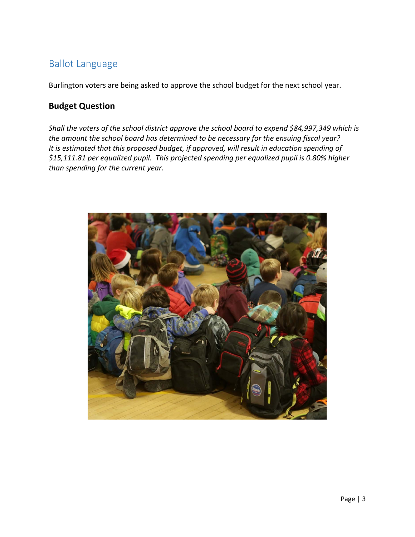# Ballot Language

Burlington voters are being asked to approve the school budget for the next school year.

# **Budget Question**

*Shall the voters of the school district approve the school board to expend \$84,997,349 which is the amount the school board has determined to be necessary for the ensuing fiscal year? It is estimated that this proposed budget, if approved, will result in education spending of \$15,111.81 per equalized pupil. This projected spending per equalized pupil is 0.80% higher than spending for the current year.* 

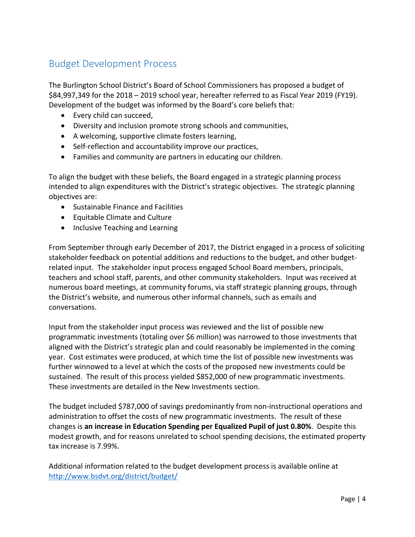# Budget Development Process

The Burlington School District's Board of School Commissioners has proposed a budget of \$84,997,349 for the 2018 – 2019 school year, hereafter referred to as Fiscal Year 2019 (FY19). Development of the budget was informed by the Board's core beliefs that:

- Every child can succeed,
- Diversity and inclusion promote strong schools and communities,
- A welcoming, supportive climate fosters learning,
- Self-reflection and accountability improve our practices,
- Families and community are partners in educating our children.

To align the budget with these beliefs, the Board engaged in a strategic planning process intended to align expenditures with the District's strategic objectives. The strategic planning objectives are:

- Sustainable Finance and Facilities
- Equitable Climate and Culture
- Inclusive Teaching and Learning

From September through early December of 2017, the District engaged in a process of soliciting stakeholder feedback on potential additions and reductions to the budget, and other budget‐ related input. The stakeholder input process engaged School Board members, principals, teachers and school staff, parents, and other community stakeholders. Input was received at numerous board meetings, at community forums, via staff strategic planning groups, through the District's website, and numerous other informal channels, such as emails and conversations.

Input from the stakeholder input process was reviewed and the list of possible new programmatic investments (totaling over \$6 million) was narrowed to those investments that aligned with the District's strategic plan and could reasonably be implemented in the coming year. Cost estimates were produced, at which time the list of possible new investments was further winnowed to a level at which the costs of the proposed new investments could be sustained. The result of this process yielded \$852,000 of new programmatic investments. These investments are detailed in the New Investments section.

The budget included \$787,000 of savings predominantly from non-instructional operations and administration to offset the costs of new programmatic investments. The result of these changes is **an increase in Education Spending per Equalized Pupil of just 0.80%**. Despite this modest growth, and for reasons unrelated to school spending decisions, the estimated property tax increase is 7.99%.

Additional information related to the budget development process is available online at http://www.bsdvt.org/district/budget/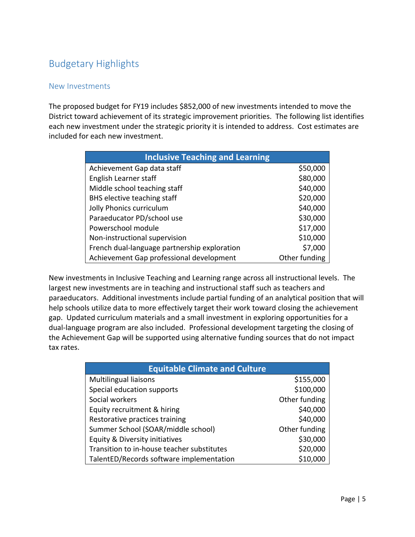# Budgetary Highlights

## New Investments

The proposed budget for FY19 includes \$852,000 of new investments intended to move the District toward achievement of its strategic improvement priorities. The following list identifies each new investment under the strategic priority it is intended to address. Cost estimates are included for each new investment.

| <b>Inclusive Teaching and Learning</b>       |               |  |  |
|----------------------------------------------|---------------|--|--|
| Achievement Gap data staff                   | \$50,000      |  |  |
| English Learner staff                        | \$80,000      |  |  |
| Middle school teaching staff                 | \$40,000      |  |  |
| BHS elective teaching staff                  | \$20,000      |  |  |
| Jolly Phonics curriculum                     | \$40,000      |  |  |
| Paraeducator PD/school use                   | \$30,000      |  |  |
| Powerschool module                           | \$17,000      |  |  |
| Non-instructional supervision                | \$10,000      |  |  |
| French dual-language partnership exploration | \$7,000       |  |  |
| Achievement Gap professional development     | Other funding |  |  |

New investments in Inclusive Teaching and Learning range across all instructional levels. The largest new investments are in teaching and instructional staff such as teachers and paraeducators. Additional investments include partial funding of an analytical position that will help schools utilize data to more effectively target their work toward closing the achievement gap. Updated curriculum materials and a small investment in exploring opportunities for a dual‐language program are also included. Professional development targeting the closing of the Achievement Gap will be supported using alternative funding sources that do not impact tax rates.

| <b>Equitable Climate and Culture</b>       |               |  |  |
|--------------------------------------------|---------------|--|--|
| Multilingual liaisons                      | \$155,000     |  |  |
| Special education supports                 | \$100,000     |  |  |
| Social workers                             | Other funding |  |  |
| Equity recruitment & hiring                | \$40,000      |  |  |
| Restorative practices training             | \$40,000      |  |  |
| Summer School (SOAR/middle school)         | Other funding |  |  |
| Equity & Diversity initiatives             | \$30,000      |  |  |
| Transition to in-house teacher substitutes | \$20,000      |  |  |
| TalentED/Records software implementation   | \$10,000      |  |  |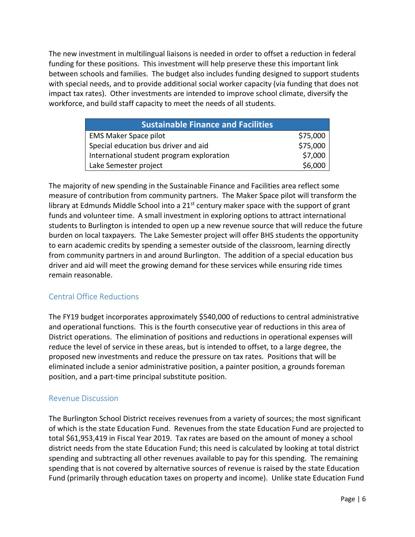The new investment in multilingual liaisons is needed in order to offset a reduction in federal funding for these positions. This investment will help preserve these this important link between schools and families. The budget also includes funding designed to support students with special needs, and to provide additional social worker capacity (via funding that does not impact tax rates). Other investments are intended to improve school climate, diversify the workforce, and build staff capacity to meet the needs of all students.

| <b>Sustainable Finance and Facilities</b> |          |  |
|-------------------------------------------|----------|--|
| <b>EMS Maker Space pilot</b>              | \$75,000 |  |
| Special education bus driver and aid      | \$75,000 |  |
| International student program exploration | \$7,000  |  |
| Lake Semester project                     | \$6,000  |  |

The majority of new spending in the Sustainable Finance and Facilities area reflect some measure of contribution from community partners. The Maker Space pilot will transform the library at Edmunds Middle School into a 21<sup>st</sup> century maker space with the support of grant funds and volunteer time. A small investment in exploring options to attract international students to Burlington is intended to open up a new revenue source that will reduce the future burden on local taxpayers. The Lake Semester project will offer BHS students the opportunity to earn academic credits by spending a semester outside of the classroom, learning directly from community partners in and around Burlington. The addition of a special education bus driver and aid will meet the growing demand for these services while ensuring ride times remain reasonable.

## Central Office Reductions

The FY19 budget incorporates approximately \$540,000 of reductions to central administrative and operational functions. This is the fourth consecutive year of reductions in this area of District operations. The elimination of positions and reductions in operational expenses will reduce the level of service in these areas, but is intended to offset, to a large degree, the proposed new investments and reduce the pressure on tax rates. Positions that will be eliminated include a senior administrative position, a painter position, a grounds foreman position, and a part‐time principal substitute position.

### Revenue Discussion

The Burlington School District receives revenues from a variety of sources; the most significant of which is the state Education Fund. Revenues from the state Education Fund are projected to total \$61,953,419 in Fiscal Year 2019. Tax rates are based on the amount of money a school district needs from the state Education Fund; this need is calculated by looking at total district spending and subtracting all other revenues available to pay for this spending. The remaining spending that is not covered by alternative sources of revenue is raised by the state Education Fund (primarily through education taxes on property and income). Unlike state Education Fund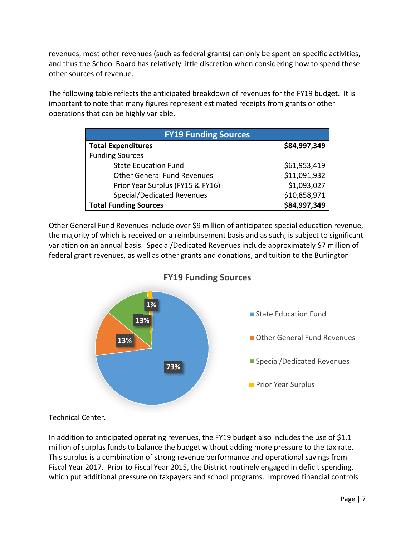revenues, most other revenues (such as federal grants) can only be spent on specific activities, and thus the School Board has relatively little discretion when considering how to spend these other sources of revenue.

The following table reflects the anticipated breakdown of revenues for the FY19 budget. It is important to note that many figures represent estimated receipts from grants or other operations that can be highly variable.

| <b>FY19 Funding Sources</b>        |              |  |  |  |
|------------------------------------|--------------|--|--|--|
| <b>Total Expenditures</b>          | \$84,997,349 |  |  |  |
| <b>Funding Sources</b>             |              |  |  |  |
| <b>State Education Fund</b>        | \$61,953,419 |  |  |  |
| <b>Other General Fund Revenues</b> | \$11,091,932 |  |  |  |
| Prior Year Surplus (FY15 & FY16)   | \$1,093,027  |  |  |  |
| Special/Dedicated Revenues         | \$10,858,971 |  |  |  |
| <b>Total Funding Sources</b>       | \$84,997,349 |  |  |  |

Other General Fund Revenues include over \$9 million of anticipated special education revenue, the majority of which is received on a reimbursement basis and as such, is subject to significant variation on an annual basis. Special/Dedicated Revenues include approximately \$7 million of federal grant revenues, as well as other grants and donations, and tuition to the Burlington



**FY19 Funding Sources**

Technical Center.

In addition to anticipated operating revenues, the FY19 budget also includes the use of \$1.1 million of surplus funds to balance the budget without adding more pressure to the tax rate. This surplus is a combination of strong revenue performance and operational savings from Fiscal Year 2017. Prior to Fiscal Year 2015, the District routinely engaged in deficit spending, which put additional pressure on taxpayers and school programs. Improved financial controls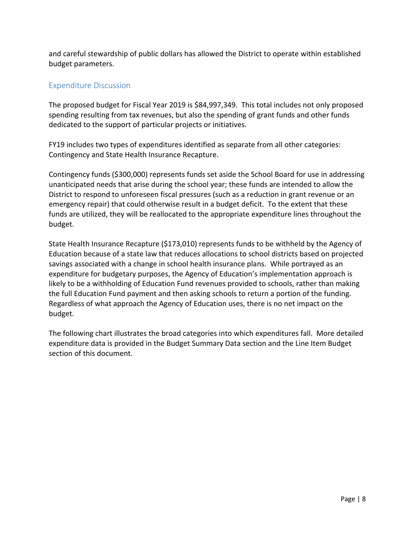and careful stewardship of public dollars has allowed the District to operate within established budget parameters.

# Expenditure Discussion

The proposed budget for Fiscal Year 2019 is \$84,997,349. This total includes not only proposed spending resulting from tax revenues, but also the spending of grant funds and other funds dedicated to the support of particular projects or initiatives.

FY19 includes two types of expenditures identified as separate from all other categories: Contingency and State Health Insurance Recapture.

Contingency funds (\$300,000) represents funds set aside the School Board for use in addressing unanticipated needs that arise during the school year; these funds are intended to allow the District to respond to unforeseen fiscal pressures (such as a reduction in grant revenue or an emergency repair) that could otherwise result in a budget deficit. To the extent that these funds are utilized, they will be reallocated to the appropriate expenditure lines throughout the budget.

State Health Insurance Recapture (\$173,010) represents funds to be withheld by the Agency of Education because of a state law that reduces allocations to school districts based on projected savings associated with a change in school health insurance plans. While portrayed as an expenditure for budgetary purposes, the Agency of Education's implementation approach is likely to be a withholding of Education Fund revenues provided to schools, rather than making the full Education Fund payment and then asking schools to return a portion of the funding. Regardless of what approach the Agency of Education uses, there is no net impact on the budget.

The following chart illustrates the broad categories into which expenditures fall. More detailed expenditure data is provided in the Budget Summary Data section and the Line Item Budget section of this document.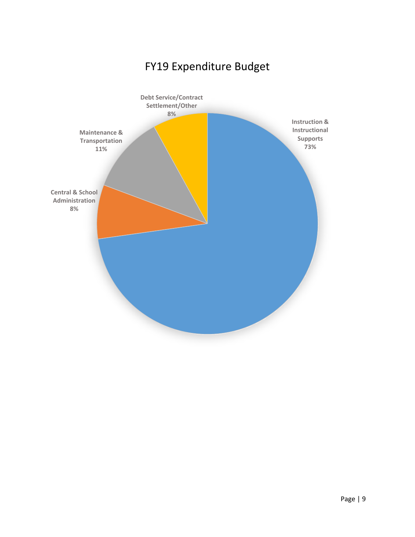# FY19 Expenditure Budget

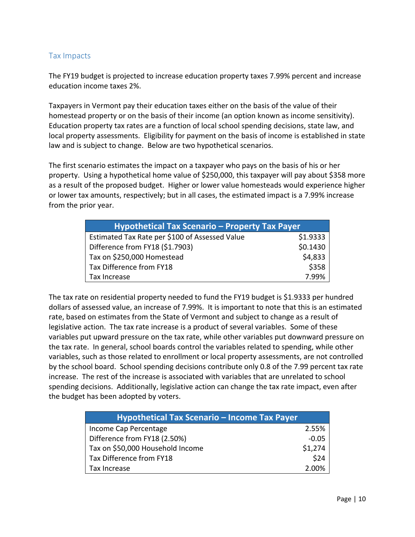### Tax Impacts

The FY19 budget is projected to increase education property taxes 7.99% percent and increase education income taxes 2%.

Taxpayers in Vermont pay their education taxes either on the basis of the value of their homestead property or on the basis of their income (an option known as income sensitivity). Education property tax rates are a function of local school spending decisions, state law, and local property assessments. Eligibility for payment on the basis of income is established in state law and is subject to change. Below are two hypothetical scenarios.

The first scenario estimates the impact on a taxpayer who pays on the basis of his or her property. Using a hypothetical home value of \$250,000, this taxpayer will pay about \$358 more as a result of the proposed budget. Higher or lower value homesteads would experience higher or lower tax amounts, respectively; but in all cases, the estimated impact is a 7.99% increase from the prior year.

| Hypothetical Tax Scenario - Property Tax Payer |          |  |
|------------------------------------------------|----------|--|
| Estimated Tax Rate per \$100 of Assessed Value | \$1.9333 |  |
| Difference from FY18 (\$1.7903)                | \$0.1430 |  |
| Tax on \$250,000 Homestead                     | \$4,833  |  |
| Tax Difference from FY18                       | \$358    |  |
| Tax Increase                                   | 7.99%    |  |

The tax rate on residential property needed to fund the FY19 budget is \$1.9333 per hundred dollars of assessed value, an increase of 7.99%. It is important to note that this is an estimated rate, based on estimates from the State of Vermont and subject to change as a result of legislative action. The tax rate increase is a product of several variables. Some of these variables put upward pressure on the tax rate, while other variables put downward pressure on the tax rate. In general, school boards control the variables related to spending, while other variables, such as those related to enrollment or local property assessments, are not controlled by the school board. School spending decisions contribute only 0.8 of the 7.99 percent tax rate increase. The rest of the increase is associated with variables that are unrelated to school spending decisions. Additionally, legislative action can change the tax rate impact, even after the budget has been adopted by voters.

| Hypothetical Tax Scenario - Income Tax Payer |         |  |
|----------------------------------------------|---------|--|
| Income Cap Percentage                        | 2.55%   |  |
| Difference from FY18 (2.50%)                 | $-0.05$ |  |
| Tax on \$50,000 Household Income             | \$1,274 |  |
| Tax Difference from FY18                     | \$24    |  |
| Tax Increase                                 | 2.00%   |  |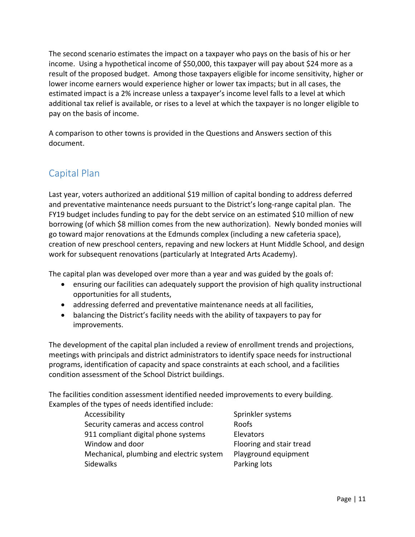The second scenario estimates the impact on a taxpayer who pays on the basis of his or her income. Using a hypothetical income of \$50,000, this taxpayer will pay about \$24 more as a result of the proposed budget. Among those taxpayers eligible for income sensitivity, higher or lower income earners would experience higher or lower tax impacts; but in all cases, the estimated impact is a 2% increase unless a taxpayer's income level falls to a level at which additional tax relief is available, or rises to a level at which the taxpayer is no longer eligible to pay on the basis of income.

A comparison to other towns is provided in the Questions and Answers section of this document.

# Capital Plan

Last year, voters authorized an additional \$19 million of capital bonding to address deferred and preventative maintenance needs pursuant to the District's long-range capital plan. The FY19 budget includes funding to pay for the debt service on an estimated \$10 million of new borrowing (of which \$8 million comes from the new authorization). Newly bonded monies will go toward major renovations at the Edmunds complex (including a new cafeteria space), creation of new preschool centers, repaving and new lockers at Hunt Middle School, and design work for subsequent renovations (particularly at Integrated Arts Academy).

The capital plan was developed over more than a year and was guided by the goals of:

- ensuring our facilities can adequately support the provision of high quality instructional opportunities for all students,
- addressing deferred and preventative maintenance needs at all facilities,
- balancing the District's facility needs with the ability of taxpayers to pay for improvements.

The development of the capital plan included a review of enrollment trends and projections, meetings with principals and district administrators to identify space needs for instructional programs, identification of capacity and space constraints at each school, and a facilities condition assessment of the School District buildings.

The facilities condition assessment identified needed improvements to every building. Examples of the types of needs identified include:

| Accessibility                            | Sprink  |
|------------------------------------------|---------|
| Security cameras and access control      | Roofs   |
| 911 compliant digital phone systems      | Elevat  |
| Window and door                          | Floorin |
| Mechanical, plumbing and electric system | Playgr  |
| <b>Sidewalks</b>                         | Parkin  |

Sprinkler systems Elevators Flooring and stair tread Playground equipment Parking lots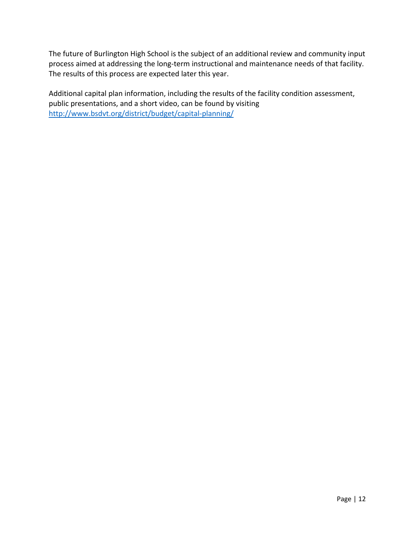The future of Burlington High School is the subject of an additional review and community input process aimed at addressing the long‐term instructional and maintenance needs of that facility. The results of this process are expected later this year.

Additional capital plan information, including the results of the facility condition assessment, public presentations, and a short video, can be found by visiting http://www.bsdvt.org/district/budget/capital-planning/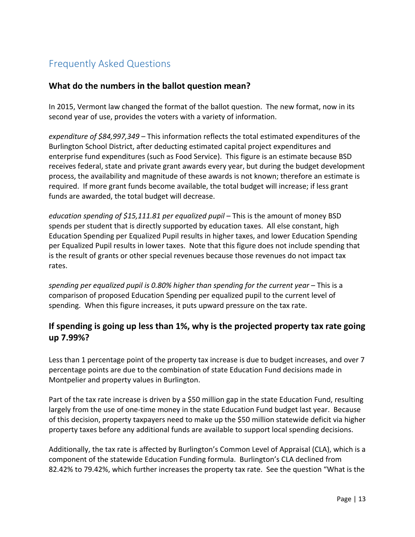# Frequently Asked Questions

## **What do the numbers in the ballot question mean?**

In 2015, Vermont law changed the format of the ballot question. The new format, now in its second year of use, provides the voters with a variety of information.

*expenditure of \$84,997,349* – This information reflects the total estimated expenditures of the Burlington School District, after deducting estimated capital project expenditures and enterprise fund expenditures (such as Food Service). This figure is an estimate because BSD receives federal, state and private grant awards every year, but during the budget development process, the availability and magnitude of these awards is not known; therefore an estimate is required. If more grant funds become available, the total budget will increase; if less grant funds are awarded, the total budget will decrease.

*education spending of \$15,111.81 per equalized pupil* – This is the amount of money BSD spends per student that is directly supported by education taxes. All else constant, high Education Spending per Equalized Pupil results in higher taxes, and lower Education Spending per Equalized Pupil results in lower taxes. Note that this figure does not include spending that is the result of grants or other special revenues because those revenues do not impact tax rates.

*spending per equalized pupil is 0.80% higher than spending for the current year* – This is a comparison of proposed Education Spending per equalized pupil to the current level of spending. When this figure increases, it puts upward pressure on the tax rate.

# **If spending is going up less than 1%, why is the projected property tax rate going up 7.99%?**

Less than 1 percentage point of the property tax increase is due to budget increases, and over 7 percentage points are due to the combination of state Education Fund decisions made in Montpelier and property values in Burlington.

Part of the tax rate increase is driven by a \$50 million gap in the state Education Fund, resulting largely from the use of one-time money in the state Education Fund budget last year. Because of this decision, property taxpayers need to make up the \$50 million statewide deficit via higher property taxes before any additional funds are available to support local spending decisions.

Additionally, the tax rate is affected by Burlington's Common Level of Appraisal (CLA), which is a component of the statewide Education Funding formula. Burlington's CLA declined from 82.42% to 79.42%, which further increases the property tax rate. See the question "What is the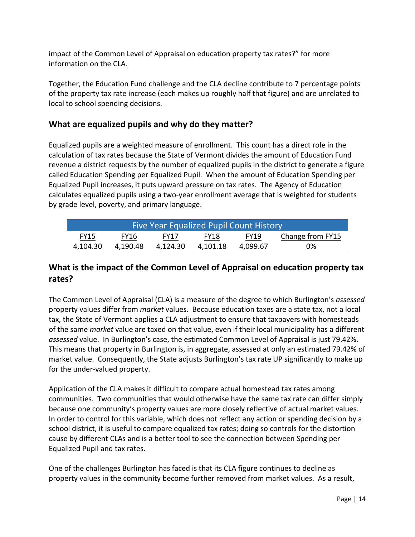impact of the Common Level of Appraisal on education property tax rates?" for more information on the CLA.

Together, the Education Fund challenge and the CLA decline contribute to 7 percentage points of the property tax rate increase (each makes up roughly half that figure) and are unrelated to local to school spending decisions.

# **What are equalized pupils and why do they matter?**

Equalized pupils are a weighted measure of enrollment. This count has a direct role in the calculation of tax rates because the State of Vermont divides the amount of Education Fund revenue a district requests by the number of equalized pupils in the district to generate a figure called Education Spending per Equalized Pupil. When the amount of Education Spending per Equalized Pupil increases, it puts upward pressure on tax rates. The Agency of Education calculates equalized pupils using a two‐year enrollment average that is weighted for students by grade level, poverty, and primary language.

| Five Year Equalized Pupil Count History                                              |          |          |          |          |    |
|--------------------------------------------------------------------------------------|----------|----------|----------|----------|----|
| Change from FY15<br><b>FY19</b><br><b>FY15</b><br><b>FY16</b><br>FY18<br><b>FY17</b> |          |          |          |          |    |
| 4,104.30                                                                             | 4.190.48 | 4.124.30 | 4.101.18 | 4.099.67 | 0% |

# **What is the impact of the Common Level of Appraisal on education property tax rates?**

The Common Level of Appraisal (CLA) is a measure of the degree to which Burlington's *assessed* property values differ from *market* values. Because education taxes are a state tax, not a local tax, the State of Vermont applies a CLA adjustment to ensure that taxpayers with homesteads of the same *market* value are taxed on that value, even if their local municipality has a different *assessed* value. In Burlington's case, the estimated Common Level of Appraisal is just 79.42%. This means that property in Burlington is, in aggregate, assessed at only an estimated 79.42% of market value. Consequently, the State adjusts Burlington's tax rate UP significantly to make up for the under‐valued property.

Application of the CLA makes it difficult to compare actual homestead tax rates among communities. Two communities that would otherwise have the same tax rate can differ simply because one community's property values are more closely reflective of actual market values. In order to control for this variable, which does not reflect any action or spending decision by a school district, it is useful to compare equalized tax rates; doing so controls for the distortion cause by different CLAs and is a better tool to see the connection between Spending per Equalized Pupil and tax rates.

One of the challenges Burlington has faced is that its CLA figure continues to decline as property values in the community become further removed from market values. As a result,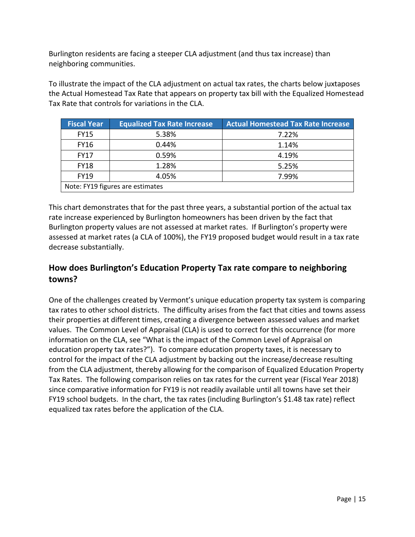Burlington residents are facing a steeper CLA adjustment (and thus tax increase) than neighboring communities.

To illustrate the impact of the CLA adjustment on actual tax rates, the charts below juxtaposes the Actual Homestead Tax Rate that appears on property tax bill with the Equalized Homestead Tax Rate that controls for variations in the CLA.

| <b>Fiscal Year</b>               | <b>Equalized Tax Rate Increase</b> | <b>Actual Homestead Tax Rate Increase</b> |  |
|----------------------------------|------------------------------------|-------------------------------------------|--|
| <b>FY15</b>                      | 5.38%                              | 7.22%                                     |  |
| <b>FY16</b>                      | 0.44%                              | 1.14%                                     |  |
| <b>FY17</b>                      | 0.59%                              | 4.19%                                     |  |
| <b>FY18</b>                      | 1.28%                              | 5.25%                                     |  |
| <b>FY19</b>                      | 4.05%                              | 7.99%                                     |  |
| Note: FY19 figures are estimates |                                    |                                           |  |

This chart demonstrates that for the past three years, a substantial portion of the actual tax rate increase experienced by Burlington homeowners has been driven by the fact that Burlington property values are not assessed at market rates. If Burlington's property were assessed at market rates (a CLA of 100%), the FY19 proposed budget would result in a tax rate decrease substantially.

# **How does Burlington's Education Property Tax rate compare to neighboring towns?**

One of the challenges created by Vermont's unique education property tax system is comparing tax rates to other school districts. The difficulty arises from the fact that cities and towns assess their properties at different times, creating a divergence between assessed values and market values. The Common Level of Appraisal (CLA) is used to correct for this occurrence (for more information on the CLA, see "What is the impact of the Common Level of Appraisal on education property tax rates?"). To compare education property taxes, it is necessary to control for the impact of the CLA adjustment by backing out the increase/decrease resulting from the CLA adjustment, thereby allowing for the comparison of Equalized Education Property Tax Rates. The following comparison relies on tax rates for the current year (Fiscal Year 2018) since comparative information for FY19 is not readily available until all towns have set their FY19 school budgets. In the chart, the tax rates (including Burlington's \$1.48 tax rate) reflect equalized tax rates before the application of the CLA.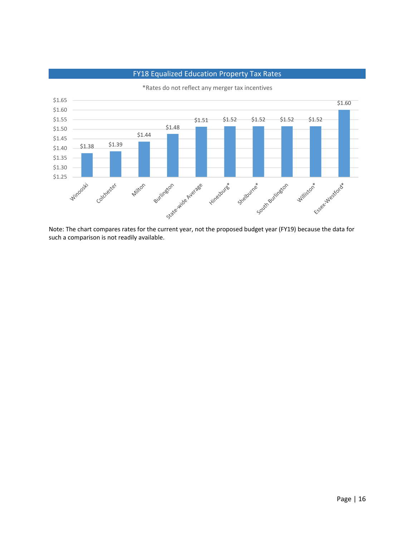

FY18 Equalized Education Property Tax Rates

\*Rates do not reflect any merger tax incentives

such a comparison is not readily available.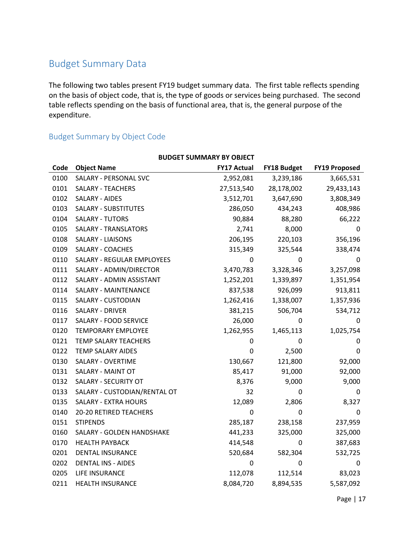# Budget Summary Data

The following two tables present FY19 budget summary data. The first table reflects spending on the basis of object code, that is, the type of goods or services being purchased. The second table reflects spending on the basis of functional area, that is, the general purpose of the expenditure.

# Budget Summary by Object Code

| <b>BUDGET SUMMARY BY OBJECT</b> |                              |                    |                    |                      |
|---------------------------------|------------------------------|--------------------|--------------------|----------------------|
| Code                            | <b>Object Name</b>           | <b>FY17 Actual</b> | <b>FY18 Budget</b> | <b>FY19 Proposed</b> |
| 0100                            | SALARY - PERSONAL SVC        | 2,952,081          | 3,239,186          | 3,665,531            |
| 0101                            | <b>SALARY - TEACHERS</b>     | 27,513,540         | 28,178,002         | 29,433,143           |
| 0102                            | SALARY - AIDES               | 3,512,701          | 3,647,690          | 3,808,349            |
| 0103                            | <b>SALARY - SUBSTITUTES</b>  | 286,050            | 434,243            | 408,986              |
| 0104                            | <b>SALARY - TUTORS</b>       | 90,884             | 88,280             | 66,222               |
| 0105                            | <b>SALARY - TRANSLATORS</b>  | 2,741              | 8,000              | 0                    |
| 0108                            | <b>SALARY - LIAISONS</b>     | 206,195            | 220,103            | 356,196              |
| 0109                            | SALARY - COACHES             | 315,349            | 325,544            | 338,474              |
| 0110                            | SALARY - REGULAR EMPLOYEES   | 0                  | 0                  | 0                    |
| 0111                            | SALARY - ADMIN/DIRECTOR      | 3,470,783          | 3,328,346          | 3,257,098            |
| 0112                            | SALARY - ADMIN ASSISTANT     | 1,252,201          | 1,339,897          | 1,351,954            |
| 0114                            | SALARY - MAINTENANCE         | 837,538            | 926,099            | 913,811              |
| 0115                            | SALARY - CUSTODIAN           | 1,262,416          | 1,338,007          | 1,357,936            |
| 0116                            | <b>SALARY - DRIVER</b>       | 381,215            | 506,704            | 534,712              |
| 0117                            | SALARY - FOOD SERVICE        | 26,000             | 0                  | 0                    |
| 0120                            | <b>TEMPORARY EMPLOYEE</b>    | 1,262,955          | 1,465,113          | 1,025,754            |
| 0121                            | TEMP SALARY TEACHERS         | 0                  | 0                  | 0                    |
| 0122                            | <b>TEMP SALARY AIDES</b>     | 0                  | 2,500              | $\mathbf 0$          |
| 0130                            | SALARY - OVERTIME            | 130,667            | 121,800            | 92,000               |
| 0131                            | SALARY - MAINT OT            | 85,417             | 91,000             | 92,000               |
| 0132                            | SALARY - SECURITY OT         | 8,376              | 9,000              | 9,000                |
| 0133                            | SALARY - CUSTODIAN/RENTAL OT | 32                 | 0                  | 0                    |
| 0135                            | <b>SALARY - EXTRA HOURS</b>  | 12,089             | 2,806              | 8,327                |
| 0140                            | 20-20 RETIRED TEACHERS       | $\pmb{0}$          | 0                  | 0                    |
| 0151                            | <b>STIPENDS</b>              | 285,187            | 238,158            | 237,959              |
| 0160                            | SALARY - GOLDEN HANDSHAKE    | 441,233            | 325,000            | 325,000              |
| 0170                            | <b>HEALTH PAYBACK</b>        | 414,548            | 0                  | 387,683              |
| 0201                            | DENTAL INSURANCE             | 520,684            | 582,304            | 532,725              |
| 0202                            | <b>DENTAL INS - AIDES</b>    | 0                  | 0                  | 0                    |
| 0205                            | LIFE INSURANCE               | 112,078            | 112,514            | 83,023               |
| 0211                            | <b>HEALTH INSURANCE</b>      | 8,084,720          | 8,894,535          | 5,587,092            |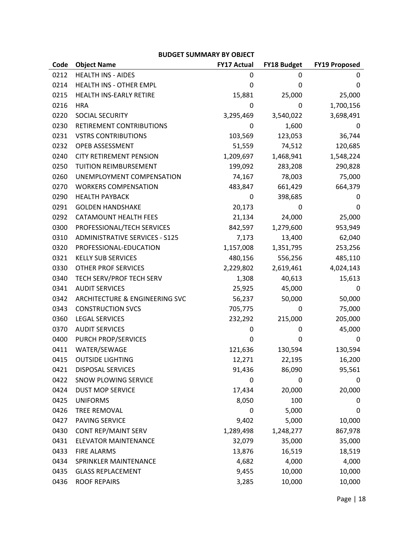### **BUDGET SUMMARY BY OBJECT**

| Code | <b>Object Name</b>                    | <b>FY17 Actual</b> | <b>FY18 Budget</b> | <b>FY19 Proposed</b> |
|------|---------------------------------------|--------------------|--------------------|----------------------|
| 0212 | <b>HEALTH INS - AIDES</b>             | 0                  | 0                  | 0                    |
| 0214 | HEALTH INS - OTHER EMPL               | 0                  | 0                  | 0                    |
| 0215 | HEALTH INS-EARLY RETIRE               | 15,881             | 25,000             | 25,000               |
| 0216 | <b>HRA</b>                            | 0                  | 0                  | 1,700,156            |
| 0220 | SOCIAL SECURITY                       | 3,295,469          | 3,540,022          | 3,698,491            |
| 0230 | RETIREMENT CONTRIBUTIONS              | 0                  | 1,600              | 0                    |
| 0231 | <b>VSTRS CONTRIBUTIONS</b>            | 103,569            | 123,053            | 36,744               |
| 0232 | OPEB ASSESSMENT                       | 51,559             | 74,512             | 120,685              |
| 0240 | <b>CITY RETIREMENT PENSION</b>        | 1,209,697          | 1,468,941          | 1,548,224            |
| 0250 | TUITION REIMBURSEMENT                 | 199,092            | 283,208            | 290,828              |
| 0260 | UNEMPLOYMENT COMPENSATION             | 74,167             | 78,003             | 75,000               |
| 0270 | <b>WORKERS COMPENSATION</b>           | 483,847            | 661,429            | 664,379              |
| 0290 | <b>HEALTH PAYBACK</b>                 | 0                  | 398,685            | 0                    |
| 0291 | <b>GOLDEN HANDSHAKE</b>               | 20,173             | 0                  | 0                    |
| 0292 | CATAMOUNT HEALTH FEES                 | 21,134             | 24,000             | 25,000               |
| 0300 | PROFESSIONAL/TECH SERVICES            | 842,597            | 1,279,600          | 953,949              |
| 0310 | <b>ADMINISTRATIVE SERVICES - S125</b> | 7,173              | 13,400             | 62,040               |
| 0320 | PROFESSIONAL-EDUCATION                | 1,157,008          | 1,351,795          | 253,256              |
| 0321 | <b>KELLY SUB SERVICES</b>             | 480,156            | 556,256            | 485,110              |
| 0330 | OTHER PROF SERVICES                   | 2,229,802          | 2,619,461          | 4,024,143            |
| 0340 | TECH SERV/PROF TECH SERV              | 1,308              | 40,613             | 15,613               |
| 0341 | <b>AUDIT SERVICES</b>                 | 25,925             | 45,000             | 0                    |
| 0342 | ARCHITECTURE & ENGINEERING SVC        | 56,237             | 50,000             | 50,000               |
| 0343 | <b>CONSTRUCTION SVCS</b>              | 705,775            | 0                  | 75,000               |
| 0360 | <b>LEGAL SERVICES</b>                 | 232,292            | 215,000            | 205,000              |
| 0370 | <b>AUDIT SERVICES</b>                 | 0                  | 0                  | 45,000               |
| 0400 | PURCH PROP/SERVICES                   | 0                  | 0                  | 0                    |
| 0411 | WATER/SEWAGE                          | 121,636            | 130,594            | 130,594              |
| 0415 | <b>OUTSIDE LIGHTING</b>               | 12,271             | 22,195             | 16,200               |
| 0421 | <b>DISPOSAL SERVICES</b>              | 91,436             | 86,090             | 95,561               |
| 0422 | SNOW PLOWING SERVICE                  | 0                  | 0                  | 0                    |
| 0424 | <b>DUST MOP SERVICE</b>               | 17,434             | 20,000             | 20,000               |
| 0425 | <b>UNIFORMS</b>                       | 8,050              | 100                | 0                    |
| 0426 | TREE REMOVAL                          | 0                  | 5,000              | 0                    |
| 0427 | PAVING SERVICE                        | 9,402              | 5,000              | 10,000               |
| 0430 | CONT REP/MAINT SERV                   | 1,289,498          | 1,248,277          | 867,978              |
| 0431 | <b>ELEVATOR MAINTENANCE</b>           | 32,079             | 35,000             | 35,000               |
| 0433 | <b>FIRE ALARMS</b>                    | 13,876             | 16,519             | 18,519               |
| 0434 | SPRINKLER MAINTENANCE                 | 4,682              | 4,000              | 4,000                |
| 0435 | <b>GLASS REPLACEMENT</b>              | 9,455              | 10,000             | 10,000               |
| 0436 | <b>ROOF REPAIRS</b>                   | 3,285              | 10,000             | 10,000               |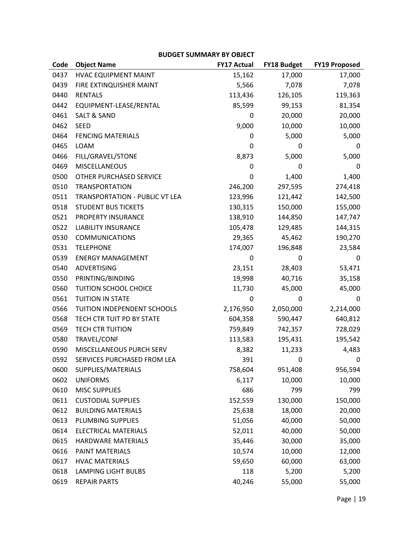### **BUDGET SUMMARY BY OBJECT**

| Code | <b>Object Name</b>             | <b>FY17 Actual</b> | FY18 Budget | <b>FY19 Proposed</b> |
|------|--------------------------------|--------------------|-------------|----------------------|
| 0437 | HVAC EQUIPMENT MAINT           | 15,162             | 17,000      | 17,000               |
| 0439 | FIRE EXTINQUISHER MAINT        | 5,566              | 7,078       | 7,078                |
| 0440 | <b>RENTALS</b>                 | 113,436            | 126,105     | 119,363              |
| 0442 | EQUIPMENT-LEASE/RENTAL         | 85,599             | 99,153      | 81,354               |
| 0461 | <b>SALT &amp; SAND</b>         | 0                  | 20,000      | 20,000               |
| 0462 | <b>SEED</b>                    | 9,000              | 10,000      | 10,000               |
| 0464 | <b>FENCING MATERIALS</b>       | 0                  | 5,000       | 5,000                |
| 0465 | LOAM                           | 0                  | 0           | 0                    |
| 0466 | FILL/GRAVEL/STONE              | 8,873              | 5,000       | 5,000                |
| 0469 | <b>MISCELLANEOUS</b>           | 0                  | 0           | 0                    |
| 0500 | OTHER PURCHASED SERVICE        | 0                  | 1,400       | 1,400                |
| 0510 | <b>TRANSPORTATION</b>          | 246,200            | 297,595     | 274,418              |
| 0511 | TRANSPORTATION - PUBLIC VT LEA | 123,996            | 121,442     | 142,500              |
| 0518 | <b>STUDENT BUS TICKETS</b>     | 130,315            | 150,000     | 155,000              |
| 0521 | PROPERTY INSURANCE             | 138,910            | 144,850     | 147,747              |
| 0522 | <b>LIABILITY INSURANCE</b>     | 105,478            | 129,485     | 144,315              |
| 0530 | <b>COMMUNICATIONS</b>          | 29,365             | 45,462      | 190,270              |
| 0531 | <b>TELEPHONE</b>               | 174,007            | 196,848     | 23,584               |
| 0539 | <b>ENERGY MANAGEMENT</b>       | 0                  | 0           | 0                    |
| 0540 | ADVERTISING                    | 23,151             | 28,403      | 53,471               |
| 0550 | PRINTING/BINDING               | 19,998             | 40,716      | 35,158               |
| 0560 | TUITION SCHOOL CHOICE          | 11,730             | 45,000      | 45,000               |
| 0561 | TUITION IN STATE               | 0                  | 0           | 0                    |
| 0566 | TUITION INDEPENDENT SCHOOLS    | 2,176,950          | 2,050,000   | 2,214,000            |
| 0568 | TECH CTR TUIT PD BY STATE      | 604,358            | 590,447     | 640,812              |
| 0569 | <b>TECH CTR TUITION</b>        | 759,849            | 742,357     | 728,029              |
| 0580 | TRAVEL/CONF                    | 113,583            | 195,431     | 195,542              |
| 0590 | MISCELLANEOUS PURCH SERV       | 8,382              | 11,233      | 4,483                |
| 0592 | SERVICES PURCHASED FROM LEA    | 391                | 0           | 0                    |
| 0600 | SUPPLIES/MATERIALS             | 758,604            | 951,408     | 956,594              |
| 0602 | <b>UNIFORMS</b>                | 6,117              | 10,000      | 10,000               |
| 0610 | <b>MISC SUPPLIES</b>           | 686                | 799         | 799                  |
| 0611 | <b>CUSTODIAL SUPPLIES</b>      | 152,559            | 130,000     | 150,000              |
| 0612 | <b>BUILDING MATERIALS</b>      | 25,638             | 18,000      | 20,000               |
| 0613 | PLUMBING SUPPLIES              | 51,056             | 40,000      | 50,000               |
| 0614 | <b>ELECTRICAL MATERIALS</b>    | 52,011             | 40,000      | 50,000               |
| 0615 | HARDWARE MATERIALS             | 35,446             | 30,000      | 35,000               |
| 0616 | PAINT MATERIALS                | 10,574             | 10,000      | 12,000               |
| 0617 | <b>HVAC MATERIALS</b>          | 59,650             | 60,000      | 63,000               |
| 0618 | <b>LAMPING LIGHT BULBS</b>     | 118                | 5,200       | 5,200                |
| 0619 | <b>REPAIR PARTS</b>            | 40,246             | 55,000      | 55,000               |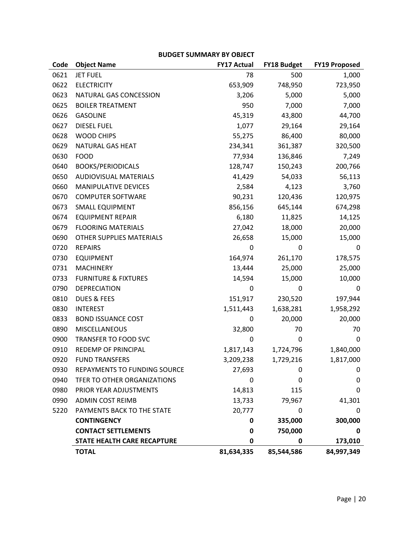|      |                                 | וט ווהזויוויוטכים  |                    |                      |
|------|---------------------------------|--------------------|--------------------|----------------------|
| Code | <b>Object Name</b>              | <b>FY17 Actual</b> | <b>FY18 Budget</b> | <b>FY19 Proposed</b> |
| 0621 | <b>JET FUEL</b>                 | 78                 | 500                | 1,000                |
| 0622 | <b>ELECTRICITY</b>              | 653,909            | 748,950            | 723,950              |
| 0623 | NATURAL GAS CONCESSION          | 3,206              | 5,000              | 5,000                |
| 0625 | <b>BOILER TREATMENT</b>         | 950                | 7,000              | 7,000                |
| 0626 | <b>GASOLINE</b>                 | 45,319             | 43,800             | 44,700               |
| 0627 | <b>DIESEL FUEL</b>              | 1,077              | 29,164             | 29,164               |
| 0628 | <b>WOOD CHIPS</b>               | 55,275             | 86,400             | 80,000               |
| 0629 | NATURAL GAS HEAT                | 234,341            | 361,387            | 320,500              |
| 0630 | <b>FOOD</b>                     | 77,934             | 136,846            | 7,249                |
| 0640 | <b>BOOKS/PERIODICALS</b>        | 128,747            | 150,243            | 200,766              |
| 0650 | <b>AUDIOVISUAL MATERIALS</b>    | 41,429             | 54,033             | 56,113               |
| 0660 | MANIPULATIVE DEVICES            | 2,584              | 4,123              | 3,760                |
| 0670 | <b>COMPUTER SOFTWARE</b>        | 90,231             | 120,436            | 120,975              |
| 0673 | <b>SMALL EQUIPMENT</b>          | 856,156            | 645,144            | 674,298              |
| 0674 | <b>EQUIPMENT REPAIR</b>         | 6,180              | 11,825             | 14,125               |
| 0679 | <b>FLOORING MATERIALS</b>       | 27,042             | 18,000             | 20,000               |
| 0690 | OTHER SUPPLIES MATERIALS        | 26,658             | 15,000             | 15,000               |
| 0720 | <b>REPAIRS</b>                  | 0                  | 0                  | 0                    |
| 0730 | <b>EQUIPMENT</b>                | 164,974            | 261,170            | 178,575              |
| 0731 | <b>MACHINERY</b>                | 13,444             | 25,000             | 25,000               |
| 0733 | <b>FURNITURE &amp; FIXTURES</b> | 14,594             | 15,000             | 10,000               |
| 0790 | <b>DEPRECIATION</b>             | 0                  | 0                  | 0                    |
| 0810 | <b>DUES &amp; FEES</b>          | 151,917            | 230,520            | 197,944              |
| 0830 | <b>INTEREST</b>                 | 1,511,443          | 1,638,281          | 1,958,292            |
| 0833 | <b>BOND ISSUANCE COST</b>       | 0                  | 20,000             | 20,000               |
| 0890 | MISCELLANEOUS                   | 32,800             | 70                 | 70                   |
| 0900 | TRANSFER TO FOOD SVC            | 0                  | 0                  | 0                    |
| 0910 | REDEMP OF PRINCIPAL             | 1,817,143          | 1,724,796          | 1,840,000            |
| 0920 | <b>FUND TRANSFERS</b>           | 3,209,238          | 1,729,216          | 1,817,000            |
| 0930 | REPAYMENTS TO FUNDING SOURCE    | 27,693             | 0                  | 0                    |
| 0940 | TFER TO OTHER ORGANIZATIONS     | 0                  | 0                  | 0                    |
| 0980 | PRIOR YEAR ADJUSTMENTS          | 14,813             | 115                | 0                    |
| 0990 | <b>ADMIN COST REIMB</b>         | 13,733             | 79,967             | 41,301               |
| 5220 | PAYMENTS BACK TO THE STATE      | 20,777             | 0                  | 0                    |
|      | <b>CONTINGENCY</b>              | 0                  | 335,000            | 300,000              |
|      | <b>CONTACT SETTLEMENTS</b>      | 0                  | 750,000            | 0                    |
|      | STATE HEALTH CARE RECAPTURE     | 0                  | $\mathbf 0$        | 173,010              |
|      | <b>TOTAL</b>                    | 81,634,335         | 85,544,586         | 84,997,349           |

### **BUDGET SUMMARY BY OBJECT**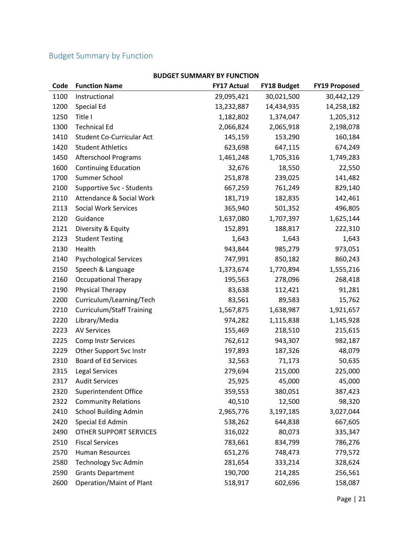# Budget Summary by Function

| Code | <b>Function Name</b>             | <b>FY17 Actual</b> | <b>FY18 Budget</b> | <b>FY19 Proposed</b> |
|------|----------------------------------|--------------------|--------------------|----------------------|
| 1100 | Instructional                    | 29,095,421         | 30,021,500         | 30,442,129           |
| 1200 | Special Ed                       | 13,232,887         | 14,434,935         | 14,258,182           |
| 1250 | Title I                          | 1,182,802          | 1,374,047          | 1,205,312            |
| 1300 | <b>Technical Ed</b>              | 2,066,824          | 2,065,918          | 2,198,078            |
| 1410 | Student Co-Curricular Act        | 145,159            | 153,290            | 160,184              |
| 1420 | <b>Student Athletics</b>         | 623,698            | 647,115            | 674,249              |
| 1450 | <b>Afterschool Programs</b>      | 1,461,248          | 1,705,316          | 1,749,283            |
| 1600 | <b>Continuing Education</b>      | 32,676             | 18,550             | 22,550               |
| 1700 | Summer School                    | 251,878            | 239,025            | 141,482              |
| 2100 | Supportive Svc - Students        | 667,259            | 761,249            | 829,140              |
| 2110 | Attendance & Social Work         | 181,719            | 182,835            | 142,461              |
| 2113 | Social Work Services             | 365,940            | 501,352            | 496,805              |
| 2120 | Guidance                         | 1,637,080          | 1,707,397          | 1,625,144            |
| 2121 | Diversity & Equity               | 152,891            | 188,817            | 222,310              |
| 2123 | <b>Student Testing</b>           | 1,643              | 1,643              | 1,643                |
| 2130 | Health                           | 943,844            | 985,279            | 973,051              |
| 2140 | <b>Psychological Services</b>    | 747,991            | 850,182            | 860,243              |
| 2150 | Speech & Language                | 1,373,674          | 1,770,894          | 1,555,216            |
| 2160 | <b>Occupational Therapy</b>      | 195,563            | 278,096            | 268,418              |
| 2190 | <b>Physical Therapy</b>          | 83,638             | 112,421            | 91,281               |
| 2200 | Curriculum/Learning/Tech         | 83,561             | 89,583             | 15,762               |
| 2210 | <b>Curriculum/Staff Training</b> | 1,567,875          | 1,638,987          | 1,921,657            |
| 2220 | Library/Media                    | 974,282            | 1,115,838          | 1,145,928            |
| 2223 | <b>AV Services</b>               | 155,469            | 218,510            | 215,615              |
| 2225 | <b>Comp Instr Services</b>       | 762,612            | 943,307            | 982,187              |
| 2229 | Other Support Svc Instr          | 197,893            | 187,326            | 48,079               |
| 2310 | <b>Board of Ed Services</b>      | 32,563             | 71,173             | 50,635               |
| 2315 | <b>Legal Services</b>            | 279,694            | 215,000            | 225,000              |
| 2317 | <b>Audit Services</b>            | 25,925             | 45,000             | 45,000               |
| 2320 | Superintendent Office            | 359,553            | 380,051            | 387,423              |
| 2322 | <b>Community Relations</b>       | 40,510             | 12,500             | 98,320               |
| 2410 | <b>School Building Admin</b>     | 2,965,776          | 3,197,185          | 3,027,044            |
| 2420 | Special Ed Admin                 | 538,262            | 644,838            | 667,605              |
| 2490 | OTHER SUPPORT SERVICES           | 316,022            | 80,073             | 335,347              |
| 2510 | <b>Fiscal Services</b>           | 783,661            | 834,799            | 786,276              |
| 2570 | Human Resources                  | 651,276            | 748,473            | 779,572              |
| 2580 | <b>Technology Svc Admin</b>      | 281,654            | 333,214            | 328,624              |
| 2590 | <b>Grants Department</b>         | 190,700            | 214,285            | 256,561              |
| 2600 | Operation/Maint of Plant         | 518,917            | 602,696            | 158,087              |

### **BUDGET SUMMARY BY FUNCTION**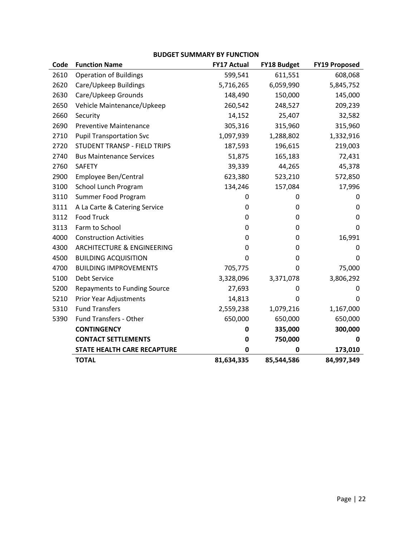### **BUDGET SUMMARY BY FUNCTION**

| Code | <b>Function Name</b>                  | <b>FY17 Actual</b> | <b>FY18 Budget</b> | <b>FY19 Proposed</b> |
|------|---------------------------------------|--------------------|--------------------|----------------------|
| 2610 | <b>Operation of Buildings</b>         | 599,541            | 611,551            | 608,068              |
| 2620 | Care/Upkeep Buildings                 | 5,716,265          | 6,059,990          | 5,845,752            |
| 2630 | Care/Upkeep Grounds                   | 148,490            | 150,000            | 145,000              |
| 2650 | Vehicle Maintenance/Upkeep            | 260,542            | 248,527            | 209,239              |
| 2660 | Security                              | 14,152             | 25,407             | 32,582               |
| 2690 | <b>Preventive Maintenance</b>         | 305,316            | 315,960            | 315,960              |
| 2710 | <b>Pupil Transportation Svc</b>       | 1,097,939          | 1,288,802          | 1,332,916            |
| 2720 | STUDENT TRANSP - FIELD TRIPS          | 187,593            | 196,615            | 219,003              |
| 2740 | <b>Bus Maintenance Services</b>       | 51,875             | 165,183            | 72,431               |
| 2760 | <b>SAFETY</b>                         | 39,339             | 44,265             | 45,378               |
| 2900 | Employee Ben/Central                  | 623,380            | 523,210            | 572,850              |
| 3100 | School Lunch Program                  | 134,246            | 157,084            | 17,996               |
| 3110 | Summer Food Program                   | 0                  | 0                  | 0                    |
| 3111 | A La Carte & Catering Service         | 0                  | 0                  | 0                    |
| 3112 | <b>Food Truck</b>                     | 0                  | 0                  | 0                    |
| 3113 | Farm to School                        | 0                  | 0                  | 0                    |
| 4000 | <b>Construction Activities</b>        | 0                  | 0                  | 16,991               |
| 4300 | <b>ARCHITECTURE &amp; ENGINEERING</b> | 0                  | 0                  | 0                    |
| 4500 | <b>BUILDING ACQUISITION</b>           | 0                  | $\mathbf 0$        | 0                    |
| 4700 | <b>BUILDING IMPROVEMENTS</b>          | 705,775            | 0                  | 75,000               |
| 5100 | Debt Service                          | 3,328,096          | 3,371,078          | 3,806,292            |
| 5200 | <b>Repayments to Funding Source</b>   | 27,693             | 0                  | 0                    |
| 5210 | Prior Year Adjustments                | 14,813             | 0                  | 0                    |
| 5310 | <b>Fund Transfers</b>                 | 2,559,238          | 1,079,216          | 1,167,000            |
| 5390 | Fund Transfers - Other                | 650,000            | 650,000            | 650,000              |
|      | <b>CONTINGENCY</b>                    | 0                  | 335,000            | 300,000              |
|      | <b>CONTACT SETTLEMENTS</b>            | 0                  | 750,000            | 0                    |
|      | <b>STATE HEALTH CARE RECAPTURE</b>    | 0                  | 0                  | 173,010              |
|      | <b>TOTAL</b>                          | 81,634,335         | 85,544,586         | 84,997,349           |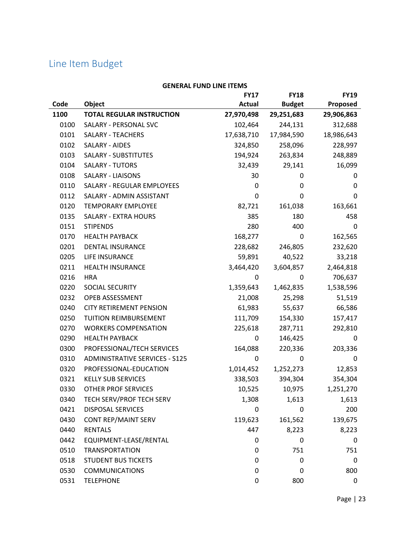# Line Item Budget

| GENERAL FUND LINE ITEMS |                                       |               |               |             |
|-------------------------|---------------------------------------|---------------|---------------|-------------|
|                         |                                       | <b>FY17</b>   | <b>FY18</b>   | <b>FY19</b> |
| Code                    | Object                                | <b>Actual</b> | <b>Budget</b> | Proposed    |
| 1100                    | <b>TOTAL REGULAR INSTRUCTION</b>      | 27,970,498    | 29,251,683    | 29,906,863  |
| 0100                    | SALARY - PERSONAL SVC                 | 102,464       | 244,131       | 312,688     |
| 0101                    | SALARY - TEACHERS                     | 17,638,710    | 17,984,590    | 18,986,643  |
| 0102                    | SALARY - AIDES                        | 324,850       | 258,096       | 228,997     |
| 0103                    | SALARY - SUBSTITUTES                  | 194,924       | 263,834       | 248,889     |
| 0104                    | SALARY - TUTORS                       | 32,439        | 29,141        | 16,099      |
| 0108                    | <b>SALARY - LIAISONS</b>              | 30            | 0             | 0           |
| 0110                    | SALARY - REGULAR EMPLOYEES            | 0             | 0             | 0           |
| 0112                    | SALARY - ADMIN ASSISTANT              | 0             | 0             | 0           |
| 0120                    | <b>TEMPORARY EMPLOYEE</b>             | 82,721        | 161,038       | 163,661     |
| 0135                    | <b>SALARY - EXTRA HOURS</b>           | 385           | 180           | 458         |
| 0151                    | <b>STIPENDS</b>                       | 280           | 400           | 0           |
| 0170                    | <b>HEALTH PAYBACK</b>                 | 168,277       | 0             | 162,565     |
| 0201                    | DENTAL INSURANCE                      | 228,682       | 246,805       | 232,620     |
| 0205                    | LIFE INSURANCE                        | 59,891        | 40,522        | 33,218      |
| 0211                    | HEALTH INSURANCE                      | 3,464,420     | 3,604,857     | 2,464,818   |
| 0216                    | <b>HRA</b>                            | 0             | 0             | 706,637     |
| 0220                    | SOCIAL SECURITY                       | 1,359,643     | 1,462,835     | 1,538,596   |
| 0232                    | OPEB ASSESSMENT                       | 21,008        | 25,298        | 51,519      |
| 0240                    | <b>CITY RETIREMENT PENSION</b>        | 61,983        | 55,637        | 66,586      |
| 0250                    | TUITION REIMBURSEMENT                 | 111,709       | 154,330       | 157,417     |
| 0270                    | <b>WORKERS COMPENSATION</b>           | 225,618       | 287,711       | 292,810     |
| 0290                    | <b>HEALTH PAYBACK</b>                 | 0             | 146,425       | 0           |
| 0300                    | PROFESSIONAL/TECH SERVICES            | 164,088       | 220,336       | 203,336     |
| 0310                    | <b>ADMINISTRATIVE SERVICES - S125</b> | 0             | 0             | 0           |
| 0320                    | PROFESSIONAL-EDUCATION                | 1,014,452     | 1,252,273     | 12,853      |
| 0321                    | <b>KELLY SUB SERVICES</b>             | 338,503       | 394,304       | 354,304     |
| 0330                    | OTHER PROF SERVICES                   | 10,525        | 10,975        | 1,251,270   |
| 0340                    | TECH SERV/PROF TECH SERV              | 1,308         | 1,613         | 1,613       |
| 0421                    | <b>DISPOSAL SERVICES</b>              | 0             | $\mathbf 0$   | 200         |
| 0430                    | <b>CONT REP/MAINT SERV</b>            | 119,623       | 161,562       | 139,675     |
| 0440                    | <b>RENTALS</b>                        | 447           | 8,223         | 8,223       |
| 0442                    | EQUIPMENT-LEASE/RENTAL                | 0             | $\mathbf 0$   | 0           |
| 0510                    | <b>TRANSPORTATION</b>                 | 0             | 751           | 751         |
| 0518                    | <b>STUDENT BUS TICKETS</b>            | 0             | $\mathbf 0$   | 0           |
| 0530                    | <b>COMMUNICATIONS</b>                 | 0             | $\mathbf 0$   | 800         |
| 0531                    | <b>TELEPHONE</b>                      | 0             | 800           | 0           |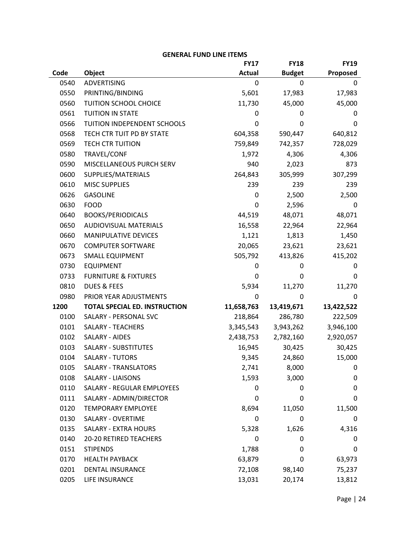|      |                                      | <b>FY17</b>   | <b>FY18</b>   | <b>FY19</b> |
|------|--------------------------------------|---------------|---------------|-------------|
| Code | Object                               | <b>Actual</b> | <b>Budget</b> | Proposed    |
| 0540 | <b>ADVERTISING</b>                   | 0             | 0             | 0           |
| 0550 | PRINTING/BINDING                     | 5,601         | 17,983        | 17,983      |
| 0560 | TUITION SCHOOL CHOICE                | 11,730        | 45,000        | 45,000      |
| 0561 | <b>TUITION IN STATE</b>              | 0             | 0             | 0           |
| 0566 | TUITION INDEPENDENT SCHOOLS          | 0             | 0             | 0           |
| 0568 | TECH CTR TUIT PD BY STATE            | 604,358       | 590,447       | 640,812     |
| 0569 | <b>TECH CTR TUITION</b>              | 759,849       | 742,357       | 728,029     |
| 0580 | TRAVEL/CONF                          | 1,972         | 4,306         | 4,306       |
| 0590 | MISCELLANEOUS PURCH SERV             | 940           | 2,023         | 873         |
| 0600 | SUPPLIES/MATERIALS                   | 264,843       | 305,999       | 307,299     |
| 0610 | <b>MISC SUPPLIES</b>                 | 239           | 239           | 239         |
| 0626 | <b>GASOLINE</b>                      | 0             | 2,500         | 2,500       |
| 0630 | <b>FOOD</b>                          | 0             | 2,596         | 0           |
| 0640 | <b>BOOKS/PERIODICALS</b>             | 44,519        | 48,071        | 48,071      |
| 0650 | <b>AUDIOVISUAL MATERIALS</b>         | 16,558        | 22,964        | 22,964      |
| 0660 | <b>MANIPULATIVE DEVICES</b>          | 1,121         | 1,813         | 1,450       |
| 0670 | <b>COMPUTER SOFTWARE</b>             | 20,065        | 23,621        | 23,621      |
| 0673 | <b>SMALL EQUIPMENT</b>               | 505,792       | 413,826       | 415,202     |
| 0730 | <b>EQUIPMENT</b>                     | 0             | 0             | 0           |
| 0733 | <b>FURNITURE &amp; FIXTURES</b>      | 0             | 0             | 0           |
| 0810 | <b>DUES &amp; FEES</b>               | 5,934         | 11,270        | 11,270      |
| 0980 | PRIOR YEAR ADJUSTMENTS               | 0             | 0             | 0           |
| 1200 | <b>TOTAL SPECIAL ED. INSTRUCTION</b> | 11,658,763    | 13,419,671    | 13,422,522  |
| 0100 | SALARY - PERSONAL SVC                | 218,864       | 286,780       | 222,509     |
| 0101 | <b>SALARY - TEACHERS</b>             | 3,345,543     | 3,943,262     | 3,946,100   |
| 0102 | <b>SALARY - AIDES</b>                | 2,438,753     | 2,782,160     | 2,920,057   |
| 0103 | <b>SALARY - SUBSTITUTES</b>          | 16,945        | 30,425        | 30,425      |
| 0104 | <b>SALARY - TUTORS</b>               | 9,345         | 24,860        | 15,000      |
| 0105 | <b>SALARY - TRANSLATORS</b>          | 2,741         | 8,000         | 0           |
| 0108 | <b>SALARY - LIAISONS</b>             | 1,593         | 3,000         | 0           |
| 0110 | SALARY - REGULAR EMPLOYEES           | 0             | 0             | 0           |
| 0111 | SALARY - ADMIN/DIRECTOR              | 0             | 0             | 0           |
| 0120 | <b>TEMPORARY EMPLOYEE</b>            | 8,694         | 11,050        | 11,500      |
| 0130 | SALARY - OVERTIME                    | 0             | 0             | 0           |
| 0135 | <b>SALARY - EXTRA HOURS</b>          | 5,328         | 1,626         | 4,316       |
| 0140 | <b>20-20 RETIRED TEACHERS</b>        | 0             | 0             | 0           |
| 0151 | <b>STIPENDS</b>                      | 1,788         | 0             | 0           |
| 0170 | <b>HEALTH PAYBACK</b>                | 63,879        | 0             | 63,973      |
| 0201 | DENTAL INSURANCE                     | 72,108        | 98,140        | 75,237      |
| 0205 | LIFE INSURANCE                       | 13,031        | 20,174        | 13,812      |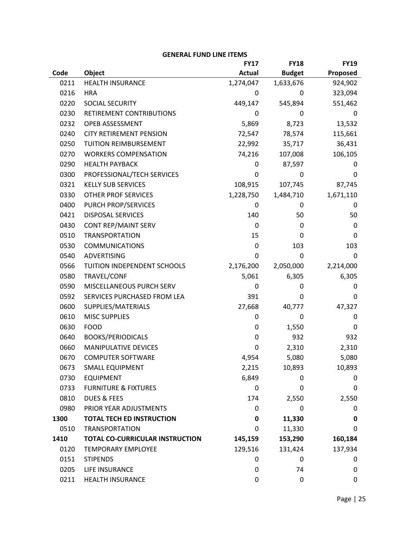|      | <b>OLINENAL FUND LINE ITEMP</b>  |               |               |             |
|------|----------------------------------|---------------|---------------|-------------|
|      |                                  | <b>FY17</b>   | <b>FY18</b>   | <b>FY19</b> |
| Code | Object                           | <b>Actual</b> | <b>Budget</b> | Proposed    |
| 0211 | <b>HEALTH INSURANCE</b>          | 1,274,047     | 1,633,676     | 924,902     |
| 0216 | <b>HRA</b>                       | 0             | 0             | 323,094     |
| 0220 | SOCIAL SECURITY                  | 449,147       | 545,894       | 551,462     |
| 0230 | RETIREMENT CONTRIBUTIONS         | 0             | 0             | 0           |
| 0232 | OPEB ASSESSMENT                  | 5,869         | 8,723         | 13,532      |
| 0240 | <b>CITY RETIREMENT PENSION</b>   | 72,547        | 78,574        | 115,661     |
| 0250 | TUITION REIMBURSEMENT            | 22,992        | 35,717        | 36,431      |
| 0270 | <b>WORKERS COMPENSATION</b>      | 74,216        | 107,008       | 106,105     |
| 0290 | <b>HEALTH PAYBACK</b>            | 0             | 87,597        | 0           |
| 0300 | PROFESSIONAL/TECH SERVICES       | 0             | 0             | 0           |
| 0321 | <b>KELLY SUB SERVICES</b>        | 108,915       | 107,745       | 87,745      |
| 0330 | <b>OTHER PROF SERVICES</b>       | 1,228,750     | 1,484,710     | 1,671,110   |
| 0400 | PURCH PROP/SERVICES              | 0             | 0             | 0           |
| 0421 | <b>DISPOSAL SERVICES</b>         | 140           | 50            | 50          |
| 0430 | CONT REP/MAINT SERV              | 0             | 0             | 0           |
| 0510 | <b>TRANSPORTATION</b>            | 15            | 0             | 0           |
| 0530 | <b>COMMUNICATIONS</b>            | 0             | 103           | 103         |
| 0540 | <b>ADVERTISING</b>               | 0             | 0             | 0           |
| 0566 | TUITION INDEPENDENT SCHOOLS      | 2,176,200     | 2,050,000     | 2,214,000   |
| 0580 | TRAVEL/CONF                      | 5,061         | 6,305         | 6,305       |
| 0590 | MISCELLANEOUS PURCH SERV         | 0             | 0             | 0           |
| 0592 | SERVICES PURCHASED FROM LEA      | 391           | 0             | 0           |
| 0600 | SUPPLIES/MATERIALS               | 27,668        | 40,777        | 47,327      |
| 0610 | <b>MISC SUPPLIES</b>             | 0             | 0             | 0           |
| 0630 | <b>FOOD</b>                      | 0             | 1,550         | 0           |
| 0640 | <b>BOOKS/PERIODICALS</b>         | 0             | 932           | 932         |
| 0660 | MANIPULATIVE DEVICES             | 0             | 2,310         | 2,310       |
| 0670 | <b>COMPUTER SOFTWARE</b>         | 4,954         | 5,080         | 5,080       |
| 0673 | SMALL EQUIPMENT                  | 2,215         | 10,893        | 10,893      |
| 0730 | <b>EQUIPMENT</b>                 | 6,849         | 0             | 0           |
| 0733 | <b>FURNITURE &amp; FIXTURES</b>  | 0             | 0             | 0           |
| 0810 | <b>DUES &amp; FEES</b>           | 174           | 2,550         | 2,550       |
| 0980 | PRIOR YEAR ADJUSTMENTS           | 0             | 0             | 0           |
| 1300 | <b>TOTAL TECH ED INSTRUCTION</b> | 0             | 11,330        | 0           |
| 0510 | <b>TRANSPORTATION</b>            | 0             | 11,330        | 0           |
| 1410 | TOTAL CO-CURRICULAR INSTRUCTION  | 145,159       | 153,290       | 160,184     |
| 0120 | <b>TEMPORARY EMPLOYEE</b>        | 129,516       | 131,424       | 137,934     |
| 0151 | <b>STIPENDS</b>                  | 0             | 0             | 0           |
| 0205 | LIFE INSURANCE                   | 0             | 74            | 0           |
| 0211 | HEALTH INSURANCE                 | 0             | 0             | 0           |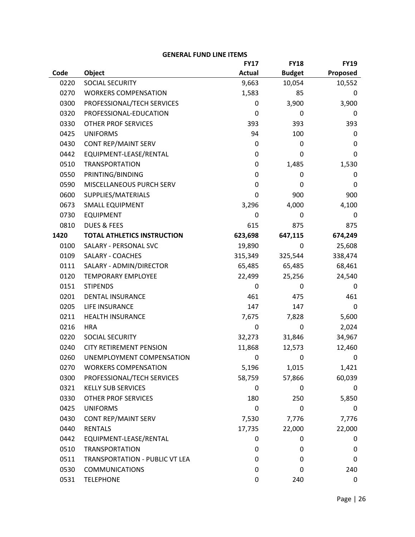|      |                                    | <b>FY17</b>   | <b>FY18</b>   | <b>FY19</b> |
|------|------------------------------------|---------------|---------------|-------------|
| Code | <b>Object</b>                      | <b>Actual</b> | <b>Budget</b> | Proposed    |
| 0220 | SOCIAL SECURITY                    | 9,663         | 10,054        | 10,552      |
| 0270 | <b>WORKERS COMPENSATION</b>        | 1,583         | 85            | 0           |
| 0300 | PROFESSIONAL/TECH SERVICES         | 0             | 3,900         | 3,900       |
| 0320 | PROFESSIONAL-EDUCATION             | 0             | 0             | 0           |
| 0330 | <b>OTHER PROF SERVICES</b>         | 393           | 393           | 393         |
| 0425 | <b>UNIFORMS</b>                    | 94            | 100           | 0           |
| 0430 | CONT REP/MAINT SERV                | 0             | 0             | 0           |
| 0442 | EQUIPMENT-LEASE/RENTAL             | 0             | 0             | 0           |
| 0510 | <b>TRANSPORTATION</b>              | 0             | 1,485         | 1,530       |
| 0550 | PRINTING/BINDING                   | 0             | 0             | 0           |
| 0590 | MISCELLANEOUS PURCH SERV           | 0             | 0             | 0           |
| 0600 | SUPPLIES/MATERIALS                 | 0             | 900           | 900         |
| 0673 | <b>SMALL EQUIPMENT</b>             | 3,296         | 4,000         | 4,100       |
| 0730 | <b>EQUIPMENT</b>                   | 0             | 0             | 0           |
| 0810 | <b>DUES &amp; FEES</b>             | 615           | 875           | 875         |
| 1420 | <b>TOTAL ATHLETICS INSTRUCTION</b> | 623,698       | 647,115       | 674,249     |
| 0100 | SALARY - PERSONAL SVC              | 19,890        | 0             | 25,608      |
| 0109 | SALARY - COACHES                   | 315,349       | 325,544       | 338,474     |
| 0111 | SALARY - ADMIN/DIRECTOR            | 65,485        | 65,485        | 68,461      |
| 0120 | <b>TEMPORARY EMPLOYEE</b>          | 22,499        | 25,256        | 24,540      |
| 0151 | <b>STIPENDS</b>                    | 0             | 0             | 0           |
| 0201 | <b>DENTAL INSURANCE</b>            | 461           | 475           | 461         |
| 0205 | LIFE INSURANCE                     | 147           | 147           | 0           |
| 0211 | <b>HEALTH INSURANCE</b>            | 7,675         | 7,828         | 5,600       |
| 0216 | <b>HRA</b>                         | 0             | 0             | 2,024       |
| 0220 | SOCIAL SECURITY                    | 32,273        | 31,846        | 34,967      |
| 0240 | <b>CITY RETIREMENT PENSION</b>     | 11,868        | 12,573        | 12,460      |
| 0260 | UNEMPLOYMENT COMPENSATION          | 0             | 0             | 0           |
| 0270 | <b>WORKERS COMPENSATION</b>        | 5,196         | 1,015         | 1,421       |
| 0300 | PROFESSIONAL/TECH SERVICES         | 58,759        | 57,866        | 60,039      |
| 0321 | <b>KELLY SUB SERVICES</b>          | 0             | 0             | 0           |
| 0330 | OTHER PROF SERVICES                | 180           | 250           | 5,850       |
| 0425 | <b>UNIFORMS</b>                    | 0             | 0             | 0           |
| 0430 | CONT REP/MAINT SERV                | 7,530         | 7,776         | 7,776       |
| 0440 | <b>RENTALS</b>                     | 17,735        | 22,000        | 22,000      |
| 0442 | EQUIPMENT-LEASE/RENTAL             | 0             | 0             | 0           |
| 0510 | <b>TRANSPORTATION</b>              | 0             | 0             | 0           |
| 0511 | TRANSPORTATION - PUBLIC VT LEA     | 0             | 0             | 0           |
| 0530 | <b>COMMUNICATIONS</b>              | 0             | 0             | 240         |
| 0531 | <b>TELEPHONE</b>                   | 0             | 240           | 0           |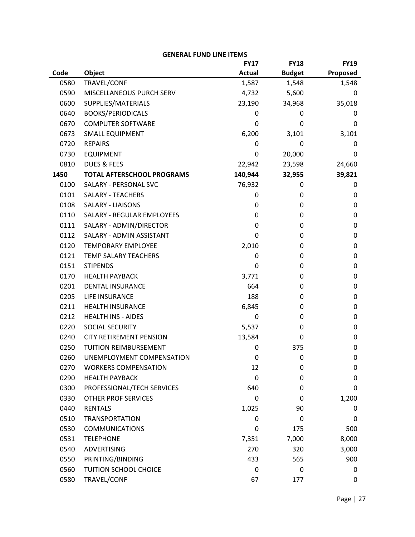|      | ALIJAL LAIAN FIIAF I I FIAI?      |               |               |             |
|------|-----------------------------------|---------------|---------------|-------------|
|      |                                   | <b>FY17</b>   | <b>FY18</b>   | <b>FY19</b> |
| Code | Object                            | <b>Actual</b> | <b>Budget</b> | Proposed    |
| 0580 | TRAVEL/CONF                       | 1,587         | 1,548         | 1,548       |
| 0590 | MISCELLANEOUS PURCH SERV          | 4,732         | 5,600         | 0           |
| 0600 | SUPPLIES/MATERIALS                | 23,190        | 34,968        | 35,018      |
| 0640 | <b>BOOKS/PERIODICALS</b>          | 0             | 0             | 0           |
| 0670 | <b>COMPUTER SOFTWARE</b>          | 0             | 0             | 0           |
| 0673 | <b>SMALL EQUIPMENT</b>            | 6,200         | 3,101         | 3,101       |
| 0720 | <b>REPAIRS</b>                    | 0             | 0             | 0           |
| 0730 | <b>EQUIPMENT</b>                  | 0             | 20,000        | 0           |
| 0810 | <b>DUES &amp; FEES</b>            | 22,942        | 23,598        | 24,660      |
| 1450 | <b>TOTAL AFTERSCHOOL PROGRAMS</b> | 140,944       | 32,955        | 39,821      |
| 0100 | SALARY - PERSONAL SVC             | 76,932        | 0             | 0           |
| 0101 | <b>SALARY - TEACHERS</b>          | 0             | 0             | 0           |
| 0108 | <b>SALARY - LIAISONS</b>          | 0             | 0             | 0           |
| 0110 | <b>SALARY - REGULAR EMPLOYEES</b> | 0             | 0             | 0           |
| 0111 | SALARY - ADMIN/DIRECTOR           | 0             | 0             | $\mathbf 0$ |
| 0112 | SALARY - ADMIN ASSISTANT          | 0             | 0             | $\mathbf 0$ |
| 0120 | <b>TEMPORARY EMPLOYEE</b>         | 2,010         | 0             | 0           |
| 0121 | TEMP SALARY TEACHERS              | 0             | 0             | $\mathbf 0$ |
| 0151 | <b>STIPENDS</b>                   | 0             | 0             | $\mathbf 0$ |
| 0170 | <b>HEALTH PAYBACK</b>             | 3,771         | 0             | $\mathbf 0$ |
| 0201 | <b>DENTAL INSURANCE</b>           | 664           | 0             | 0           |
| 0205 | LIFE INSURANCE                    | 188           | 0             | $\mathbf 0$ |
| 0211 | <b>HEALTH INSURANCE</b>           | 6,845         | 0             | $\mathbf 0$ |
| 0212 | <b>HEALTH INS - AIDES</b>         | 0             | 0             | $\mathbf 0$ |
| 0220 | SOCIAL SECURITY                   | 5,537         | 0             | 0           |
| 0240 | <b>CITY RETIREMENT PENSION</b>    | 13,584        | 0             | 0           |
| 0250 | TUITION REIMBURSEMENT             | 0             | 375           | 0           |
| 0260 | UNEMPLOYMENT COMPENSATION         | 0             | 0             | 0           |
| 0270 | <b>WORKERS COMPENSATION</b>       | 12            | 0             | 0           |
| 0290 | <b>HEALTH PAYBACK</b>             | 0             | 0             | 0           |
| 0300 | PROFESSIONAL/TECH SERVICES        | 640           | 0             | 0           |
| 0330 | OTHER PROF SERVICES               | 0             | 0             | 1,200       |
| 0440 | <b>RENTALS</b>                    | 1,025         | 90            | 0           |
| 0510 | <b>TRANSPORTATION</b>             | 0             | 0             | 0           |
| 0530 | <b>COMMUNICATIONS</b>             | 0             | 175           | 500         |
| 0531 | <b>TELEPHONE</b>                  | 7,351         | 7,000         | 8,000       |
| 0540 | <b>ADVERTISING</b>                | 270           | 320           | 3,000       |
| 0550 | PRINTING/BINDING                  | 433           | 565           | 900         |
| 0560 | TUITION SCHOOL CHOICE             | 0             | 0             | 0           |
| 0580 | TRAVEL/CONF                       | 67            | 177           | 0           |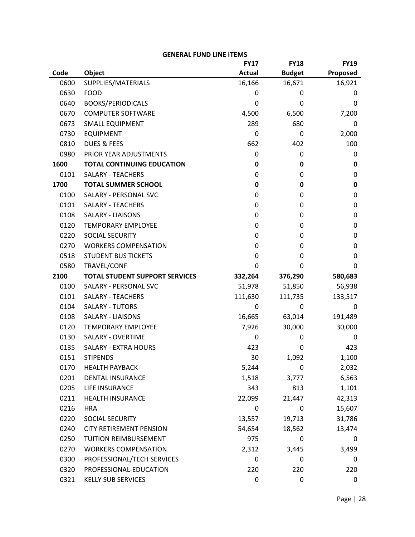|      |                                       | <b>FY17</b>   | <b>FY18</b>   | <b>FY19</b> |
|------|---------------------------------------|---------------|---------------|-------------|
| Code | Object                                | <b>Actual</b> | <b>Budget</b> | Proposed    |
| 0600 | SUPPLIES/MATERIALS                    | 16,166        | 16,671        | 16,921      |
| 0630 | <b>FOOD</b>                           | 0             | 0             | 0           |
| 0640 | <b>BOOKS/PERIODICALS</b>              | 0             | 0             | 0           |
| 0670 | <b>COMPUTER SOFTWARE</b>              | 4,500         | 6,500         | 7,200       |
| 0673 | <b>SMALL EQUIPMENT</b>                | 289           | 680           | 0           |
| 0730 | <b>EQUIPMENT</b>                      | 0             | 0             | 2,000       |
| 0810 | <b>DUES &amp; FEES</b>                | 662           | 402           | 100         |
| 0980 | PRIOR YEAR ADJUSTMENTS                | 0             | 0             | 0           |
| 1600 | <b>TOTAL CONTINUING EDUCATION</b>     | 0             | 0             | 0           |
| 0101 | <b>SALARY - TEACHERS</b>              | 0             | 0             | 0           |
| 1700 | <b>TOTAL SUMMER SCHOOL</b>            | 0             | 0             | 0           |
| 0100 | SALARY - PERSONAL SVC                 | 0             | 0             | 0           |
| 0101 | <b>SALARY - TEACHERS</b>              | 0             | 0             | 0           |
| 0108 | <b>SALARY - LIAISONS</b>              | 0             | 0             | 0           |
| 0120 | <b>TEMPORARY EMPLOYEE</b>             | 0             | 0             | 0           |
| 0220 | SOCIAL SECURITY                       | 0             | 0             | 0           |
| 0270 | <b>WORKERS COMPENSATION</b>           | 0             | 0             | 0           |
| 0518 | <b>STUDENT BUS TICKETS</b>            | 0             | 0             | 0           |
| 0580 | TRAVEL/CONF                           | 0             | 0             | 0           |
| 2100 | <b>TOTAL STUDENT SUPPORT SERVICES</b> | 332,264       | 376,290       | 580,683     |
| 0100 | SALARY - PERSONAL SVC                 | 51,978        | 51,850        | 56,938      |
| 0101 | <b>SALARY - TEACHERS</b>              | 111,630       | 111,735       | 133,517     |
| 0104 | <b>SALARY - TUTORS</b>                | 0             | 0             | 0           |
| 0108 | <b>SALARY - LIAISONS</b>              | 16,665        | 63,014        | 191,489     |
| 0120 | <b>TEMPORARY EMPLOYEE</b>             | 7,926         | 30,000        | 30,000      |
| 0130 | SALARY - OVERTIME                     | 0             | 0             | 0           |
| 0135 | <b>SALARY - EXTRA HOURS</b>           | 423           | 0             | 423         |
| 0151 | <b>STIPENDS</b>                       | 30            | 1,092         | 1,100       |
| 0170 | <b>HEALTH PAYBACK</b>                 | 5,244         | 0             | 2,032       |
| 0201 | <b>DENTAL INSURANCE</b>               | 1,518         | 3,777         | 6,563       |
| 0205 | LIFE INSURANCE                        | 343           | 813           | 1,101       |
| 0211 | HEALTH INSURANCE                      | 22,099        | 21,447        | 42,313      |
| 0216 | <b>HRA</b>                            | 0             | 0             | 15,607      |
| 0220 | SOCIAL SECURITY                       | 13,557        | 19,713        | 31,786      |
| 0240 | <b>CITY RETIREMENT PENSION</b>        | 54,654        | 18,562        | 13,474      |
| 0250 | TUITION REIMBURSEMENT                 | 975           | 0             | 0           |
| 0270 | <b>WORKERS COMPENSATION</b>           | 2,312         | 3,445         | 3,499       |
| 0300 | PROFESSIONAL/TECH SERVICES            | 0             | 0             | 0           |
| 0320 | PROFESSIONAL-EDUCATION                | 220           | 220           | 220         |
| 0321 | <b>KELLY SUB SERVICES</b>             | 0             | 0             | 0           |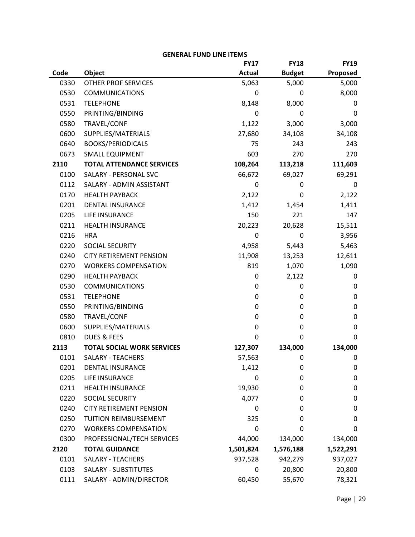|      |                                   | <b>FY17</b>   | <b>FY18</b>   | <b>FY19</b> |
|------|-----------------------------------|---------------|---------------|-------------|
| Code | Object                            | <b>Actual</b> | <b>Budget</b> | Proposed    |
| 0330 | <b>OTHER PROF SERVICES</b>        | 5,063         | 5,000         | 5,000       |
| 0530 | <b>COMMUNICATIONS</b>             | 0             | 0             | 8,000       |
| 0531 | <b>TELEPHONE</b>                  | 8,148         | 8,000         | 0           |
| 0550 | PRINTING/BINDING                  | 0             | 0             | 0           |
| 0580 | TRAVEL/CONF                       | 1,122         | 3,000         | 3,000       |
| 0600 | SUPPLIES/MATERIALS                | 27,680        | 34,108        | 34,108      |
| 0640 | <b>BOOKS/PERIODICALS</b>          | 75            | 243           | 243         |
| 0673 | <b>SMALL EQUIPMENT</b>            | 603           | 270           | 270         |
| 2110 | <b>TOTAL ATTENDANCE SERVICES</b>  | 108,264       | 113,218       | 111,603     |
| 0100 | SALARY - PERSONAL SVC             | 66,672        | 69,027        | 69,291      |
| 0112 | SALARY - ADMIN ASSISTANT          | 0             | 0             | 0           |
| 0170 | <b>HEALTH PAYBACK</b>             | 2,122         | 0             | 2,122       |
| 0201 | <b>DENTAL INSURANCE</b>           | 1,412         | 1,454         | 1,411       |
| 0205 | LIFE INSURANCE                    | 150           | 221           | 147         |
| 0211 | <b>HEALTH INSURANCE</b>           | 20,223        | 20,628        | 15,511      |
| 0216 | <b>HRA</b>                        | 0             | 0             | 3,956       |
| 0220 | SOCIAL SECURITY                   | 4,958         | 5,443         | 5,463       |
| 0240 | <b>CITY RETIREMENT PENSION</b>    | 11,908        | 13,253        | 12,611      |
| 0270 | <b>WORKERS COMPENSATION</b>       | 819           | 1,070         | 1,090       |
| 0290 | <b>HEALTH PAYBACK</b>             | 0             | 2,122         | 0           |
| 0530 | <b>COMMUNICATIONS</b>             | 0             | 0             | 0           |
| 0531 | <b>TELEPHONE</b>                  | 0             | 0             | 0           |
| 0550 | PRINTING/BINDING                  | 0             | 0             | 0           |
| 0580 | TRAVEL/CONF                       | 0             | 0             | 0           |
| 0600 | SUPPLIES/MATERIALS                | 0             | 0             | 0           |
| 0810 | <b>DUES &amp; FEES</b>            | 0             | 0             | 0           |
| 2113 | <b>TOTAL SOCIAL WORK SERVICES</b> | 127,307       | 134,000       | 134,000     |
| 0101 | SALARY - TEACHERS                 | 57,563        | 0             | 0           |
| 0201 | <b>DENTAL INSURANCE</b>           | 1,412         | 0             | 0           |
| 0205 | LIFE INSURANCE                    | 0             | 0             | 0           |
| 0211 | <b>HEALTH INSURANCE</b>           | 19,930        | 0             | 0           |
| 0220 | SOCIAL SECURITY                   | 4,077         | 0             | 0           |
| 0240 | <b>CITY RETIREMENT PENSION</b>    | 0             | 0             | 0           |
| 0250 | TUITION REIMBURSEMENT             | 325           | 0             | 0           |
| 0270 | <b>WORKERS COMPENSATION</b>       | 0             | 0             | 0           |
| 0300 | PROFESSIONAL/TECH SERVICES        | 44,000        | 134,000       | 134,000     |
| 2120 | <b>TOTAL GUIDANCE</b>             | 1,501,824     | 1,576,188     | 1,522,291   |
| 0101 | <b>SALARY - TEACHERS</b>          | 937,528       | 942,279       | 937,027     |
| 0103 | <b>SALARY - SUBSTITUTES</b>       | 0             | 20,800        | 20,800      |
| 0111 | SALARY - ADMIN/DIRECTOR           | 60,450        | 55,670        | 78,321      |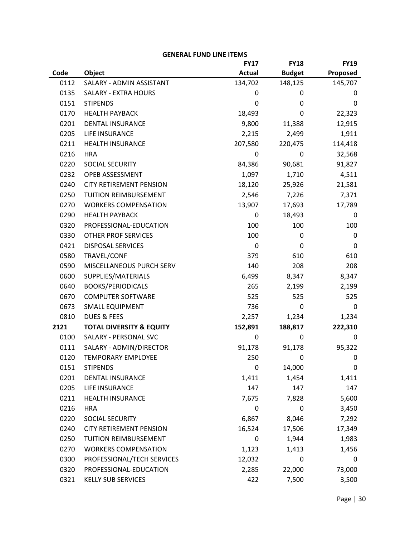|      |                                     | <b>FY17</b>   | <b>FY18</b>   | <b>FY19</b> |
|------|-------------------------------------|---------------|---------------|-------------|
| Code | Object                              | <b>Actual</b> | <b>Budget</b> | Proposed    |
| 0112 | SALARY - ADMIN ASSISTANT            | 134,702       | 148,125       | 145,707     |
| 0135 | SALARY - EXTRA HOURS                | 0             | 0             | 0           |
| 0151 | <b>STIPENDS</b>                     | 0             | 0             | 0           |
| 0170 | <b>HEALTH PAYBACK</b>               | 18,493        | 0             | 22,323      |
| 0201 | DENTAL INSURANCE                    | 9,800         | 11,388        | 12,915      |
| 0205 | LIFE INSURANCE                      | 2,215         | 2,499         | 1,911       |
| 0211 | HEALTH INSURANCE                    | 207,580       | 220,475       | 114,418     |
| 0216 | <b>HRA</b>                          | 0             | 0             | 32,568      |
| 0220 | SOCIAL SECURITY                     | 84,386        | 90,681        | 91,827      |
| 0232 | OPEB ASSESSMENT                     | 1,097         | 1,710         | 4,511       |
| 0240 | <b>CITY RETIREMENT PENSION</b>      | 18,120        | 25,926        | 21,581      |
| 0250 | TUITION REIMBURSEMENT               | 2,546         | 7,226         | 7,371       |
| 0270 | <b>WORKERS COMPENSATION</b>         | 13,907        | 17,693        | 17,789      |
| 0290 | <b>HEALTH PAYBACK</b>               | 0             | 18,493        | 0           |
| 0320 | PROFESSIONAL-EDUCATION              | 100           | 100           | 100         |
| 0330 | OTHER PROF SERVICES                 | 100           | $\mathbf 0$   | 0           |
| 0421 | <b>DISPOSAL SERVICES</b>            | 0             | 0             | 0           |
| 0580 | TRAVEL/CONF                         | 379           | 610           | 610         |
| 0590 | MISCELLANEOUS PURCH SERV            | 140           | 208           | 208         |
| 0600 | SUPPLIES/MATERIALS                  | 6,499         | 8,347         | 8,347       |
| 0640 | <b>BOOKS/PERIODICALS</b>            | 265           | 2,199         | 2,199       |
| 0670 | <b>COMPUTER SOFTWARE</b>            | 525           | 525           | 525         |
| 0673 | <b>SMALL EQUIPMENT</b>              | 736           | 0             | 0           |
| 0810 | <b>DUES &amp; FEES</b>              | 2,257         | 1,234         | 1,234       |
| 2121 | <b>TOTAL DIVERSITY &amp; EQUITY</b> | 152,891       | 188,817       | 222,310     |
| 0100 | SALARY - PERSONAL SVC               | 0             | 0             | 0           |
| 0111 | SALARY - ADMIN/DIRECTOR             | 91,178        | 91,178        | 95,322      |
| 0120 | <b>TEMPORARY EMPLOYEE</b>           | 250           | 0             | 0           |
| 0151 | <b>STIPENDS</b>                     | 0             | 14,000        | 0           |
| 0201 | DENTAL INSURANCE                    | 1,411         | 1,454         | 1,411       |
| 0205 | LIFE INSURANCE                      | 147           | 147           | 147         |
| 0211 | HEALTH INSURANCE                    | 7,675         | 7,828         | 5,600       |
| 0216 | <b>HRA</b>                          | 0             | 0             | 3,450       |
| 0220 | SOCIAL SECURITY                     | 6,867         | 8,046         | 7,292       |
| 0240 | <b>CITY RETIREMENT PENSION</b>      | 16,524        | 17,506        | 17,349      |
| 0250 | TUITION REIMBURSEMENT               | 0             | 1,944         | 1,983       |
| 0270 | <b>WORKERS COMPENSATION</b>         | 1,123         | 1,413         | 1,456       |
| 0300 | PROFESSIONAL/TECH SERVICES          | 12,032        | 0             | 0           |
| 0320 | PROFESSIONAL-EDUCATION              | 2,285         | 22,000        | 73,000      |
| 0321 | <b>KELLY SUB SERVICES</b>           | 422           | 7,500         | 3,500       |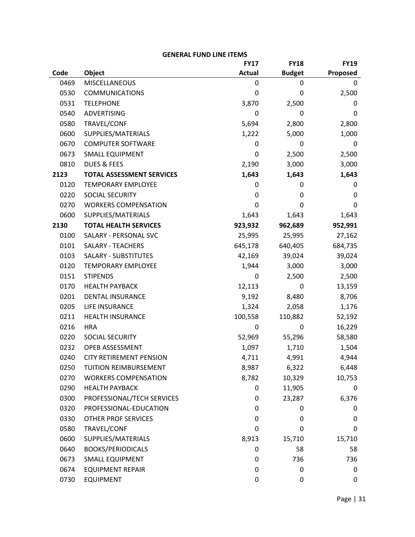|      |                                  | <b>FY17</b>   | <b>FY18</b>   | <b>FY19</b> |
|------|----------------------------------|---------------|---------------|-------------|
| Code | <b>Object</b>                    | <b>Actual</b> | <b>Budget</b> | Proposed    |
| 0469 | <b>MISCELLANEOUS</b>             | 0             | 0             | 0           |
| 0530 | <b>COMMUNICATIONS</b>            | 0             | 0             | 2,500       |
| 0531 | <b>TELEPHONE</b>                 | 3,870         | 2,500         | 0           |
| 0540 | ADVERTISING                      | 0             | 0             | $\mathbf 0$ |
| 0580 | TRAVEL/CONF                      | 5,694         | 2,800         | 2,800       |
| 0600 | SUPPLIES/MATERIALS               | 1,222         | 5,000         | 1,000       |
| 0670 | <b>COMPUTER SOFTWARE</b>         | 0             | 0             | 0           |
| 0673 | <b>SMALL EQUIPMENT</b>           | 0             | 2,500         | 2,500       |
| 0810 | <b>DUES &amp; FEES</b>           | 2,190         | 3,000         | 3,000       |
| 2123 | <b>TOTAL ASSESSMENT SERVICES</b> | 1,643         | 1,643         | 1,643       |
| 0120 | <b>TEMPORARY EMPLOYEE</b>        | 0             | 0             | 0           |
| 0220 | SOCIAL SECURITY                  | 0             | 0             | $\mathbf 0$ |
| 0270 | <b>WORKERS COMPENSATION</b>      | 0             | 0             | 0           |
| 0600 | SUPPLIES/MATERIALS               | 1,643         | 1,643         | 1,643       |
| 2130 | <b>TOTAL HEALTH SERVICES</b>     | 923,932       | 962,689       | 952,991     |
| 0100 | SALARY - PERSONAL SVC            | 25,995        | 25,995        | 27,162      |
| 0101 | <b>SALARY - TEACHERS</b>         | 645,178       | 640,405       | 684,735     |
| 0103 | <b>SALARY - SUBSTITUTES</b>      | 42,169        | 39,024        | 39,024      |
| 0120 | <b>TEMPORARY EMPLOYEE</b>        | 1,944         | 3,000         | 3,000       |
| 0151 | <b>STIPENDS</b>                  | 0             | 2,500         | 2,500       |
| 0170 | <b>HEALTH PAYBACK</b>            | 12,113        | 0             | 13,159      |
| 0201 | <b>DENTAL INSURANCE</b>          | 9,192         | 8,480         | 8,706       |
| 0205 | LIFE INSURANCE                   | 1,324         | 2,058         | 1,176       |
| 0211 | <b>HEALTH INSURANCE</b>          | 100,558       | 110,882       | 52,192      |
| 0216 | <b>HRA</b>                       | 0             | 0             | 16,229      |
| 0220 | SOCIAL SECURITY                  | 52,969        | 55,296        | 58,580      |
| 0232 | OPEB ASSESSMENT                  | 1,097         | 1,710         | 1,504       |
| 0240 | <b>CITY RETIREMENT PENSION</b>   | 4,711         | 4,991         | 4,944       |
| 0250 | TUITION REIMBURSEMENT            | 8,987         | 6,322         | 6,448       |
| 0270 | <b>WORKERS COMPENSATION</b>      | 8,782         | 10,329        | 10,753      |
| 0290 | <b>HEALTH PAYBACK</b>            | 0             | 11,905        | 0           |
| 0300 | PROFESSIONAL/TECH SERVICES       | 0             | 23,287        | 6,376       |
| 0320 | PROFESSIONAL-EDUCATION           | 0             | 0             | 0           |
| 0330 | <b>OTHER PROF SERVICES</b>       | 0             | 0             | $\mathbf 0$ |
| 0580 | TRAVEL/CONF                      | 0             | 0             | 0           |
| 0600 | SUPPLIES/MATERIALS               | 8,913         | 15,710        | 15,710      |
| 0640 | <b>BOOKS/PERIODICALS</b>         | 0             | 58            | 58          |
| 0673 | <b>SMALL EQUIPMENT</b>           | 0             | 736           | 736         |
| 0674 | <b>EQUIPMENT REPAIR</b>          | 0             | 0             | 0           |
| 0730 | <b>EQUIPMENT</b>                 | 0             | 0             | 0           |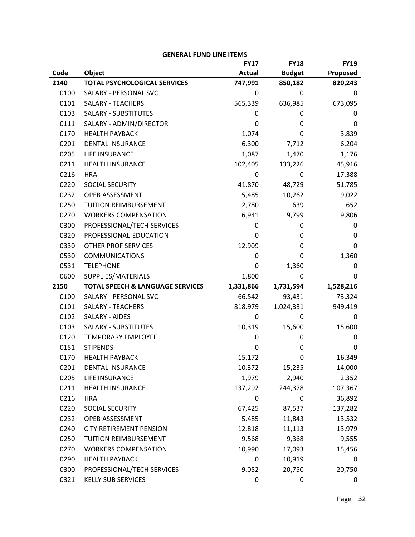|      |                                             | <b>FY17</b>   | <b>FY18</b>   | <b>FY19</b> |
|------|---------------------------------------------|---------------|---------------|-------------|
| Code | <b>Object</b>                               | <b>Actual</b> | <b>Budget</b> | Proposed    |
| 2140 | <b>TOTAL PSYCHOLOGICAL SERVICES</b>         | 747,991       | 850,182       | 820,243     |
| 0100 | SALARY - PERSONAL SVC                       | 0             | 0             | 0           |
| 0101 | <b>SALARY - TEACHERS</b>                    | 565,339       | 636,985       | 673,095     |
| 0103 | SALARY - SUBSTITUTES                        | 0             | 0             | 0           |
| 0111 | SALARY - ADMIN/DIRECTOR                     | 0             | 0             | 0           |
| 0170 | <b>HEALTH PAYBACK</b>                       | 1,074         | 0             | 3,839       |
| 0201 | <b>DENTAL INSURANCE</b>                     | 6,300         | 7,712         | 6,204       |
| 0205 | LIFE INSURANCE                              | 1,087         | 1,470         | 1,176       |
| 0211 | <b>HEALTH INSURANCE</b>                     | 102,405       | 133,226       | 45,916      |
| 0216 | <b>HRA</b>                                  | 0             | 0             | 17,388      |
| 0220 | SOCIAL SECURITY                             | 41,870        | 48,729        | 51,785      |
| 0232 | OPEB ASSESSMENT                             | 5,485         | 10,262        | 9,022       |
| 0250 | TUITION REIMBURSEMENT                       | 2,780         | 639           | 652         |
| 0270 | <b>WORKERS COMPENSATION</b>                 | 6,941         | 9,799         | 9,806       |
| 0300 | PROFESSIONAL/TECH SERVICES                  | 0             | 0             | 0           |
| 0320 | PROFESSIONAL-EDUCATION                      | 0             | 0             | 0           |
| 0330 | <b>OTHER PROF SERVICES</b>                  | 12,909        | 0             | 0           |
| 0530 | <b>COMMUNICATIONS</b>                       | 0             | 0             | 1,360       |
| 0531 | <b>TELEPHONE</b>                            | 0             | 1,360         | 0           |
| 0600 | SUPPLIES/MATERIALS                          | 1,800         | 0             | 0           |
| 2150 | <b>TOTAL SPEECH &amp; LANGUAGE SERVICES</b> | 1,331,866     | 1,731,594     | 1,528,216   |
| 0100 | SALARY - PERSONAL SVC                       | 66,542        | 93,431        | 73,324      |
| 0101 | <b>SALARY - TEACHERS</b>                    | 818,979       | 1,024,331     | 949,419     |
| 0102 | SALARY - AIDES                              | 0             | 0             | 0           |
| 0103 | <b>SALARY - SUBSTITUTES</b>                 | 10,319        | 15,600        | 15,600      |
| 0120 | <b>TEMPORARY EMPLOYEE</b>                   | 0             | 0             | 0           |
| 0151 | <b>STIPENDS</b>                             | 0             | 0             | 0           |
| 0170 | <b>HEALTH PAYBACK</b>                       | 15,172        | 0             | 16,349      |
| 0201 | DENTAL INSURANCE                            | 10,372        | 15,235        | 14,000      |
| 0205 | LIFE INSURANCE                              | 1,979         | 2,940         | 2,352       |
| 0211 | <b>HEALTH INSURANCE</b>                     | 137,292       | 244,378       | 107,367     |
| 0216 | <b>HRA</b>                                  | 0             | 0             | 36,892      |
| 0220 | SOCIAL SECURITY                             | 67,425        | 87,537        | 137,282     |
| 0232 | OPEB ASSESSMENT                             | 5,485         | 11,843        | 13,532      |
| 0240 | <b>CITY RETIREMENT PENSION</b>              | 12,818        | 11,113        | 13,979      |
| 0250 | TUITION REIMBURSEMENT                       | 9,568         | 9,368         | 9,555       |
| 0270 | <b>WORKERS COMPENSATION</b>                 | 10,990        | 17,093        | 15,456      |
| 0290 | <b>HEALTH PAYBACK</b>                       | 0             | 10,919        | 0           |
| 0300 | PROFESSIONAL/TECH SERVICES                  | 9,052         | 20,750        | 20,750      |
| 0321 | <b>KELLY SUB SERVICES</b>                   | 0             | 0             | 0           |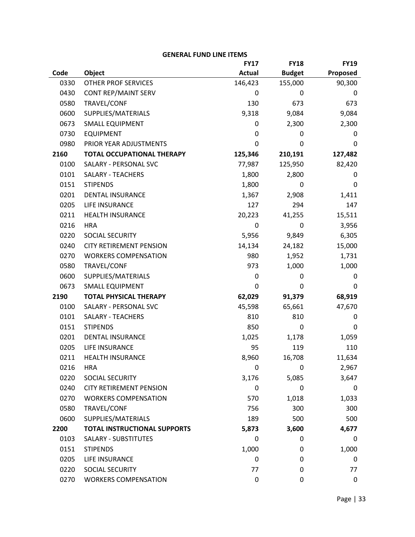|      |                                     | <b>FY17</b>   | <b>FY18</b>   | <b>FY19</b> |
|------|-------------------------------------|---------------|---------------|-------------|
| Code | Object                              | <b>Actual</b> | <b>Budget</b> | Proposed    |
| 0330 | <b>OTHER PROF SERVICES</b>          | 146,423       | 155,000       | 90,300      |
| 0430 | CONT REP/MAINT SERV                 | 0             | 0             | 0           |
| 0580 | TRAVEL/CONF                         | 130           | 673           | 673         |
| 0600 | SUPPLIES/MATERIALS                  | 9,318         | 9,084         | 9,084       |
| 0673 | <b>SMALL EQUIPMENT</b>              | 0             | 2,300         | 2,300       |
| 0730 | <b>EQUIPMENT</b>                    | 0             | 0             | 0           |
| 0980 | PRIOR YEAR ADJUSTMENTS              | 0             | 0             | 0           |
| 2160 | <b>TOTAL OCCUPATIONAL THERAPY</b>   | 125,346       | 210,191       | 127,482     |
| 0100 | SALARY - PERSONAL SVC               | 77,987        | 125,950       | 82,420      |
| 0101 | <b>SALARY - TEACHERS</b>            | 1,800         | 2,800         | 0           |
| 0151 | <b>STIPENDS</b>                     | 1,800         | 0             | 0           |
| 0201 | <b>DENTAL INSURANCE</b>             | 1,367         | 2,908         | 1,411       |
| 0205 | LIFE INSURANCE                      | 127           | 294           | 147         |
| 0211 | <b>HEALTH INSURANCE</b>             | 20,223        | 41,255        | 15,511      |
| 0216 | <b>HRA</b>                          | 0             | 0             | 3,956       |
| 0220 | SOCIAL SECURITY                     | 5,956         | 9,849         | 6,305       |
| 0240 | <b>CITY RETIREMENT PENSION</b>      | 14,134        | 24,182        | 15,000      |
| 0270 | <b>WORKERS COMPENSATION</b>         | 980           | 1,952         | 1,731       |
| 0580 | TRAVEL/CONF                         | 973           | 1,000         | 1,000       |
| 0600 | SUPPLIES/MATERIALS                  | 0             | 0             | 0           |
| 0673 | <b>SMALL EQUIPMENT</b>              | 0             | 0             | 0           |
| 2190 | <b>TOTAL PHYSICAL THERAPY</b>       | 62,029        | 91,379        | 68,919      |
| 0100 | SALARY - PERSONAL SVC               | 45,598        | 65,661        | 47,670      |
| 0101 | <b>SALARY - TEACHERS</b>            | 810           | 810           | 0           |
| 0151 | <b>STIPENDS</b>                     | 850           | 0             | 0           |
| 0201 | DENTAL INSURANCE                    | 1,025         | 1,178         | 1,059       |
| 0205 | LIFE INSURANCE                      | 95            | 119           | 110         |
| 0211 | <b>HEALTH INSURANCE</b>             | 8,960         | 16,708        | 11,634      |
| 0216 | <b>HRA</b>                          | 0             | 0             | 2,967       |
| 0220 | SOCIAL SECURITY                     | 3,176         | 5,085         | 3,647       |
| 0240 | <b>CITY RETIREMENT PENSION</b>      | 0             | 0             | 0           |
| 0270 | <b>WORKERS COMPENSATION</b>         | 570           | 1,018         | 1,033       |
| 0580 | TRAVEL/CONF                         | 756           | 300           | 300         |
| 0600 | SUPPLIES/MATERIALS                  | 189           | 500           | 500         |
| 2200 | <b>TOTAL INSTRUCTIONAL SUPPORTS</b> | 5,873         | 3,600         | 4,677       |
| 0103 | <b>SALARY - SUBSTITUTES</b>         | 0             | 0             | 0           |
| 0151 | <b>STIPENDS</b>                     | 1,000         | 0             | 1,000       |
| 0205 | LIFE INSURANCE                      | 0             | 0             | 0           |
| 0220 | SOCIAL SECURITY                     | 77            | 0             | 77          |
| 0270 | <b>WORKERS COMPENSATION</b>         | 0             | 0             | 0           |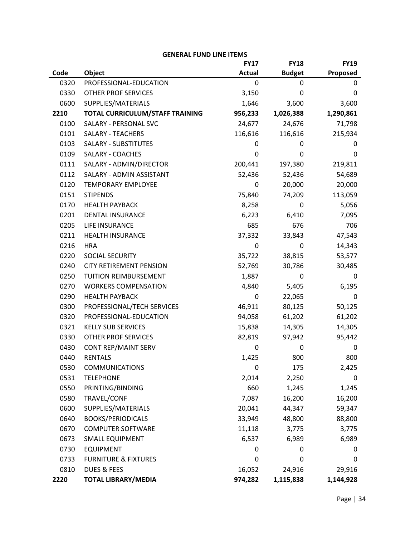|      |                                 | <b>FY17</b>   | <b>FY18</b>   | <b>FY19</b> |
|------|---------------------------------|---------------|---------------|-------------|
| Code | Object                          | <b>Actual</b> | <b>Budget</b> | Proposed    |
| 0320 | PROFESSIONAL-EDUCATION          | 0             | 0             | 0           |
| 0330 | <b>OTHER PROF SERVICES</b>      | 3,150         | 0             | 0           |
| 0600 | SUPPLIES/MATERIALS              | 1,646         | 3,600         | 3,600       |
| 2210 | TOTAL CURRICULUM/STAFF TRAINING | 956,233       | 1,026,388     | 1,290,861   |
| 0100 | SALARY - PERSONAL SVC           | 24,677        | 24,676        | 71,798      |
| 0101 | <b>SALARY - TEACHERS</b>        | 116,616       | 116,616       | 215,934     |
| 0103 | <b>SALARY - SUBSTITUTES</b>     | 0             | 0             | 0           |
| 0109 | SALARY - COACHES                | 0             | 0             | 0           |
| 0111 | SALARY - ADMIN/DIRECTOR         | 200,441       | 197,380       | 219,811     |
| 0112 | SALARY - ADMIN ASSISTANT        | 52,436        | 52,436        | 54,689      |
| 0120 | <b>TEMPORARY EMPLOYEE</b>       | 0             | 20,000        | 20,000      |
| 0151 | <b>STIPENDS</b>                 | 75,840        | 74,209        | 113,059     |
| 0170 | <b>HEALTH PAYBACK</b>           | 8,258         | 0             | 5,056       |
| 0201 | <b>DENTAL INSURANCE</b>         | 6,223         | 6,410         | 7,095       |
| 0205 | LIFE INSURANCE                  | 685           | 676           | 706         |
| 0211 | <b>HEALTH INSURANCE</b>         | 37,332        | 33,843        | 47,543      |
| 0216 | <b>HRA</b>                      | 0             | 0             | 14,343      |
| 0220 | SOCIAL SECURITY                 | 35,722        | 38,815        | 53,577      |
| 0240 | <b>CITY RETIREMENT PENSION</b>  | 52,769        | 30,786        | 30,485      |
| 0250 | TUITION REIMBURSEMENT           | 1,887         | 0             | 0           |
| 0270 | <b>WORKERS COMPENSATION</b>     | 4,840         | 5,405         | 6,195       |
| 0290 | <b>HEALTH PAYBACK</b>           | 0             | 22,065        | 0           |
| 0300 | PROFESSIONAL/TECH SERVICES      | 46,911        | 80,125        | 50,125      |
| 0320 | PROFESSIONAL-EDUCATION          | 94,058        | 61,202        | 61,202      |
| 0321 | <b>KELLY SUB SERVICES</b>       | 15,838        | 14,305        | 14,305      |
| 0330 | <b>OTHER PROF SERVICES</b>      | 82,819        | 97,942        | 95,442      |
| 0430 | CONT REP/MAINT SERV             | 0             | 0             | 0           |
| 0440 | <b>RENTALS</b>                  | 1,425         | 800           | 800         |
| 0530 | <b>COMMUNICATIONS</b>           | 0             | 175           | 2,425       |
| 0531 | <b>TELEPHONE</b>                | 2,014         | 2,250         | 0           |
| 0550 | PRINTING/BINDING                | 660           | 1,245         | 1,245       |
| 0580 | TRAVEL/CONF                     | 7,087         | 16,200        | 16,200      |
| 0600 | SUPPLIES/MATERIALS              | 20,041        | 44,347        | 59,347      |
| 0640 | <b>BOOKS/PERIODICALS</b>        | 33,949        | 48,800        | 88,800      |
| 0670 | <b>COMPUTER SOFTWARE</b>        | 11,118        | 3,775         | 3,775       |
| 0673 | <b>SMALL EQUIPMENT</b>          | 6,537         | 6,989         | 6,989       |
| 0730 | <b>EQUIPMENT</b>                | 0             | 0             | 0           |
| 0733 | <b>FURNITURE &amp; FIXTURES</b> | 0             | 0             | 0           |
| 0810 | <b>DUES &amp; FEES</b>          | 16,052        | 24,916        | 29,916      |
| 2220 | <b>TOTAL LIBRARY/MEDIA</b>      | 974,282       | 1,115,838     | 1,144,928   |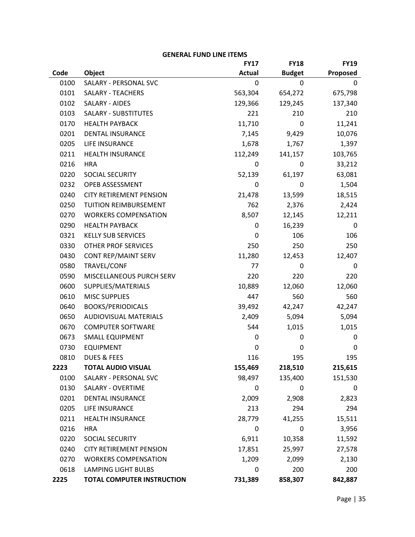|      |                                   | <b>FY17</b>   | <b>FY18</b>   | <b>FY19</b> |
|------|-----------------------------------|---------------|---------------|-------------|
| Code | Object                            | <b>Actual</b> | <b>Budget</b> | Proposed    |
| 0100 | SALARY - PERSONAL SVC             | 0             | 0             | 0           |
| 0101 | <b>SALARY - TEACHERS</b>          | 563,304       | 654,272       | 675,798     |
| 0102 | SALARY - AIDES                    | 129,366       | 129,245       | 137,340     |
| 0103 | <b>SALARY - SUBSTITUTES</b>       | 221           | 210           | 210         |
| 0170 | <b>HEALTH PAYBACK</b>             | 11,710        | 0             | 11,241      |
| 0201 | <b>DENTAL INSURANCE</b>           | 7,145         | 9,429         | 10,076      |
| 0205 | LIFE INSURANCE                    | 1,678         | 1,767         | 1,397       |
| 0211 | <b>HEALTH INSURANCE</b>           | 112,249       | 141,157       | 103,765     |
| 0216 | <b>HRA</b>                        | 0             | 0             | 33,212      |
| 0220 | SOCIAL SECURITY                   | 52,139        | 61,197        | 63,081      |
| 0232 | OPEB ASSESSMENT                   | 0             | 0             | 1,504       |
| 0240 | <b>CITY RETIREMENT PENSION</b>    | 21,478        | 13,599        | 18,515      |
| 0250 | TUITION REIMBURSEMENT             | 762           | 2,376         | 2,424       |
| 0270 | <b>WORKERS COMPENSATION</b>       | 8,507         | 12,145        | 12,211      |
| 0290 | <b>HEALTH PAYBACK</b>             | 0             | 16,239        | 0           |
| 0321 | <b>KELLY SUB SERVICES</b>         | 0             | 106           | 106         |
| 0330 | OTHER PROF SERVICES               | 250           | 250           | 250         |
| 0430 | CONT REP/MAINT SERV               | 11,280        | 12,453        | 12,407      |
| 0580 | TRAVEL/CONF                       | 77            | 0             | 0           |
| 0590 | MISCELLANEOUS PURCH SERV          | 220           | 220           | 220         |
| 0600 | SUPPLIES/MATERIALS                | 10,889        | 12,060        | 12,060      |
| 0610 | <b>MISC SUPPLIES</b>              | 447           | 560           | 560         |
| 0640 | <b>BOOKS/PERIODICALS</b>          | 39,492        | 42,247        | 42,247      |
| 0650 | <b>AUDIOVISUAL MATERIALS</b>      | 2,409         | 5,094         | 5,094       |
| 0670 | <b>COMPUTER SOFTWARE</b>          | 544           | 1,015         | 1,015       |
| 0673 | SMALL EQUIPMENT                   | 0             | 0             | 0           |
| 0730 | <b>EQUIPMENT</b>                  | 0             | 0             | 0           |
| 0810 | <b>DUES &amp; FEES</b>            | 116           | 195           | 195         |
| 2223 | <b>TOTAL AUDIO VISUAL</b>         | 155,469       | 218,510       | 215,615     |
| 0100 | SALARY - PERSONAL SVC             | 98,497        | 135,400       | 151,530     |
| 0130 | SALARY - OVERTIME                 | 0             | 0             | 0           |
| 0201 | DENTAL INSURANCE                  | 2,009         | 2,908         | 2,823       |
| 0205 | LIFE INSURANCE                    | 213           | 294           | 294         |
| 0211 | <b>HEALTH INSURANCE</b>           | 28,779        | 41,255        | 15,511      |
| 0216 | <b>HRA</b>                        | 0             | 0             | 3,956       |
| 0220 | SOCIAL SECURITY                   | 6,911         | 10,358        | 11,592      |
| 0240 | <b>CITY RETIREMENT PENSION</b>    | 17,851        | 25,997        | 27,578      |
| 0270 | <b>WORKERS COMPENSATION</b>       | 1,209         | 2,099         | 2,130       |
| 0618 | <b>LAMPING LIGHT BULBS</b>        | 0             | 200           | 200         |
| 2225 | <b>TOTAL COMPUTER INSTRUCTION</b> | 731,389       | 858,307       | 842,887     |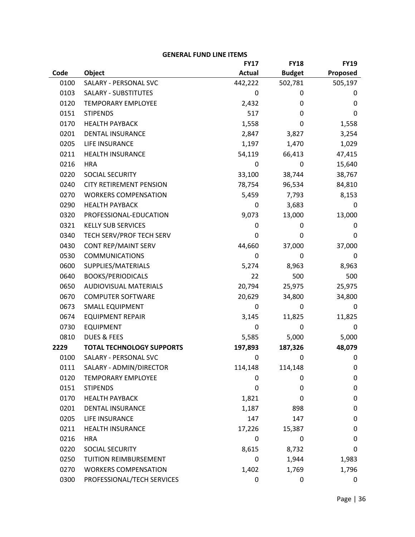|      |                                  | <b>FY17</b>   | <b>FY18</b>   | <b>FY19</b> |
|------|----------------------------------|---------------|---------------|-------------|
| Code | Object                           | <b>Actual</b> | <b>Budget</b> | Proposed    |
| 0100 | SALARY - PERSONAL SVC            | 442,222       | 502,781       | 505,197     |
| 0103 | <b>SALARY - SUBSTITUTES</b>      | 0             | 0             | 0           |
| 0120 | <b>TEMPORARY EMPLOYEE</b>        | 2,432         | 0             | 0           |
| 0151 | <b>STIPENDS</b>                  | 517           | 0             | 0           |
| 0170 | <b>HEALTH PAYBACK</b>            | 1,558         | 0             | 1,558       |
| 0201 | <b>DENTAL INSURANCE</b>          | 2,847         | 3,827         | 3,254       |
| 0205 | LIFE INSURANCE                   | 1,197         | 1,470         | 1,029       |
| 0211 | <b>HEALTH INSURANCE</b>          | 54,119        | 66,413        | 47,415      |
| 0216 | <b>HRA</b>                       | 0             | 0             | 15,640      |
| 0220 | SOCIAL SECURITY                  | 33,100        | 38,744        | 38,767      |
| 0240 | <b>CITY RETIREMENT PENSION</b>   | 78,754        | 96,534        | 84,810      |
| 0270 | <b>WORKERS COMPENSATION</b>      | 5,459         | 7,793         | 8,153       |
| 0290 | <b>HEALTH PAYBACK</b>            | 0             | 3,683         | 0           |
| 0320 | PROFESSIONAL-EDUCATION           | 9,073         | 13,000        | 13,000      |
| 0321 | <b>KELLY SUB SERVICES</b>        | 0             | 0             | 0           |
| 0340 | TECH SERV/PROF TECH SERV         | 0             | 0             | 0           |
| 0430 | CONT REP/MAINT SERV              | 44,660        | 37,000        | 37,000      |
| 0530 | <b>COMMUNICATIONS</b>            | 0             | 0             | 0           |
| 0600 | SUPPLIES/MATERIALS               | 5,274         | 8,963         | 8,963       |
| 0640 | <b>BOOKS/PERIODICALS</b>         | 22            | 500           | 500         |
| 0650 | <b>AUDIOVISUAL MATERIALS</b>     | 20,794        | 25,975        | 25,975      |
| 0670 | <b>COMPUTER SOFTWARE</b>         | 20,629        | 34,800        | 34,800      |
| 0673 | <b>SMALL EQUIPMENT</b>           | 0             | 0             | 0           |
| 0674 | <b>EQUIPMENT REPAIR</b>          | 3,145         | 11,825        | 11,825      |
| 0730 | <b>EQUIPMENT</b>                 | 0             | 0             | 0           |
| 0810 | <b>DUES &amp; FEES</b>           | 5,585         | 5,000         | 5,000       |
| 2229 | <b>TOTAL TECHNOLOGY SUPPORTS</b> | 197,893       | 187,326       | 48,079      |
| 0100 | SALARY - PERSONAL SVC            | 0             | 0             | 0           |
| 0111 | SALARY - ADMIN/DIRECTOR          | 114,148       | 114,148       | 0           |
| 0120 | <b>TEMPORARY EMPLOYEE</b>        | 0             | 0             | 0           |
| 0151 | <b>STIPENDS</b>                  | 0             | 0             | 0           |
| 0170 | <b>HEALTH PAYBACK</b>            | 1,821         | 0             | 0           |
| 0201 | <b>DENTAL INSURANCE</b>          | 1,187         | 898           | 0           |
| 0205 | LIFE INSURANCE                   | 147           | 147           | 0           |
| 0211 | <b>HEALTH INSURANCE</b>          | 17,226        | 15,387        | 0           |
| 0216 | <b>HRA</b>                       | 0             | $\mathbf 0$   | 0           |
| 0220 | SOCIAL SECURITY                  | 8,615         | 8,732         | 0           |
| 0250 | TUITION REIMBURSEMENT            | 0             | 1,944         | 1,983       |
| 0270 | <b>WORKERS COMPENSATION</b>      | 1,402         | 1,769         | 1,796       |
| 0300 | PROFESSIONAL/TECH SERVICES       | 0             | 0             | 0           |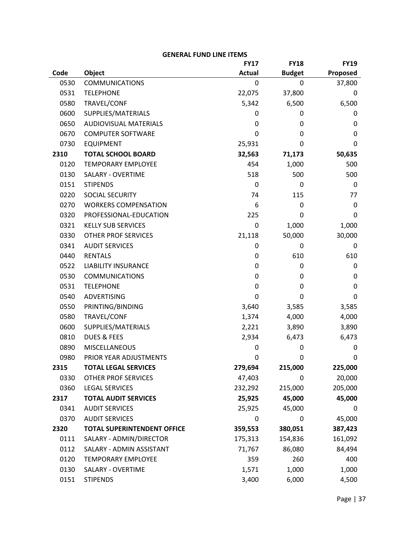|      |                                    | <b>FY17</b>   | <b>FY18</b>   | <b>FY19</b> |
|------|------------------------------------|---------------|---------------|-------------|
| Code | Object                             | <b>Actual</b> | <b>Budget</b> | Proposed    |
| 0530 | <b>COMMUNICATIONS</b>              | 0             | 0             | 37,800      |
| 0531 | <b>TELEPHONE</b>                   | 22,075        | 37,800        | 0           |
| 0580 | TRAVEL/CONF                        | 5,342         | 6,500         | 6,500       |
| 0600 | SUPPLIES/MATERIALS                 | 0             | 0             | 0           |
| 0650 | <b>AUDIOVISUAL MATERIALS</b>       | 0             | 0             | 0           |
| 0670 | <b>COMPUTER SOFTWARE</b>           | 0             | 0             | 0           |
| 0730 | <b>EQUIPMENT</b>                   | 25,931        | 0             | 0           |
| 2310 | <b>TOTAL SCHOOL BOARD</b>          | 32,563        | 71,173        | 50,635      |
| 0120 | <b>TEMPORARY EMPLOYEE</b>          | 454           | 1,000         | 500         |
| 0130 | SALARY - OVERTIME                  | 518           | 500           | 500         |
| 0151 | <b>STIPENDS</b>                    | 0             | 0             | 0           |
| 0220 | SOCIAL SECURITY                    | 74            | 115           | 77          |
| 0270 | <b>WORKERS COMPENSATION</b>        | 6             | 0             | 0           |
| 0320 | PROFESSIONAL-EDUCATION             | 225           | 0             | 0           |
| 0321 | <b>KELLY SUB SERVICES</b>          | 0             | 1,000         | 1,000       |
| 0330 | <b>OTHER PROF SERVICES</b>         | 21,118        | 50,000        | 30,000      |
| 0341 | <b>AUDIT SERVICES</b>              | 0             | 0             | 0           |
| 0440 | <b>RENTALS</b>                     | 0             | 610           | 610         |
| 0522 | <b>LIABILITY INSURANCE</b>         | 0             | 0             | 0           |
| 0530 | <b>COMMUNICATIONS</b>              | 0             | 0             | 0           |
| 0531 | <b>TELEPHONE</b>                   | 0             | 0             | 0           |
| 0540 | ADVERTISING                        | 0             | 0             | 0           |
| 0550 | PRINTING/BINDING                   | 3,640         | 3,585         | 3,585       |
| 0580 | TRAVEL/CONF                        | 1,374         | 4,000         | 4,000       |
| 0600 | SUPPLIES/MATERIALS                 | 2,221         | 3,890         | 3,890       |
| 0810 | <b>DUES &amp; FEES</b>             | 2,934         | 6,473         | 6,473       |
| 0890 | MISCELLANEOUS                      | 0             | 0             | 0           |
| 0980 | PRIOR YEAR ADJUSTMENTS             | 0             | 0             | 0           |
| 2315 | <b>TOTAL LEGAL SERVICES</b>        | 279,694       | 215,000       | 225,000     |
| 0330 | <b>OTHER PROF SERVICES</b>         | 47,403        | 0             | 20,000      |
| 0360 | <b>LEGAL SERVICES</b>              | 232,292       | 215,000       | 205,000     |
| 2317 | <b>TOTAL AUDIT SERVICES</b>        | 25,925        | 45,000        | 45,000      |
| 0341 | <b>AUDIT SERVICES</b>              | 25,925        | 45,000        | 0           |
| 0370 | <b>AUDIT SERVICES</b>              | 0             | 0             | 45,000      |
| 2320 | <b>TOTAL SUPERINTENDENT OFFICE</b> | 359,553       | 380,051       | 387,423     |
| 0111 | SALARY - ADMIN/DIRECTOR            | 175,313       | 154,836       | 161,092     |
| 0112 | SALARY - ADMIN ASSISTANT           | 71,767        | 86,080        | 84,494      |
| 0120 | <b>TEMPORARY EMPLOYEE</b>          | 359           | 260           | 400         |
| 0130 | SALARY - OVERTIME                  | 1,571         | 1,000         | 1,000       |
| 0151 | <b>STIPENDS</b>                    | 3,400         | 6,000         | 4,500       |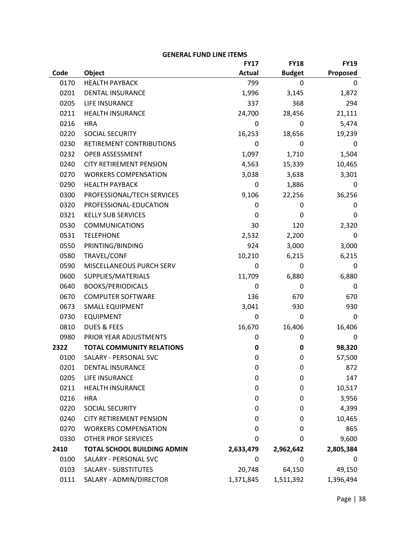|      |                                    | <b>FY17</b>   | <b>FY18</b>   | <b>FY19</b> |
|------|------------------------------------|---------------|---------------|-------------|
| Code | Object                             | <b>Actual</b> | <b>Budget</b> | Proposed    |
| 0170 | <b>HEALTH PAYBACK</b>              | 799           | 0             | 0           |
| 0201 | <b>DENTAL INSURANCE</b>            | 1,996         | 3,145         | 1,872       |
| 0205 | LIFE INSURANCE                     | 337           | 368           | 294         |
| 0211 | <b>HEALTH INSURANCE</b>            | 24,700        | 28,456        | 21,111      |
| 0216 | <b>HRA</b>                         | 0             | 0             | 5,474       |
| 0220 | SOCIAL SECURITY                    | 16,253        | 18,656        | 19,239      |
| 0230 | RETIREMENT CONTRIBUTIONS           | 0             | 0             | 0           |
| 0232 | OPEB ASSESSMENT                    | 1,097         | 1,710         | 1,504       |
| 0240 | <b>CITY RETIREMENT PENSION</b>     | 4,563         | 15,339        | 10,465      |
| 0270 | <b>WORKERS COMPENSATION</b>        | 3,038         | 3,638         | 3,301       |
| 0290 | <b>HEALTH PAYBACK</b>              | 0             | 1,886         | 0           |
| 0300 | PROFESSIONAL/TECH SERVICES         | 9,106         | 22,256        | 36,256      |
| 0320 | PROFESSIONAL-EDUCATION             | 0             | 0             | 0           |
| 0321 | <b>KELLY SUB SERVICES</b>          | 0             | 0             | 0           |
| 0530 | <b>COMMUNICATIONS</b>              | 30            | 120           | 2,320       |
| 0531 | <b>TELEPHONE</b>                   | 2,532         | 2,200         | 0           |
| 0550 | PRINTING/BINDING                   | 924           | 3,000         | 3,000       |
| 0580 | TRAVEL/CONF                        | 10,210        | 6,215         | 6,215       |
| 0590 | MISCELLANEOUS PURCH SERV           | 0             | 0             | 0           |
| 0600 | SUPPLIES/MATERIALS                 | 11,709        | 6,880         | 6,880       |
| 0640 | <b>BOOKS/PERIODICALS</b>           | 0             | 0             | 0           |
| 0670 | <b>COMPUTER SOFTWARE</b>           | 136           | 670           | 670         |
| 0673 | <b>SMALL EQUIPMENT</b>             | 3,041         | 930           | 930         |
| 0730 | <b>EQUIPMENT</b>                   | 0             | 0             | 0           |
| 0810 | <b>DUES &amp; FEES</b>             | 16,670        | 16,406        | 16,406      |
| 0980 | PRIOR YEAR ADJUSTMENTS             | 0             | 0             | 0           |
| 2322 | <b>TOTAL COMMUNITY RELATIONS</b>   | 0             | 0             | 98,320      |
| 0100 | SALARY - PERSONAL SVC              | 0             | 0             | 57,500      |
| 0201 | <b>DENTAL INSURANCE</b>            | 0             | 0             | 872         |
| 0205 | LIFE INSURANCE                     | 0             | 0             | 147         |
| 0211 | <b>HEALTH INSURANCE</b>            | 0             | 0             | 10,517      |
| 0216 | <b>HRA</b>                         | 0             | 0             | 3,956       |
| 0220 | SOCIAL SECURITY                    | 0             | 0             | 4,399       |
| 0240 | <b>CITY RETIREMENT PENSION</b>     | 0             | 0             | 10,465      |
| 0270 | <b>WORKERS COMPENSATION</b>        | 0             | 0             | 865         |
| 0330 | <b>OTHER PROF SERVICES</b>         | 0             | 0             | 9,600       |
| 2410 | <b>TOTAL SCHOOL BUILDING ADMIN</b> | 2,633,479     | 2,962,642     | 2,805,384   |
| 0100 | SALARY - PERSONAL SVC              | 0             | 0             | 0           |
| 0103 | <b>SALARY - SUBSTITUTES</b>        | 20,748        | 64,150        | 49,150      |
| 0111 | SALARY - ADMIN/DIRECTOR            | 1,371,845     | 1,511,392     | 1,396,494   |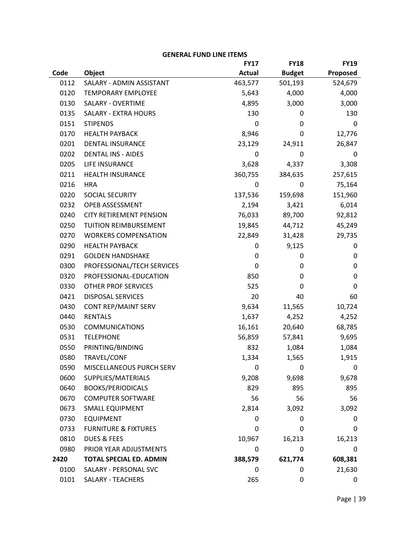| <b>GENERAL FUND LINE ITEMS</b> |                                 |               |               |             |
|--------------------------------|---------------------------------|---------------|---------------|-------------|
|                                |                                 | <b>FY17</b>   | <b>FY18</b>   | <b>FY19</b> |
| Code                           | Object                          | <b>Actual</b> | <b>Budget</b> | Proposed    |
| 0112                           | SALARY - ADMIN ASSISTANT        | 463,577       | 501,193       | 524,679     |
| 0120                           | <b>TEMPORARY EMPLOYEE</b>       | 5,643         | 4,000         | 4,000       |
| 0130                           | SALARY - OVERTIME               | 4,895         | 3,000         | 3,000       |
| 0135                           | <b>SALARY - EXTRA HOURS</b>     | 130           | 0             | 130         |
| 0151                           | <b>STIPENDS</b>                 | 0             | 0             | 0           |
| 0170                           | <b>HEALTH PAYBACK</b>           | 8,946         | 0             | 12,776      |
| 0201                           | <b>DENTAL INSURANCE</b>         | 23,129        | 24,911        | 26,847      |
| 0202                           | <b>DENTAL INS - AIDES</b>       | 0             | 0             | 0           |
| 0205                           | LIFE INSURANCE                  | 3,628         | 4,337         | 3,308       |
| 0211                           | <b>HEALTH INSURANCE</b>         | 360,755       | 384,635       | 257,615     |
| 0216                           | <b>HRA</b>                      | 0             | 0             | 75,164      |
| 0220                           | SOCIAL SECURITY                 | 137,536       | 159,698       | 151,960     |
| 0232                           | OPEB ASSESSMENT                 | 2,194         | 3,421         | 6,014       |
| 0240                           | <b>CITY RETIREMENT PENSION</b>  | 76,033        | 89,700        | 92,812      |
| 0250                           | TUITION REIMBURSEMENT           | 19,845        | 44,712        | 45,249      |
| 0270                           | <b>WORKERS COMPENSATION</b>     | 22,849        | 31,428        | 29,735      |
| 0290                           | <b>HEALTH PAYBACK</b>           | 0             | 9,125         | 0           |
| 0291                           | <b>GOLDEN HANDSHAKE</b>         | 0             | 0             | 0           |
| 0300                           | PROFESSIONAL/TECH SERVICES      | 0             | 0             | $\mathbf 0$ |
| 0320                           | PROFESSIONAL-EDUCATION          | 850           | 0             | $\mathbf 0$ |
| 0330                           | <b>OTHER PROF SERVICES</b>      | 525           | 0             | 0           |
| 0421                           | <b>DISPOSAL SERVICES</b>        | 20            | 40            | 60          |
| 0430                           | CONT REP/MAINT SERV             | 9,634         | 11,565        | 10,724      |
| 0440                           | <b>RENTALS</b>                  | 1,637         | 4,252         | 4,252       |
| 0530                           | <b>COMMUNICATIONS</b>           | 16,161        | 20,640        | 68,785      |
| 0531                           | <b>TELEPHONE</b>                | 56,859        | 57,841        | 9,695       |
| 0550                           | PRINTING/BINDING                | 832           | 1,084         | 1,084       |
| 0580                           | TRAVEL/CONF                     | 1,334         | 1,565         | 1,915       |
| 0590                           | MISCELLANEOUS PURCH SERV        | 0             | 0             | 0           |
| 0600                           | SUPPLIES/MATERIALS              | 9,208         | 9,698         | 9,678       |
| 0640                           | <b>BOOKS/PERIODICALS</b>        | 829           | 895           | 895         |
| 0670                           | <b>COMPUTER SOFTWARE</b>        | 56            | 56            | 56          |
| 0673                           | <b>SMALL EQUIPMENT</b>          | 2,814         | 3,092         | 3,092       |
| 0730                           | <b>EQUIPMENT</b>                | 0             | 0             | 0           |
| 0733                           | <b>FURNITURE &amp; FIXTURES</b> | 0             | 0             | 0           |
| 0810                           | <b>DUES &amp; FEES</b>          | 10,967        | 16,213        | 16,213      |
| 0980                           | PRIOR YEAR ADJUSTMENTS          | 0             | 0             | 0           |
| 2420                           | <b>TOTAL SPECIAL ED. ADMIN</b>  | 388,579       | 621,774       | 608,381     |
| 0100                           | SALARY - PERSONAL SVC           | 0             | 0             | 21,630      |
| 0101                           | SALARY - TEACHERS               | 265           | 0             | 0           |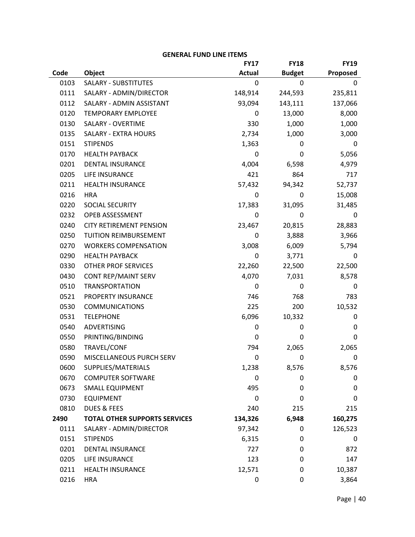# **Code Object FY17 Actual FY18 Budget FY19 Proposed** 0103 SALARY - SUBSTITUTES 0 0 0 0111 SALARY ‐ ADMIN/DIRECTOR 148,914 244,593 235,811 0112 SALARY - ADMIN ASSISTANT 93,094 143,111 137,066 0120 TEMPORARY EMPLOYEE 0 13,000 8,000 0130 SALARY - OVERTIME 330 1,000 1,000 1,000 0135 SALARY - EXTRA HOURS 2,734 1,000 3,000 0151 STIPENDS 1,363 0 0 0170 HEALTH PAYBACK CHARLO GOST CONTROLLED CONTROLLED CONTROLLED CONTROLLED CONTROLLED 0201 DENTAL INSURANCE 4,004 6,598 4,979 0205 LIFE INSURANCE 2005 2012 117 0211 HEALTH INSURANCE 57.432 94.342 52.737 0216 HRA 0 0 15,008 0220 SOCIAL SECURITY 17,383 31,095 31,485 0232 OPEB ASSESSMENT 0 0 0 0240 CITY RETIREMENT PENSION 23.467 20.815 28.883 0250 TUITION REIMBURSEMENT 0 3,888 3,966 0270 WORKERS COMPENSATION 3,008 6,009 5,794 0290 HEALTH PAYBACK 0 3,771 0 0330 OTHER PROF SERVICES 22,260 22,500 22,500 0430 CONT REP/MAINT SERV 4,070 4,070 7,031 8,578 0510 TRANSPORTATION 0 0 0 0521 PROPERTY INSURANCE 746 768 783 0530 COMMUNICATIONS 225 200 10.532 0531 TELEPHONE 6,096 10,332 0 0540 ADVERTISING 0 0 0 0550 PRINTING/BINDING 0 0 0 0580 TRAVEL/CONF 794 2,065 2,065 0590 MISCELLANEOUS PURCH SERV 0 0 0 0600 SUPPLIES/MATERIALS 1,238 8,576 8,576 0670 COMPUTER SOFTWARE 0 0 0

#### **GENERAL FUND LINE ITEMS**

0673 SMALL EQUIPMENT 495 0 0 0730 EQUIPMENT 0 0 0 0810 DUES & FEES 240 215 **2490 TOTAL OTHER SUPPORTS SERVICES 134,326 6,948 160,275**  0111 SALARY - ADMIN/DIRECTOR 97,342 0 126,523 0151 STIPENDS 6,315 0 0 0201 DENTAL INSURANCE 727 0 872 0205 LIFE INSURANCE 123 0 147 0211 HEALTH INSURANCE 12.571 0 10.387 0216 HRA 0 0 3,864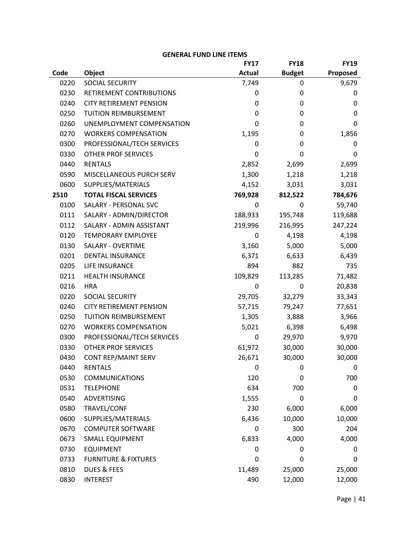|      |                                 | <b>FY17</b>   | <b>FY18</b>   | <b>FY19</b> |
|------|---------------------------------|---------------|---------------|-------------|
| Code | Object                          | <b>Actual</b> | <b>Budget</b> | Proposed    |
| 0220 | SOCIAL SECURITY                 | 7,749         | 0             | 9,679       |
| 0230 | RETIREMENT CONTRIBUTIONS        | 0             | 0             | 0           |
| 0240 | <b>CITY RETIREMENT PENSION</b>  | 0             | 0             | 0           |
| 0250 | <b>TUITION REIMBURSEMENT</b>    | 0             | 0             | 0           |
| 0260 | UNEMPLOYMENT COMPENSATION       | 0             | 0             | 0           |
| 0270 | <b>WORKERS COMPENSATION</b>     | 1,195         | 0             | 1,856       |
| 0300 | PROFESSIONAL/TECH SERVICES      | 0             | 0             | 0           |
| 0330 | OTHER PROF SERVICES             | 0             | 0             | 0           |
| 0440 | <b>RENTALS</b>                  | 2,852         | 2,699         | 2,699       |
| 0590 | MISCELLANEOUS PURCH SERV        | 1,300         | 1,218         | 1,218       |
| 0600 | SUPPLIES/MATERIALS              | 4,152         | 3,031         | 3,031       |
| 2510 | <b>TOTAL FISCAL SERVICES</b>    | 769,928       | 812,522       | 784,676     |
| 0100 | SALARY - PERSONAL SVC           | 0             | 0             | 59,740      |
| 0111 | SALARY - ADMIN/DIRECTOR         | 188,933       | 195,748       | 119,688     |
| 0112 | SALARY - ADMIN ASSISTANT        | 219,996       | 216,995       | 247,224     |
| 0120 | <b>TEMPORARY EMPLOYEE</b>       | 0             | 4,198         | 4,198       |
| 0130 | SALARY - OVERTIME               | 3,160         | 5,000         | 5,000       |
| 0201 | DENTAL INSURANCE                | 6,371         | 6,633         | 6,439       |
| 0205 | LIFE INSURANCE                  | 894           | 882           | 735         |
| 0211 | <b>HEALTH INSURANCE</b>         | 109,829       | 113,285       | 71,482      |
| 0216 | <b>HRA</b>                      | 0             | 0             | 20,838      |
| 0220 | SOCIAL SECURITY                 | 29,705        | 32,279        | 33,343      |
| 0240 | <b>CITY RETIREMENT PENSION</b>  | 57,715        | 79,247        | 77,651      |
| 0250 | <b>TUITION REIMBURSEMENT</b>    | 1,305         | 3,888         | 3,966       |
| 0270 | <b>WORKERS COMPENSATION</b>     | 5,021         | 6,398         | 6,498       |
| 0300 | PROFESSIONAL/TECH SERVICES      | 0             | 29,970        | 9,970       |
| 0330 | OTHER PROF SERVICES             | 61,972        | 30,000        | 30,000      |
| 0430 | CONT REP/MAINT SERV             | 26,671        | 30,000        | 30,000      |
| 0440 | <b>RENTALS</b>                  | 0             | 0             | 0           |
| 0530 | <b>COMMUNICATIONS</b>           | 120           | 0             | 700         |
| 0531 | <b>TELEPHONE</b>                | 634           | 700           | 0           |
| 0540 | ADVERTISING                     | 1,555         | 0             | 0           |
| 0580 | TRAVEL/CONF                     | 230           | 6,000         | 6,000       |
| 0600 | SUPPLIES/MATERIALS              | 6,436         | 10,000        | 10,000      |
| 0670 | <b>COMPUTER SOFTWARE</b>        | 0             | 300           | 204         |
| 0673 | <b>SMALL EQUIPMENT</b>          | 6,833         | 4,000         | 4,000       |
| 0730 | <b>EQUIPMENT</b>                | 0             | 0             | 0           |
| 0733 | <b>FURNITURE &amp; FIXTURES</b> | 0             | 0             | 0           |
| 0810 | <b>DUES &amp; FEES</b>          | 11,489        | 25,000        | 25,000      |
| 0830 | <b>INTEREST</b>                 | 490           | 12,000        | 12,000      |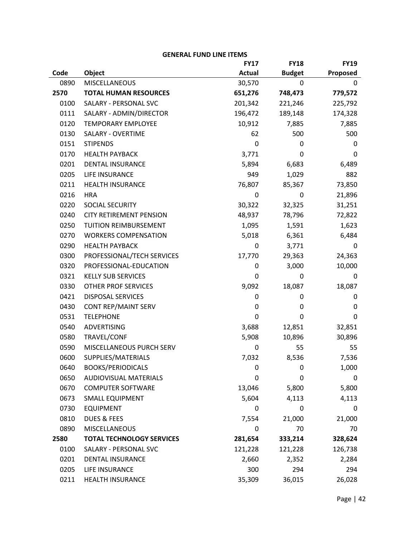|      |                                  | LINLINAL I VIND LIINL II LINIJ<br><b>FY17</b> | <b>FY18</b>   | <b>FY19</b> |
|------|----------------------------------|-----------------------------------------------|---------------|-------------|
| Code | Object                           | <b>Actual</b>                                 | <b>Budget</b> | Proposed    |
| 0890 | <b>MISCELLANEOUS</b>             | 30,570                                        | 0             | 0           |
| 2570 | <b>TOTAL HUMAN RESOURCES</b>     | 651,276                                       | 748,473       | 779,572     |
| 0100 | SALARY - PERSONAL SVC            | 201,342                                       | 221,246       | 225,792     |
| 0111 | SALARY - ADMIN/DIRECTOR          | 196,472                                       | 189,148       | 174,328     |
| 0120 | <b>TEMPORARY EMPLOYEE</b>        | 10,912                                        | 7,885         | 7,885       |
| 0130 | SALARY - OVERTIME                | 62                                            | 500           | 500         |
| 0151 | <b>STIPENDS</b>                  | 0                                             | 0             | 0           |
| 0170 | <b>HEALTH PAYBACK</b>            | 3,771                                         | 0             | 0           |
| 0201 | <b>DENTAL INSURANCE</b>          | 5,894                                         | 6,683         | 6,489       |
| 0205 | LIFE INSURANCE                   | 949                                           | 1,029         | 882         |
| 0211 | <b>HEALTH INSURANCE</b>          | 76,807                                        | 85,367        | 73,850      |
| 0216 | <b>HRA</b>                       | 0                                             | 0             | 21,896      |
| 0220 | SOCIAL SECURITY                  | 30,322                                        | 32,325        | 31,251      |
| 0240 | <b>CITY RETIREMENT PENSION</b>   | 48,937                                        | 78,796        | 72,822      |
| 0250 | TUITION REIMBURSEMENT            | 1,095                                         | 1,591         | 1,623       |
| 0270 | <b>WORKERS COMPENSATION</b>      | 5,018                                         | 6,361         | 6,484       |
| 0290 | <b>HEALTH PAYBACK</b>            | 0                                             | 3,771         | 0           |
| 0300 | PROFESSIONAL/TECH SERVICES       | 17,770                                        | 29,363        | 24,363      |
| 0320 | PROFESSIONAL-EDUCATION           | 0                                             | 3,000         | 10,000      |
| 0321 | <b>KELLY SUB SERVICES</b>        | 0                                             | 0             | 0           |
| 0330 | <b>OTHER PROF SERVICES</b>       | 9,092                                         | 18,087        | 18,087      |
| 0421 | <b>DISPOSAL SERVICES</b>         | 0                                             | 0             | 0           |
| 0430 | CONT REP/MAINT SERV              | 0                                             | 0             | 0           |
| 0531 | <b>TELEPHONE</b>                 | 0                                             | 0             | 0           |
| 0540 | ADVERTISING                      | 3,688                                         | 12,851        | 32,851      |
| 0580 | TRAVEL/CONF                      | 5,908                                         | 10,896        | 30,896      |
| 0590 | MISCELLANEOUS PURCH SERV         | 0                                             | 55            | 55          |
| 0600 | SUPPLIES/MATERIALS               | 7,032                                         | 8,536         | 7,536       |
| 0640 | <b>BOOKS/PERIODICALS</b>         | 0                                             | 0             | 1,000       |
| 0650 | <b>AUDIOVISUAL MATERIALS</b>     | 0                                             | 0             | 0           |
| 0670 | <b>COMPUTER SOFTWARE</b>         | 13,046                                        | 5,800         | 5,800       |
| 0673 | <b>SMALL EQUIPMENT</b>           | 5,604                                         | 4,113         | 4,113       |
| 0730 | <b>EQUIPMENT</b>                 | 0                                             | 0             | 0           |
| 0810 | <b>DUES &amp; FEES</b>           | 7,554                                         | 21,000        | 21,000      |
| 0890 | <b>MISCELLANEOUS</b>             | 0                                             | 70            | 70          |
| 2580 | <b>TOTAL TECHNOLOGY SERVICES</b> | 281,654                                       | 333,214       | 328,624     |
| 0100 | SALARY - PERSONAL SVC            | 121,228                                       | 121,228       | 126,738     |
| 0201 | DENTAL INSURANCE                 | 2,660                                         | 2,352         | 2,284       |
| 0205 | LIFE INSURANCE                   | 300                                           | 294           | 294         |
| 0211 | HEALTH INSURANCE                 | 35,309                                        | 36,015        | 26,028      |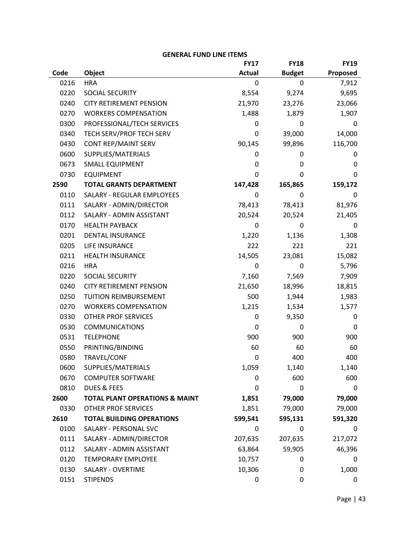|      |                                           | <b>FY17</b>   | <b>FY18</b>   | <b>FY19</b> |
|------|-------------------------------------------|---------------|---------------|-------------|
| Code | Object                                    | <b>Actual</b> | <b>Budget</b> | Proposed    |
| 0216 | <b>HRA</b>                                | 0             | 0             | 7,912       |
| 0220 | SOCIAL SECURITY                           | 8,554         | 9,274         | 9,695       |
| 0240 | <b>CITY RETIREMENT PENSION</b>            | 21,970        | 23,276        | 23,066      |
| 0270 | <b>WORKERS COMPENSATION</b>               | 1,488         | 1,879         | 1,907       |
| 0300 | PROFESSIONAL/TECH SERVICES                | 0             | 0             | 0           |
| 0340 | TECH SERV/PROF TECH SERV                  | 0             | 39,000        | 14,000      |
| 0430 | <b>CONT REP/MAINT SERV</b>                | 90,145        | 99,896        | 116,700     |
| 0600 | SUPPLIES/MATERIALS                        | 0             | 0             | 0           |
| 0673 | <b>SMALL EQUIPMENT</b>                    | 0             | 0             | 0           |
| 0730 | <b>EQUIPMENT</b>                          | 0             | 0             | 0           |
| 2590 | <b>TOTAL GRANTS DEPARTMENT</b>            | 147,428       | 165,865       | 159,172     |
| 0110 | SALARY - REGULAR EMPLOYEES                | 0             | 0             | 0           |
| 0111 | SALARY - ADMIN/DIRECTOR                   | 78,413        | 78,413        | 81,976      |
| 0112 | SALARY - ADMIN ASSISTANT                  | 20,524        | 20,524        | 21,405      |
| 0170 | <b>HEALTH PAYBACK</b>                     | 0             | 0             | 0           |
| 0201 | <b>DENTAL INSURANCE</b>                   | 1,220         | 1,136         | 1,308       |
| 0205 | LIFE INSURANCE                            | 222           | 221           | 221         |
| 0211 | <b>HEALTH INSURANCE</b>                   | 14,505        | 23,081        | 15,082      |
| 0216 | <b>HRA</b>                                | 0             | 0             | 5,796       |
| 0220 | SOCIAL SECURITY                           | 7,160         | 7,569         | 7,909       |
| 0240 | <b>CITY RETIREMENT PENSION</b>            | 21,650        | 18,996        | 18,815      |
| 0250 | TUITION REIMBURSEMENT                     | 500           | 1,944         | 1,983       |
| 0270 | <b>WORKERS COMPENSATION</b>               | 1,215         | 1,534         | 1,577       |
| 0330 | <b>OTHER PROF SERVICES</b>                | 0             | 9,350         | 0           |
| 0530 | <b>COMMUNICATIONS</b>                     | 0             | 0             | 0           |
| 0531 | <b>TELEPHONE</b>                          | 900           | 900           | 900         |
| 0550 | PRINTING/BINDING                          | 60            | 60            | 60          |
| 0580 | TRAVEL/CONF                               | 0             | 400           | 400         |
| 0600 | SUPPLIES/MATERIALS                        | 1,059         | 1,140         | 1,140       |
| 0670 | <b>COMPUTER SOFTWARE</b>                  | 0             | 600           | 600         |
| 0810 | <b>DUES &amp; FEES</b>                    | 0             | 0             | 0           |
| 2600 | <b>TOTAL PLANT OPERATIONS &amp; MAINT</b> | 1,851         | 79,000        | 79,000      |
| 0330 | <b>OTHER PROF SERVICES</b>                | 1,851         | 79,000        | 79,000      |
| 2610 | <b>TOTAL BUILDING OPERATIONS</b>          | 599,541       | 595,131       | 591,320     |
| 0100 | SALARY - PERSONAL SVC                     | 0             | 0             | 0           |
| 0111 | SALARY - ADMIN/DIRECTOR                   | 207,635       | 207,635       | 217,072     |
| 0112 | SALARY - ADMIN ASSISTANT                  | 63,864        | 59,905        | 46,396      |
| 0120 | <b>TEMPORARY EMPLOYEE</b>                 | 10,757        | 0             | 0           |
| 0130 | SALARY - OVERTIME                         | 10,306        | 0             | 1,000       |
| 0151 | <b>STIPENDS</b>                           | 0             | 0             | 0           |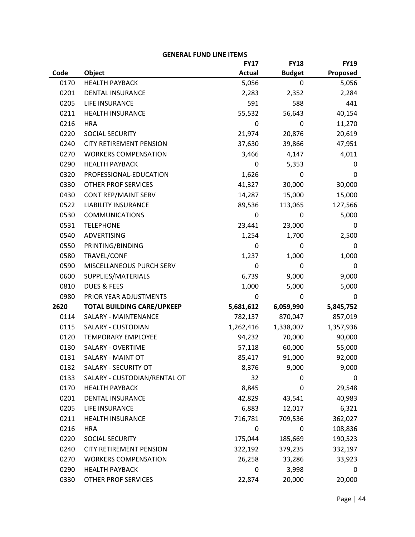|      |                                   | <b>FY17</b>   | <b>FY18</b>   | <b>FY19</b> |
|------|-----------------------------------|---------------|---------------|-------------|
| Code | Object                            | <b>Actual</b> | <b>Budget</b> | Proposed    |
| 0170 | <b>HEALTH PAYBACK</b>             | 5,056         | 0             | 5,056       |
| 0201 | DENTAL INSURANCE                  | 2,283         | 2,352         | 2,284       |
| 0205 | LIFE INSURANCE                    | 591           | 588           | 441         |
| 0211 | <b>HEALTH INSURANCE</b>           | 55,532        | 56,643        | 40,154      |
| 0216 | <b>HRA</b>                        | 0             | 0             | 11,270      |
| 0220 | SOCIAL SECURITY                   | 21,974        | 20,876        | 20,619      |
| 0240 | <b>CITY RETIREMENT PENSION</b>    | 37,630        | 39,866        | 47,951      |
| 0270 | <b>WORKERS COMPENSATION</b>       | 3,466         | 4,147         | 4,011       |
| 0290 | <b>HEALTH PAYBACK</b>             | 0             | 5,353         | 0           |
| 0320 | PROFESSIONAL-EDUCATION            | 1,626         | 0             | 0           |
| 0330 | <b>OTHER PROF SERVICES</b>        | 41,327        | 30,000        | 30,000      |
| 0430 | CONT REP/MAINT SERV               | 14,287        | 15,000        | 15,000      |
| 0522 | <b>LIABILITY INSURANCE</b>        | 89,536        | 113,065       | 127,566     |
| 0530 | <b>COMMUNICATIONS</b>             | 0             | 0             | 5,000       |
| 0531 | <b>TELEPHONE</b>                  | 23,441        | 23,000        | 0           |
| 0540 | ADVERTISING                       | 1,254         | 1,700         | 2,500       |
| 0550 | PRINTING/BINDING                  | 0             | 0             | 0           |
| 0580 | TRAVEL/CONF                       | 1,237         | 1,000         | 1,000       |
| 0590 | MISCELLANEOUS PURCH SERV          | 0             | 0             | 0           |
| 0600 | SUPPLIES/MATERIALS                | 6,739         | 9,000         | 9,000       |
| 0810 | <b>DUES &amp; FEES</b>            | 1,000         | 5,000         | 5,000       |
| 0980 | PRIOR YEAR ADJUSTMENTS            | 0             | 0             | 0           |
| 2620 | <b>TOTAL BUILDING CARE/UPKEEP</b> | 5,681,612     | 6,059,990     | 5,845,752   |
| 0114 | SALARY - MAINTENANCE              | 782,137       | 870,047       | 857,019     |
| 0115 | SALARY - CUSTODIAN                | 1,262,416     | 1,338,007     | 1,357,936   |
| 0120 | <b>TEMPORARY EMPLOYEE</b>         | 94,232        | 70,000        | 90,000      |
| 0130 | SALARY - OVERTIME                 | 57,118        | 60,000        | 55,000      |
| 0131 | SALARY - MAINT OT                 | 85,417        | 91,000        | 92,000      |
| 0132 | SALARY - SECURITY OT              | 8,376         | 9,000         | 9,000       |
| 0133 | SALARY - CUSTODIAN/RENTAL OT      | 32            | 0             | 0           |
| 0170 | <b>HEALTH PAYBACK</b>             | 8,845         | 0             | 29,548      |
| 0201 | <b>DENTAL INSURANCE</b>           | 42,829        | 43,541        | 40,983      |
| 0205 | LIFE INSURANCE                    | 6,883         | 12,017        | 6,321       |
| 0211 | <b>HEALTH INSURANCE</b>           | 716,781       | 709,536       | 362,027     |
| 0216 | <b>HRA</b>                        | 0             | 0             | 108,836     |
| 0220 | SOCIAL SECURITY                   | 175,044       | 185,669       | 190,523     |
| 0240 | <b>CITY RETIREMENT PENSION</b>    | 322,192       | 379,235       | 332,197     |
| 0270 | <b>WORKERS COMPENSATION</b>       | 26,258        | 33,286        | 33,923      |
| 0290 | <b>HEALTH PAYBACK</b>             | 0             | 3,998         | 0           |
| 0330 | OTHER PROF SERVICES               | 22,874        | 20,000        | 20,000      |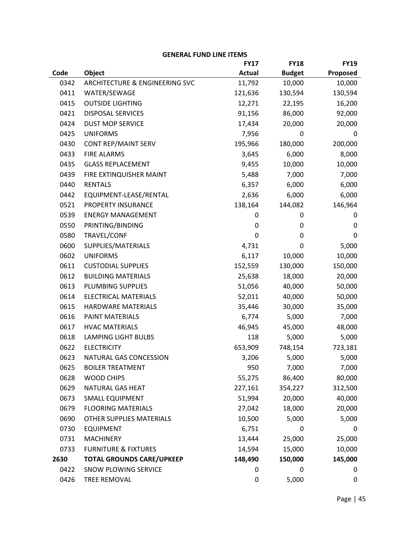|      |                                  | <b>FY17</b>   | <b>FY18</b>   | <b>FY19</b> |
|------|----------------------------------|---------------|---------------|-------------|
| Code | Object                           | <b>Actual</b> | <b>Budget</b> | Proposed    |
| 0342 | ARCHITECTURE & ENGINEERING SVC   | 11,792        | 10,000        | 10,000      |
| 0411 | WATER/SEWAGE                     | 121,636       | 130,594       | 130,594     |
| 0415 | <b>OUTSIDE LIGHTING</b>          | 12,271        | 22,195        | 16,200      |
| 0421 | <b>DISPOSAL SERVICES</b>         | 91,156        | 86,000        | 92,000      |
| 0424 | <b>DUST MOP SERVICE</b>          | 17,434        | 20,000        | 20,000      |
| 0425 | <b>UNIFORMS</b>                  | 7,956         | 0             | 0           |
| 0430 | <b>CONT REP/MAINT SERV</b>       | 195,966       | 180,000       | 200,000     |
| 0433 | <b>FIRE ALARMS</b>               | 3,645         | 6,000         | 8,000       |
| 0435 | <b>GLASS REPLACEMENT</b>         | 9,455         | 10,000        | 10,000      |
| 0439 | FIRE EXTINQUISHER MAINT          | 5,488         | 7,000         | 7,000       |
| 0440 | <b>RENTALS</b>                   | 6,357         | 6,000         | 6,000       |
| 0442 | EQUIPMENT-LEASE/RENTAL           | 2,636         | 6,000         | 6,000       |
| 0521 | PROPERTY INSURANCE               | 138,164       | 144,082       | 146,964     |
| 0539 | <b>ENERGY MANAGEMENT</b>         | 0             | 0             | 0           |
| 0550 | PRINTING/BINDING                 | 0             | 0             | 0           |
| 0580 | TRAVEL/CONF                      | 0             | 0             | 0           |
| 0600 | SUPPLIES/MATERIALS               | 4,731         | 0             | 5,000       |
| 0602 | <b>UNIFORMS</b>                  | 6,117         | 10,000        | 10,000      |
| 0611 | <b>CUSTODIAL SUPPLIES</b>        | 152,559       | 130,000       | 150,000     |
| 0612 | <b>BUILDING MATERIALS</b>        | 25,638        | 18,000        | 20,000      |
| 0613 | PLUMBING SUPPLIES                | 51,056        | 40,000        | 50,000      |
| 0614 | <b>ELECTRICAL MATERIALS</b>      | 52,011        | 40,000        | 50,000      |
| 0615 | <b>HARDWARE MATERIALS</b>        | 35,446        | 30,000        | 35,000      |
| 0616 | PAINT MATERIALS                  | 6,774         | 5,000         | 7,000       |
| 0617 | <b>HVAC MATERIALS</b>            | 46,945        | 45,000        | 48,000      |
| 0618 | <b>LAMPING LIGHT BULBS</b>       | 118           | 5,000         | 5,000       |
| 0622 | <b>ELECTRICITY</b>               | 653,909       | 748,154       | 723,181     |
| 0623 | NATURAL GAS CONCESSION           | 3,206         | 5,000         | 5,000       |
| 0625 | <b>BOILER TREATMENT</b>          | 950           | 7,000         | 7,000       |
| 0628 | <b>WOOD CHIPS</b>                | 55,275        | 86,400        | 80,000      |
| 0629 | NATURAL GAS HEAT                 | 227,161       | 354,227       | 312,500     |
| 0673 | <b>SMALL EQUIPMENT</b>           | 51,994        | 20,000        | 40,000      |
| 0679 | <b>FLOORING MATERIALS</b>        | 27,042        | 18,000        | 20,000      |
| 0690 | OTHER SUPPLIES MATERIALS         | 10,500        | 5,000         | 5,000       |
| 0730 | <b>EQUIPMENT</b>                 | 6,751         | 0             | 0           |
| 0731 | <b>MACHINERY</b>                 | 13,444        | 25,000        | 25,000      |
| 0733 | <b>FURNITURE &amp; FIXTURES</b>  | 14,594        | 15,000        | 10,000      |
| 2630 | <b>TOTAL GROUNDS CARE/UPKEEP</b> | 148,490       | 150,000       | 145,000     |
| 0422 | SNOW PLOWING SERVICE             | 0             | 0             | 0           |
| 0426 | TREE REMOVAL                     | 0             | 5,000         | 0           |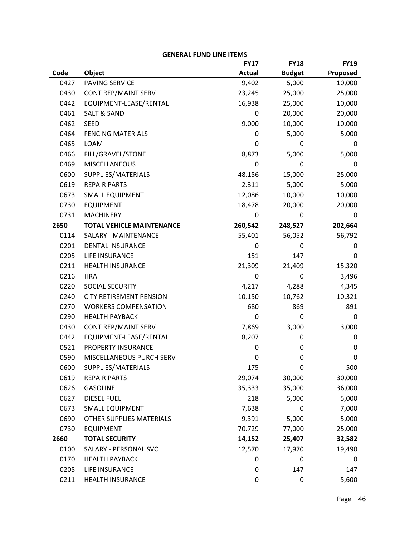|      |                                  | <b>FY17</b>   | <b>FY18</b>   | <b>FY19</b> |
|------|----------------------------------|---------------|---------------|-------------|
| Code | Object                           | <b>Actual</b> | <b>Budget</b> | Proposed    |
| 0427 | PAVING SERVICE                   | 9,402         | 5,000         | 10,000      |
| 0430 | CONT REP/MAINT SERV              | 23,245        | 25,000        | 25,000      |
| 0442 | EQUIPMENT-LEASE/RENTAL           | 16,938        | 25,000        | 10,000      |
| 0461 | <b>SALT &amp; SAND</b>           | 0             | 20,000        | 20,000      |
| 0462 | <b>SEED</b>                      | 9,000         | 10,000        | 10,000      |
| 0464 | <b>FENCING MATERIALS</b>         | 0             | 5,000         | 5,000       |
| 0465 | LOAM                             | 0             | 0             | 0           |
| 0466 | FILL/GRAVEL/STONE                | 8,873         | 5,000         | 5,000       |
| 0469 | <b>MISCELLANEOUS</b>             | 0             | 0             | 0           |
| 0600 | SUPPLIES/MATERIALS               | 48,156        | 15,000        | 25,000      |
| 0619 | <b>REPAIR PARTS</b>              | 2,311         | 5,000         | 5,000       |
| 0673 | <b>SMALL EQUIPMENT</b>           | 12,086        | 10,000        | 10,000      |
| 0730 | <b>EQUIPMENT</b>                 | 18,478        | 20,000        | 20,000      |
| 0731 | <b>MACHINERY</b>                 | 0             | 0             | 0           |
| 2650 | <b>TOTAL VEHICLE MAINTENANCE</b> | 260,542       | 248,527       | 202,664     |
| 0114 | SALARY - MAINTENANCE             | 55,401        | 56,052        | 56,792      |
| 0201 | <b>DENTAL INSURANCE</b>          | 0             | 0             | 0           |
| 0205 | LIFE INSURANCE                   | 151           | 147           | 0           |
| 0211 | <b>HEALTH INSURANCE</b>          | 21,309        | 21,409        | 15,320      |
| 0216 | <b>HRA</b>                       | 0             | 0             | 3,496       |
| 0220 | SOCIAL SECURITY                  | 4,217         | 4,288         | 4,345       |
| 0240 | <b>CITY RETIREMENT PENSION</b>   | 10,150        | 10,762        | 10,321      |
| 0270 | <b>WORKERS COMPENSATION</b>      | 680           | 869           | 891         |
| 0290 | <b>HEALTH PAYBACK</b>            | 0             | 0             | 0           |
| 0430 | CONT REP/MAINT SERV              | 7,869         | 3,000         | 3,000       |
| 0442 | EQUIPMENT-LEASE/RENTAL           | 8,207         | 0             | 0           |
| 0521 | PROPERTY INSURANCE               | 0             | 0             | 0           |
| 0590 | MISCELLANEOUS PURCH SERV         | 0             | 0             | 0           |
| 0600 | SUPPLIES/MATERIALS               | 175           | 0             | 500         |
| 0619 | <b>REPAIR PARTS</b>              | 29,074        | 30,000        | 30,000      |
| 0626 | <b>GASOLINE</b>                  | 35,333        | 35,000        | 36,000      |
| 0627 | <b>DIESEL FUEL</b>               | 218           | 5,000         | 5,000       |
| 0673 | <b>SMALL EQUIPMENT</b>           | 7,638         | 0             | 7,000       |
| 0690 | OTHER SUPPLIES MATERIALS         | 9,391         | 5,000         | 5,000       |
| 0730 | <b>EQUIPMENT</b>                 | 70,729        | 77,000        | 25,000      |
| 2660 | <b>TOTAL SECURITY</b>            | 14,152        | 25,407        | 32,582      |
| 0100 | SALARY - PERSONAL SVC            | 12,570        | 17,970        | 19,490      |
| 0170 | <b>HEALTH PAYBACK</b>            | 0             | 0             | 0           |
| 0205 | LIFE INSURANCE                   | 0             | 147           | 147         |
| 0211 | HEALTH INSURANCE                 | 0             | 0             | 5,600       |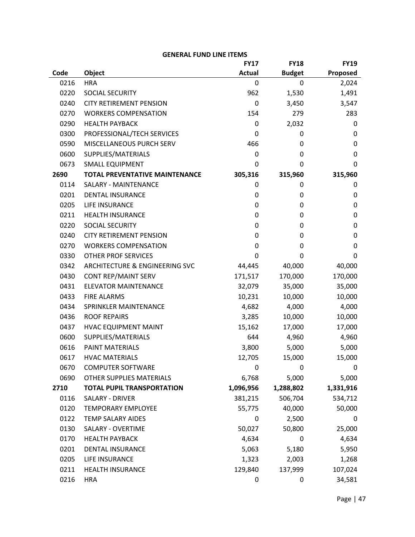|      |                                       | <b>FY17</b>   | <b>FY18</b>   | <b>FY19</b> |
|------|---------------------------------------|---------------|---------------|-------------|
| Code | <b>Object</b>                         | <b>Actual</b> | <b>Budget</b> | Proposed    |
| 0216 | <b>HRA</b>                            | 0             | 0             | 2,024       |
| 0220 | SOCIAL SECURITY                       | 962           | 1,530         | 1,491       |
| 0240 | <b>CITY RETIREMENT PENSION</b>        | 0             | 3,450         | 3,547       |
| 0270 | <b>WORKERS COMPENSATION</b>           | 154           | 279           | 283         |
| 0290 | <b>HEALTH PAYBACK</b>                 | 0             | 2,032         | 0           |
| 0300 | PROFESSIONAL/TECH SERVICES            | 0             | 0             | 0           |
| 0590 | MISCELLANEOUS PURCH SERV              | 466           | 0             | 0           |
| 0600 | SUPPLIES/MATERIALS                    | 0             | 0             | 0           |
| 0673 | <b>SMALL EQUIPMENT</b>                | 0             | 0             | 0           |
| 2690 | <b>TOTAL PREVENTATIVE MAINTENANCE</b> | 305,316       | 315,960       | 315,960     |
| 0114 | SALARY - MAINTENANCE                  | 0             | 0             | 0           |
| 0201 | <b>DENTAL INSURANCE</b>               | 0             | 0             | 0           |
| 0205 | LIFE INSURANCE                        | 0             | 0             | 0           |
| 0211 | <b>HEALTH INSURANCE</b>               | 0             | 0             | 0           |
| 0220 | SOCIAL SECURITY                       | 0             | 0             | 0           |
| 0240 | <b>CITY RETIREMENT PENSION</b>        | 0             | 0             | 0           |
| 0270 | <b>WORKERS COMPENSATION</b>           | 0             | 0             | 0           |
| 0330 | <b>OTHER PROF SERVICES</b>            | 0             | 0             | 0           |
| 0342 | ARCHITECTURE & ENGINEERING SVC        | 44,445        | 40,000        | 40,000      |
| 0430 | CONT REP/MAINT SERV                   | 171,517       | 170,000       | 170,000     |
| 0431 | <b>ELEVATOR MAINTENANCE</b>           | 32,079        | 35,000        | 35,000      |
| 0433 | <b>FIRE ALARMS</b>                    | 10,231        | 10,000        | 10,000      |
| 0434 | SPRINKLER MAINTENANCE                 | 4,682         | 4,000         | 4,000       |
| 0436 | <b>ROOF REPAIRS</b>                   | 3,285         | 10,000        | 10,000      |
| 0437 | <b>HVAC EQUIPMENT MAINT</b>           | 15,162        | 17,000        | 17,000      |
| 0600 | SUPPLIES/MATERIALS                    | 644           | 4,960         | 4,960       |
| 0616 | <b>PAINT MATERIALS</b>                | 3,800         | 5,000         | 5,000       |
| 0617 | <b>HVAC MATERIALS</b>                 | 12,705        | 15,000        | 15,000      |
| 0670 | <b>COMPUTER SOFTWARE</b>              | 0             | 0             | 0           |
| 0690 | OTHER SUPPLIES MATERIALS              | 6,768         | 5,000         | 5,000       |
| 2710 | <b>TOTAL PUPIL TRANSPORTATION</b>     | 1,096,956     | 1,288,802     | 1,331,916   |
| 0116 | SALARY - DRIVER                       | 381,215       | 506,704       | 534,712     |
| 0120 | <b>TEMPORARY EMPLOYEE</b>             | 55,775        | 40,000        | 50,000      |
| 0122 | <b>TEMP SALARY AIDES</b>              | 0             | 2,500         | 0           |
| 0130 | SALARY - OVERTIME                     | 50,027        | 50,800        | 25,000      |
| 0170 | <b>HEALTH PAYBACK</b>                 | 4,634         | 0             | 4,634       |
| 0201 | <b>DENTAL INSURANCE</b>               | 5,063         | 5,180         | 5,950       |
| 0205 | LIFE INSURANCE                        | 1,323         | 2,003         | 1,268       |
| 0211 | HEALTH INSURANCE                      | 129,840       | 137,999       | 107,024     |
| 0216 | <b>HRA</b>                            | 0             | 0             | 34,581      |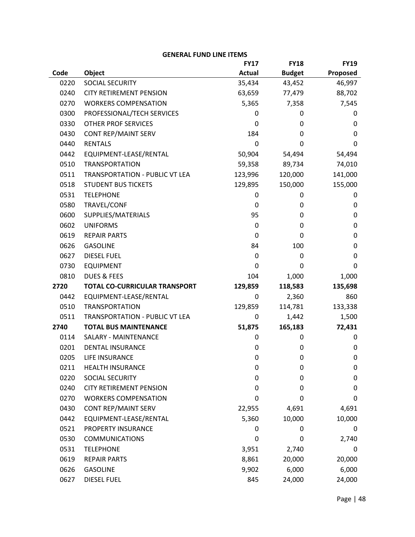|      |                                | <b>FY17</b>   | <b>FY18</b>   | <b>FY19</b> |
|------|--------------------------------|---------------|---------------|-------------|
| Code | Object                         | <b>Actual</b> | <b>Budget</b> | Proposed    |
| 0220 | SOCIAL SECURITY                | 35,434        | 43,452        | 46,997      |
| 0240 | <b>CITY RETIREMENT PENSION</b> | 63,659        | 77,479        | 88,702      |
| 0270 | <b>WORKERS COMPENSATION</b>    | 5,365         | 7,358         | 7,545       |
| 0300 | PROFESSIONAL/TECH SERVICES     | 0             | 0             | 0           |
| 0330 | <b>OTHER PROF SERVICES</b>     | 0             | 0             | 0           |
| 0430 | CONT REP/MAINT SERV            | 184           | 0             | 0           |
| 0440 | <b>RENTALS</b>                 | 0             | 0             | 0           |
| 0442 | EQUIPMENT-LEASE/RENTAL         | 50,904        | 54,494        | 54,494      |
| 0510 | <b>TRANSPORTATION</b>          | 59,358        | 89,734        | 74,010      |
| 0511 | TRANSPORTATION - PUBLIC VT LEA | 123,996       | 120,000       | 141,000     |
| 0518 | <b>STUDENT BUS TICKETS</b>     | 129,895       | 150,000       | 155,000     |
| 0531 | <b>TELEPHONE</b>               | 0             | 0             | 0           |
| 0580 | TRAVEL/CONF                    | 0             | 0             | 0           |
| 0600 | SUPPLIES/MATERIALS             | 95            | 0             | $\mathbf 0$ |
| 0602 | <b>UNIFORMS</b>                | 0             | 0             | $\mathbf 0$ |
| 0619 | <b>REPAIR PARTS</b>            | 0             | 0             | $\mathbf 0$ |
| 0626 | <b>GASOLINE</b>                | 84            | 100           | $\mathbf 0$ |
| 0627 | <b>DIESEL FUEL</b>             | 0             | 0             | $\mathbf 0$ |
| 0730 | <b>EQUIPMENT</b>               | 0             | 0             | 0           |
| 0810 | <b>DUES &amp; FEES</b>         | 104           | 1,000         | 1,000       |
| 2720 | TOTAL CO-CURRICULAR TRANSPORT  | 129,859       | 118,583       | 135,698     |
| 0442 | EQUIPMENT-LEASE/RENTAL         | 0             | 2,360         | 860         |
| 0510 | <b>TRANSPORTATION</b>          | 129,859       | 114,781       | 133,338     |
| 0511 | TRANSPORTATION - PUBLIC VT LEA | 0             | 1,442         | 1,500       |
| 2740 | <b>TOTAL BUS MAINTENANCE</b>   | 51,875        | 165,183       | 72,431      |
| 0114 | SALARY - MAINTENANCE           | 0             | 0             | 0           |
| 0201 | <b>DENTAL INSURANCE</b>        | 0             | 0             | $\mathbf 0$ |
| 0205 | LIFE INSURANCE                 | 0             | 0             | $\mathbf 0$ |
| 0211 | <b>HEALTH INSURANCE</b>        | 0             | 0             | 0           |
| 0220 | SOCIAL SECURITY                | 0             | 0             | 0           |
| 0240 | <b>CITY RETIREMENT PENSION</b> | 0             | 0             | 0           |
| 0270 | <b>WORKERS COMPENSATION</b>    | 0             | 0             | 0           |
| 0430 | <b>CONT REP/MAINT SERV</b>     | 22,955        | 4,691         | 4,691       |
| 0442 | EQUIPMENT-LEASE/RENTAL         | 5,360         | 10,000        | 10,000      |
| 0521 | PROPERTY INSURANCE             | 0             | 0             | 0           |
| 0530 | <b>COMMUNICATIONS</b>          | 0             | 0             | 2,740       |
| 0531 | <b>TELEPHONE</b>               | 3,951         | 2,740         | 0           |
| 0619 | <b>REPAIR PARTS</b>            | 8,861         | 20,000        | 20,000      |
| 0626 | <b>GASOLINE</b>                | 9,902         | 6,000         | 6,000       |
| 0627 | <b>DIESEL FUEL</b>             | 845           | 24,000        | 24,000      |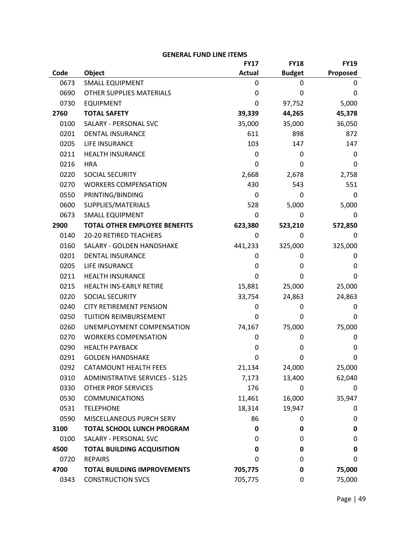|      |                                       | <b>FY17</b>   | <b>FY18</b>   | <b>FY19</b> |
|------|---------------------------------------|---------------|---------------|-------------|
| Code | Object                                | <b>Actual</b> | <b>Budget</b> | Proposed    |
| 0673 | <b>SMALL EQUIPMENT</b>                | 0             | 0             | 0           |
| 0690 | OTHER SUPPLIES MATERIALS              | 0             | 0             | 0           |
| 0730 | <b>EQUIPMENT</b>                      | 0             | 97,752        | 5,000       |
| 2760 | <b>TOTAL SAFETY</b>                   | 39,339        | 44,265        | 45,378      |
| 0100 | SALARY - PERSONAL SVC                 | 35,000        | 35,000        | 36,050      |
| 0201 | <b>DENTAL INSURANCE</b>               | 611           | 898           | 872         |
| 0205 | LIFE INSURANCE                        | 103           | 147           | 147         |
| 0211 | <b>HEALTH INSURANCE</b>               | 0             | 0             | 0           |
| 0216 | <b>HRA</b>                            | 0             | 0             | 0           |
| 0220 | SOCIAL SECURITY                       | 2,668         | 2,678         | 2,758       |
| 0270 | <b>WORKERS COMPENSATION</b>           | 430           | 543           | 551         |
| 0550 | PRINTING/BINDING                      | $\mathbf{0}$  | 0             | 0           |
| 0600 | SUPPLIES/MATERIALS                    | 528           | 5,000         | 5,000       |
| 0673 | <b>SMALL EQUIPMENT</b>                | 0             | 0             | 0           |
| 2900 | <b>TOTAL OTHER EMPLOYEE BENEFITS</b>  | 623,380       | 523,210       | 572,850     |
| 0140 | <b>20-20 RETIRED TEACHERS</b>         | 0             | 0             | 0           |
| 0160 | SALARY - GOLDEN HANDSHAKE             | 441,233       | 325,000       | 325,000     |
| 0201 | <b>DENTAL INSURANCE</b>               | 0             | 0             | 0           |
| 0205 | LIFE INSURANCE                        | 0             | 0             | 0           |
| 0211 | <b>HEALTH INSURANCE</b>               | 0             | 0             | 0           |
| 0215 | HEALTH INS-EARLY RETIRE               | 15,881        | 25,000        | 25,000      |
| 0220 | SOCIAL SECURITY                       | 33,754        | 24,863        | 24,863      |
| 0240 | <b>CITY RETIREMENT PENSION</b>        | 0             | 0             | 0           |
| 0250 | TUITION REIMBURSEMENT                 | 0             | 0             | 0           |
| 0260 | UNEMPLOYMENT COMPENSATION             | 74,167        | 75,000        | 75,000      |
| 0270 | <b>WORKERS COMPENSATION</b>           | 0             | 0             | 0           |
| 0290 | <b>HEALTH PAYBACK</b>                 | 0             | 0             | 0           |
| 0291 | <b>GOLDEN HANDSHAKE</b>               | 0             | 0             | 0           |
| 0292 | <b>CATAMOUNT HEALTH FEES</b>          | 21,134        | 24,000        | 25,000      |
| 0310 | <b>ADMINISTRATIVE SERVICES - S125</b> | 7,173         | 13,400        | 62,040      |
| 0330 | <b>OTHER PROF SERVICES</b>            | 176           | 0             | 0           |
| 0530 | <b>COMMUNICATIONS</b>                 | 11,461        | 16,000        | 35,947      |
| 0531 | <b>TELEPHONE</b>                      | 18,314        | 19,947        | 0           |
| 0590 | MISCELLANEOUS PURCH SERV              | 86            | 0             | 0           |
| 3100 | <b>TOTAL SCHOOL LUNCH PROGRAM</b>     | 0             | 0             | $\mathbf 0$ |
| 0100 | SALARY - PERSONAL SVC                 | 0             | 0             | 0           |
| 4500 | <b>TOTAL BUILDING ACQUISITION</b>     | 0             | 0             | 0           |
| 0720 | <b>REPAIRS</b>                        | 0             | 0             | 0           |
| 4700 | <b>TOTAL BUILDING IMPROVEMENTS</b>    | 705,775       | 0             | 75,000      |
| 0343 | <b>CONSTRUCTION SVCS</b>              | 705,775       | 0             | 75,000      |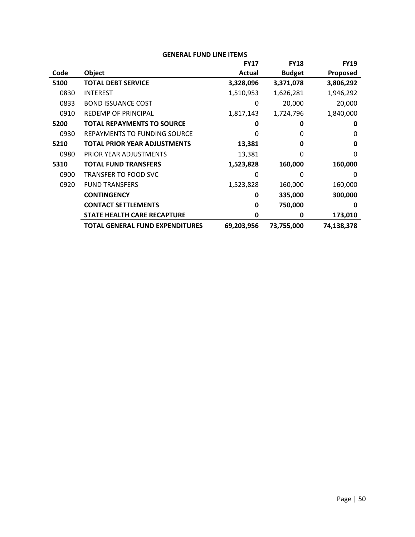|      |                                        | <b>FY17</b> | <b>FY18</b>   | <b>FY19</b>  |
|------|----------------------------------------|-------------|---------------|--------------|
| Code | Object                                 | Actual      | <b>Budget</b> | Proposed     |
| 5100 | <b>TOTAL DEBT SERVICE</b>              | 3,328,096   | 3,371,078     | 3,806,292    |
| 0830 | <b>INTEREST</b>                        | 1,510,953   | 1,626,281     | 1,946,292    |
| 0833 | <b>BOND ISSUANCE COST</b>              | 0           | 20,000        | 20,000       |
| 0910 | <b>REDEMP OF PRINCIPAL</b>             | 1,817,143   | 1,724,796     | 1,840,000    |
| 5200 | <b>TOTAL REPAYMENTS TO SOURCE</b>      | O           | 0             | 0            |
| 0930 | <b>REPAYMENTS TO FUNDING SOURCE</b>    | O           | 0             | 0            |
| 5210 | <b>TOTAL PRIOR YEAR ADJUSTMENTS</b>    | 13,381      | 0             | 0            |
| 0980 | PRIOR YEAR ADJUSTMENTS                 | 13,381      | 0             | 0            |
| 5310 | <b>TOTAL FUND TRANSFERS</b>            | 1,523,828   | 160,000       | 160,000      |
| 0900 | <b>TRANSFER TO FOOD SVC</b>            | 0           | <sup>0</sup>  | <sup>0</sup> |
| 0920 | <b>FUND TRANSFERS</b>                  | 1,523,828   | 160,000       | 160,000      |
|      | <b>CONTINGENCY</b>                     | 0           | 335,000       | 300,000      |
|      | <b>CONTACT SETTLEMENTS</b>             | 0           | 750,000       | 0            |
|      | <b>STATE HEALTH CARE RECAPTURE</b>     | 0           | 0             | 173,010      |
|      | <b>TOTAL GENERAL FUND EXPENDITURES</b> | 69,203,956  | 73,755,000    | 74,138,378   |
|      |                                        |             |               |              |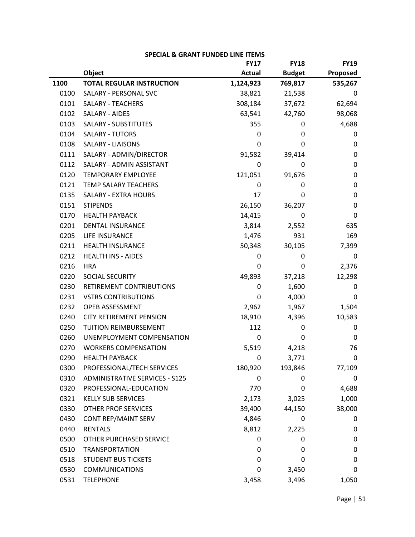|      |                                       | <b>FY17</b>   | <b>FY18</b>   | <b>FY19</b> |
|------|---------------------------------------|---------------|---------------|-------------|
|      | Object                                | <b>Actual</b> | <b>Budget</b> | Proposed    |
| 1100 | <b>TOTAL REGULAR INSTRUCTION</b>      | 1,124,923     | 769,817       | 535,267     |
| 0100 | SALARY - PERSONAL SVC                 | 38,821        | 21,538        | 0           |
| 0101 | <b>SALARY - TEACHERS</b>              | 308,184       | 37,672        | 62,694      |
| 0102 | SALARY - AIDES                        | 63,541        | 42,760        | 98,068      |
| 0103 | <b>SALARY - SUBSTITUTES</b>           | 355           | 0             | 4,688       |
| 0104 | <b>SALARY - TUTORS</b>                | 0             | 0             | 0           |
| 0108 | <b>SALARY - LIAISONS</b>              | 0             | 0             | 0           |
| 0111 | SALARY - ADMIN/DIRECTOR               | 91,582        | 39,414        | 0           |
| 0112 | SALARY - ADMIN ASSISTANT              | 0             | 0             | $\mathbf 0$ |
| 0120 | <b>TEMPORARY EMPLOYEE</b>             | 121,051       | 91,676        | 0           |
| 0121 | TEMP SALARY TEACHERS                  | $\mathbf{0}$  | 0             | $\mathbf 0$ |
| 0135 | <b>SALARY - EXTRA HOURS</b>           | 17            | 0             | 0           |
| 0151 | <b>STIPENDS</b>                       | 26,150        | 36,207        | $\mathbf 0$ |
| 0170 | <b>HEALTH PAYBACK</b>                 | 14,415        | 0             | 0           |
| 0201 | <b>DENTAL INSURANCE</b>               | 3,814         | 2,552         | 635         |
| 0205 | LIFE INSURANCE                        | 1,476         | 931           | 169         |
| 0211 | <b>HEALTH INSURANCE</b>               | 50,348        | 30,105        | 7,399       |
| 0212 | <b>HEALTH INS - AIDES</b>             | 0             | 0             | 0           |
| 0216 | <b>HRA</b>                            | 0             | 0             | 2,376       |
| 0220 | SOCIAL SECURITY                       | 49,893        | 37,218        | 12,298      |
| 0230 | RETIREMENT CONTRIBUTIONS              | 0             | 1,600         | 0           |
| 0231 | <b>VSTRS CONTRIBUTIONS</b>            | 0             | 4,000         | 0           |
| 0232 | OPEB ASSESSMENT                       | 2,962         | 1,967         | 1,504       |
| 0240 | <b>CITY RETIREMENT PENSION</b>        | 18,910        | 4,396         | 10,583      |
| 0250 | TUITION REIMBURSEMENT                 | 112           | 0             | 0           |
| 0260 | UNEMPLOYMENT COMPENSATION             | 0             | 0             | 0           |
| 0270 | <b>WORKERS COMPENSATION</b>           | 5,519         | 4,218         | 76          |
| 0290 | <b>HEALTH PAYBACK</b>                 | 0             | 3,771         | $\mathbf 0$ |
| 0300 | PROFESSIONAL/TECH SERVICES            | 180,920       | 193,846       | 77,109      |
| 0310 | <b>ADMINISTRATIVE SERVICES - S125</b> | 0             | 0             | 0           |
| 0320 | PROFESSIONAL-EDUCATION                | 770           | 0             | 4,688       |
| 0321 | <b>KELLY SUB SERVICES</b>             | 2,173         | 3,025         | 1,000       |
| 0330 | <b>OTHER PROF SERVICES</b>            | 39,400        | 44,150        | 38,000      |
| 0430 | CONT REP/MAINT SERV                   | 4,846         | 0             | 0           |
| 0440 | <b>RENTALS</b>                        | 8,812         | 2,225         | 0           |
| 0500 | OTHER PURCHASED SERVICE               | 0             | 0             | 0           |
| 0510 | <b>TRANSPORTATION</b>                 | 0             | 0             | $\mathbf 0$ |
| 0518 | <b>STUDENT BUS TICKETS</b>            | 0             | 0             | 0           |
| 0530 | <b>COMMUNICATIONS</b>                 | 0             | 3,450         | 0           |
| 0531 | <b>TELEPHONE</b>                      | 3,458         | 3,496         | 1,050       |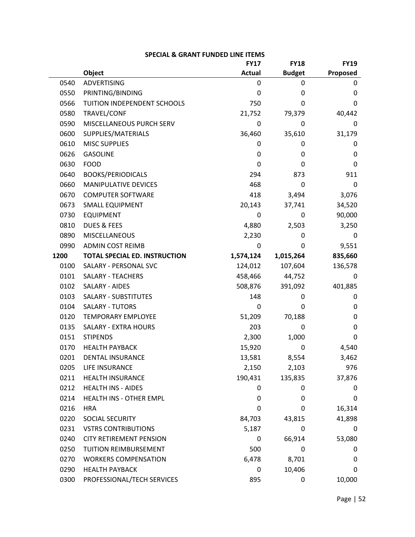|      |                                      | <b>FY17</b>   | <b>FY18</b>   | <b>FY19</b> |
|------|--------------------------------------|---------------|---------------|-------------|
|      | Object                               | <b>Actual</b> | <b>Budget</b> | Proposed    |
| 0540 | <b>ADVERTISING</b>                   | 0             | 0             | 0           |
| 0550 | PRINTING/BINDING                     | 0             | 0             | 0           |
| 0566 | TUITION INDEPENDENT SCHOOLS          | 750           | 0             | 0           |
| 0580 | TRAVEL/CONF                          | 21,752        | 79,379        | 40,442      |
| 0590 | MISCELLANEOUS PURCH SERV             | 0             | 0             | 0           |
| 0600 | SUPPLIES/MATERIALS                   | 36,460        | 35,610        | 31,179      |
| 0610 | <b>MISC SUPPLIES</b>                 | 0             | 0             | 0           |
| 0626 | <b>GASOLINE</b>                      | 0             | 0             | 0           |
| 0630 | <b>FOOD</b>                          | 0             | 0             | 0           |
| 0640 | <b>BOOKS/PERIODICALS</b>             | 294           | 873           | 911         |
| 0660 | MANIPULATIVE DEVICES                 | 468           | 0             | 0           |
| 0670 | <b>COMPUTER SOFTWARE</b>             | 418           | 3,494         | 3,076       |
| 0673 | <b>SMALL EQUIPMENT</b>               | 20,143        | 37,741        | 34,520      |
| 0730 | <b>EQUIPMENT</b>                     | 0             | 0             | 90,000      |
| 0810 | <b>DUES &amp; FEES</b>               | 4,880         | 2,503         | 3,250       |
| 0890 | MISCELLANEOUS                        | 2,230         | 0             | 0           |
| 0990 | <b>ADMIN COST REIMB</b>              | 0             | 0             | 9,551       |
| 1200 | <b>TOTAL SPECIAL ED. INSTRUCTION</b> | 1,574,124     | 1,015,264     | 835,660     |
| 0100 | SALARY - PERSONAL SVC                | 124,012       | 107,604       | 136,578     |
| 0101 | <b>SALARY - TEACHERS</b>             | 458,466       | 44,752        | 0           |
| 0102 | <b>SALARY - AIDES</b>                | 508,876       | 391,092       | 401,885     |
| 0103 | SALARY - SUBSTITUTES                 | 148           | 0             | 0           |
| 0104 | <b>SALARY - TUTORS</b>               | 0             | 0             | 0           |
| 0120 | <b>TEMPORARY EMPLOYEE</b>            | 51,209        | 70,188        | 0           |
| 0135 | SALARY - EXTRA HOURS                 | 203           | 0             | 0           |
| 0151 | <b>STIPENDS</b>                      | 2,300         | 1,000         | 0           |
| 0170 | <b>HEALTH PAYBACK</b>                | 15,920        | 0             | 4,540       |
| 0201 | DENTAL INSURANCE                     | 13,581        | 8,554         | 3,462       |
| 0205 | LIFE INSURANCE                       | 2,150         | 2,103         | 976         |
| 0211 | <b>HEALTH INSURANCE</b>              | 190,431       | 135,835       | 37,876      |
| 0212 | <b>HEALTH INS - AIDES</b>            | 0             | 0             | 0           |
| 0214 | HEALTH INS - OTHER EMPL              | 0             | 0             | 0           |
| 0216 | <b>HRA</b>                           | 0             | 0             | 16,314      |
| 0220 | SOCIAL SECURITY                      | 84,703        | 43,815        | 41,898      |
| 0231 | <b>VSTRS CONTRIBUTIONS</b>           | 5,187         | 0             | 0           |
| 0240 | <b>CITY RETIREMENT PENSION</b>       | 0             | 66,914        | 53,080      |
| 0250 | TUITION REIMBURSEMENT                | 500           | 0             | 0           |
| 0270 | <b>WORKERS COMPENSATION</b>          | 6,478         | 8,701         | 0           |
| 0290 | <b>HEALTH PAYBACK</b>                | 0             | 10,406        | 0           |
| 0300 | PROFESSIONAL/TECH SERVICES           | 895           | 0             | 10,000      |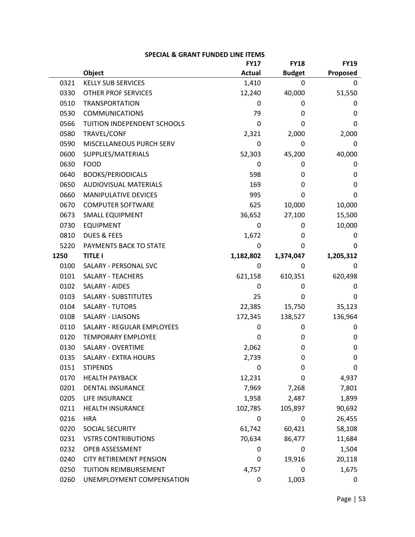|      |                                | <b>FY17</b>   | <b>FY18</b>   | <b>FY19</b> |
|------|--------------------------------|---------------|---------------|-------------|
|      | Object                         | <b>Actual</b> | <b>Budget</b> | Proposed    |
| 0321 | <b>KELLY SUB SERVICES</b>      | 1,410         | 0             | 0           |
| 0330 | <b>OTHER PROF SERVICES</b>     | 12,240        | 40,000        | 51,550      |
| 0510 | <b>TRANSPORTATION</b>          | 0             | 0             | 0           |
| 0530 | <b>COMMUNICATIONS</b>          | 79            | 0             | 0           |
| 0566 | TUITION INDEPENDENT SCHOOLS    | 0             | 0             | 0           |
| 0580 | TRAVEL/CONF                    | 2,321         | 2,000         | 2,000       |
| 0590 | MISCELLANEOUS PURCH SERV       | 0             | 0             | 0           |
| 0600 | SUPPLIES/MATERIALS             | 52,303        | 45,200        | 40,000      |
| 0630 | <b>FOOD</b>                    | 0             | 0             | 0           |
| 0640 | <b>BOOKS/PERIODICALS</b>       | 598           | 0             | 0           |
| 0650 | <b>AUDIOVISUAL MATERIALS</b>   | 169           | 0             | 0           |
| 0660 | MANIPULATIVE DEVICES           | 995           | 0             | 0           |
| 0670 | <b>COMPUTER SOFTWARE</b>       | 625           | 10,000        | 10,000      |
| 0673 | <b>SMALL EQUIPMENT</b>         | 36,652        | 27,100        | 15,500      |
| 0730 | <b>EQUIPMENT</b>               | 0             | 0             | 10,000      |
| 0810 | <b>DUES &amp; FEES</b>         | 1,672         | 0             | 0           |
| 5220 | PAYMENTS BACK TO STATE         | 0             | 0             | 0           |
| 1250 | <b>TITLE I</b>                 | 1,182,802     | 1,374,047     | 1,205,312   |
| 0100 | SALARY - PERSONAL SVC          | 0             | 0             | 0           |
| 0101 | <b>SALARY - TEACHERS</b>       | 621,158       | 610,351       | 620,498     |
| 0102 | SALARY - AIDES                 | 0             | 0             | 0           |
| 0103 | <b>SALARY - SUBSTITUTES</b>    | 25            | 0             | 0           |
| 0104 | <b>SALARY - TUTORS</b>         | 22,385        | 15,750        | 35,123      |
| 0108 | <b>SALARY - LIAISONS</b>       | 172,345       | 138,527       | 136,964     |
| 0110 | SALARY - REGULAR EMPLOYEES     | 0             | 0             | 0           |
| 0120 | <b>TEMPORARY EMPLOYEE</b>      | 0             | 0             | 0           |
| 0130 | <b>SALARY - OVERTIME</b>       | 2,062         | 0             | $\mathbf 0$ |
| 0135 | SALARY - EXTRA HOURS           | 2,739         | 0             | 0           |
| 0151 | <b>STIPENDS</b>                | 0             | 0             | 0           |
| 0170 | <b>HEALTH PAYBACK</b>          | 12,231        | 0             | 4,937       |
| 0201 | <b>DENTAL INSURANCE</b>        | 7,969         | 7,268         | 7,801       |
| 0205 | LIFE INSURANCE                 | 1,958         | 2,487         | 1,899       |
| 0211 | <b>HEALTH INSURANCE</b>        | 102,785       | 105,897       | 90,692      |
| 0216 | <b>HRA</b>                     | 0             | 0             | 26,455      |
| 0220 | SOCIAL SECURITY                | 61,742        | 60,421        | 58,108      |
| 0231 | <b>VSTRS CONTRIBUTIONS</b>     | 70,634        | 86,477        | 11,684      |
| 0232 | OPEB ASSESSMENT                | 0             | 0             | 1,504       |
| 0240 | <b>CITY RETIREMENT PENSION</b> | 0             | 19,916        | 20,118      |
| 0250 | TUITION REIMBURSEMENT          | 4,757         | 0             | 1,675       |
| 0260 | UNEMPLOYMENT COMPENSATION      | 0             | 1,003         | 0           |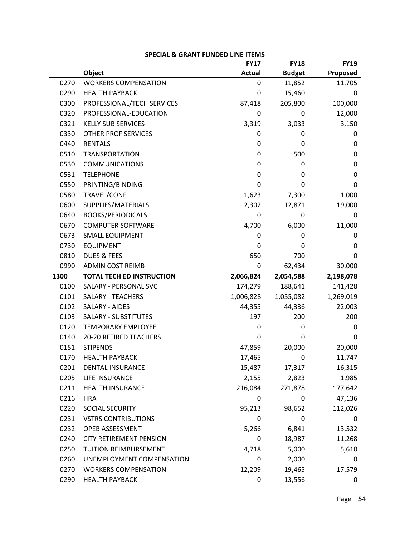|      |                                  | <b>FY17</b>   | <b>FY18</b>   | <b>FY19</b> |
|------|----------------------------------|---------------|---------------|-------------|
|      | Object                           | <b>Actual</b> | <b>Budget</b> | Proposed    |
| 0270 | <b>WORKERS COMPENSATION</b>      | 0             | 11,852        | 11,705      |
| 0290 | <b>HEALTH PAYBACK</b>            | 0             | 15,460        | 0           |
| 0300 | PROFESSIONAL/TECH SERVICES       | 87,418        | 205,800       | 100,000     |
| 0320 | PROFESSIONAL-EDUCATION           | 0             | 0             | 12,000      |
| 0321 | <b>KELLY SUB SERVICES</b>        | 3,319         | 3,033         | 3,150       |
| 0330 | <b>OTHER PROF SERVICES</b>       | 0             | 0             | 0           |
| 0440 | <b>RENTALS</b>                   | 0             | 0             | 0           |
| 0510 | <b>TRANSPORTATION</b>            | 0             | 500           | 0           |
| 0530 | <b>COMMUNICATIONS</b>            | 0             | 0             | 0           |
| 0531 | <b>TELEPHONE</b>                 | 0             | 0             | 0           |
| 0550 | PRINTING/BINDING                 | 0             | 0             | 0           |
| 0580 | TRAVEL/CONF                      | 1,623         | 7,300         | 1,000       |
| 0600 | SUPPLIES/MATERIALS               | 2,302         | 12,871        | 19,000      |
| 0640 | <b>BOOKS/PERIODICALS</b>         | 0             | 0             | 0           |
| 0670 | <b>COMPUTER SOFTWARE</b>         | 4,700         | 6,000         | 11,000      |
| 0673 | <b>SMALL EQUIPMENT</b>           | 0             | 0             | 0           |
| 0730 | <b>EQUIPMENT</b>                 | 0             | 0             | 0           |
| 0810 | <b>DUES &amp; FEES</b>           | 650           | 700           | 0           |
| 0990 | <b>ADMIN COST REIMB</b>          | 0             | 62,434        | 30,000      |
| 1300 | <b>TOTAL TECH ED INSTRUCTION</b> | 2,066,824     | 2,054,588     | 2,198,078   |
| 0100 | SALARY - PERSONAL SVC            | 174,279       | 188,641       | 141,428     |
| 0101 | <b>SALARY - TEACHERS</b>         | 1,006,828     | 1,055,082     | 1,269,019   |
| 0102 | SALARY - AIDES                   | 44,355        | 44,336        | 22,003      |
| 0103 | <b>SALARY - SUBSTITUTES</b>      | 197           | 200           | 200         |
| 0120 | <b>TEMPORARY EMPLOYEE</b>        | 0             | 0             | 0           |
| 0140 | 20-20 RETIRED TEACHERS           | 0             | 0             | 0           |
| 0151 | <b>STIPENDS</b>                  | 47,859        | 20,000        | 20,000      |
| 0170 | <b>HEALTH PAYBACK</b>            | 17,465        | 0             | 11,747      |
| 0201 | DENTAL INSURANCE                 | 15,487        | 17,317        | 16,315      |
| 0205 | LIFE INSURANCE                   | 2,155         | 2,823         | 1,985       |
| 0211 | HEALTH INSURANCE                 | 216,084       | 271,878       | 177,642     |
| 0216 | <b>HRA</b>                       | 0             | 0             | 47,136      |
| 0220 | SOCIAL SECURITY                  | 95,213        | 98,652        | 112,026     |
| 0231 | <b>VSTRS CONTRIBUTIONS</b>       | 0             | 0             | 0           |
| 0232 | OPEB ASSESSMENT                  | 5,266         | 6,841         | 13,532      |
| 0240 | <b>CITY RETIREMENT PENSION</b>   | 0             | 18,987        | 11,268      |
| 0250 | TUITION REIMBURSEMENT            | 4,718         | 5,000         | 5,610       |
| 0260 | UNEMPLOYMENT COMPENSATION        | 0             | 2,000         | 0           |
| 0270 | <b>WORKERS COMPENSATION</b>      | 12,209        | 19,465        | 17,579      |
| 0290 | <b>HEALTH PAYBACK</b>            | 0             | 13,556        | 0           |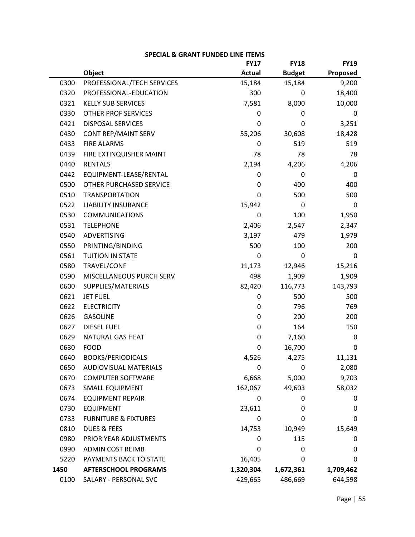|      |                                 | <b>FY17</b>   | <b>FY18</b>   | <b>FY19</b> |
|------|---------------------------------|---------------|---------------|-------------|
|      | Object                          | <b>Actual</b> | <b>Budget</b> | Proposed    |
| 0300 | PROFESSIONAL/TECH SERVICES      | 15,184        | 15,184        | 9,200       |
| 0320 | PROFESSIONAL-EDUCATION          | 300           | 0             | 18,400      |
| 0321 | <b>KELLY SUB SERVICES</b>       | 7,581         | 8,000         | 10,000      |
| 0330 | <b>OTHER PROF SERVICES</b>      | 0             | 0             | 0           |
| 0421 | <b>DISPOSAL SERVICES</b>        | 0             | 0             | 3,251       |
| 0430 | CONT REP/MAINT SERV             | 55,206        | 30,608        | 18,428      |
| 0433 | <b>FIRE ALARMS</b>              | 0             | 519           | 519         |
| 0439 | FIRE EXTINQUISHER MAINT         | 78            | 78            | 78          |
| 0440 | <b>RENTALS</b>                  | 2,194         | 4,206         | 4,206       |
| 0442 | EQUIPMENT-LEASE/RENTAL          | 0             | 0             | 0           |
| 0500 | OTHER PURCHASED SERVICE         | 0             | 400           | 400         |
| 0510 | <b>TRANSPORTATION</b>           | 0             | 500           | 500         |
| 0522 | <b>LIABILITY INSURANCE</b>      | 15,942        | 0             | 0           |
| 0530 | <b>COMMUNICATIONS</b>           | 0             | 100           | 1,950       |
| 0531 | <b>TELEPHONE</b>                | 2,406         | 2,547         | 2,347       |
| 0540 | <b>ADVERTISING</b>              | 3,197         | 479           | 1,979       |
| 0550 | PRINTING/BINDING                | 500           | 100           | 200         |
| 0561 | <b>TUITION IN STATE</b>         | 0             | 0             | 0           |
| 0580 | TRAVEL/CONF                     | 11,173        | 12,946        | 15,216      |
| 0590 | MISCELLANEOUS PURCH SERV        | 498           | 1,909         | 1,909       |
| 0600 | SUPPLIES/MATERIALS              | 82,420        | 116,773       | 143,793     |
| 0621 | <b>JET FUEL</b>                 | 0             | 500           | 500         |
| 0622 | <b>ELECTRICITY</b>              | 0             | 796           | 769         |
| 0626 | <b>GASOLINE</b>                 | 0             | 200           | 200         |
| 0627 | <b>DIESEL FUEL</b>              | 0             | 164           | 150         |
| 0629 | NATURAL GAS HEAT                | 0             | 7,160         | 0           |
| 0630 | <b>FOOD</b>                     | 0             | 16,700        | 0           |
| 0640 | <b>BOOKS/PERIODICALS</b>        | 4,526         | 4,275         | 11,131      |
| 0650 | AUDIOVISUAL MATERIALS           | 0             | 0             | 2,080       |
| 0670 | <b>COMPUTER SOFTWARE</b>        | 6,668         | 5,000         | 9,703       |
| 0673 | SMALL EQUIPMENT                 | 162,067       | 49,603        | 58,032      |
| 0674 | <b>EQUIPMENT REPAIR</b>         | 0             | 0             | 0           |
| 0730 | <b>EQUIPMENT</b>                | 23,611        | 0             | 0           |
| 0733 | <b>FURNITURE &amp; FIXTURES</b> | 0             | 0             | 0           |
| 0810 | <b>DUES &amp; FEES</b>          | 14,753        | 10,949        | 15,649      |
| 0980 | PRIOR YEAR ADJUSTMENTS          | 0             | 115           | 0           |
| 0990 | <b>ADMIN COST REIMB</b>         | 0             | 0             | $\mathbf 0$ |
| 5220 | PAYMENTS BACK TO STATE          | 16,405        | 0             | 0           |
| 1450 | <b>AFTERSCHOOL PROGRAMS</b>     | 1,320,304     | 1,672,361     | 1,709,462   |
| 0100 | SALARY - PERSONAL SVC           | 429,665       | 486,669       | 644,598     |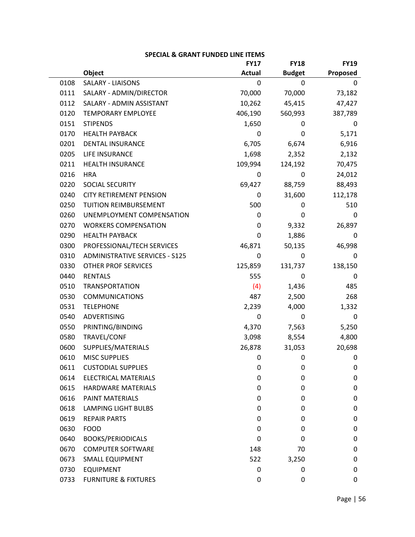|      |                                       | <b>FY17</b>   | <b>FY18</b>   | <b>FY19</b> |
|------|---------------------------------------|---------------|---------------|-------------|
|      | Object                                | <b>Actual</b> | <b>Budget</b> | Proposed    |
| 0108 | <b>SALARY - LIAISONS</b>              | 0             | 0             | 0           |
| 0111 | SALARY - ADMIN/DIRECTOR               | 70,000        | 70,000        | 73,182      |
| 0112 | SALARY - ADMIN ASSISTANT              | 10,262        | 45,415        | 47,427      |
| 0120 | TEMPORARY EMPLOYEE                    | 406,190       | 560,993       | 387,789     |
| 0151 | <b>STIPENDS</b>                       | 1,650         | 0             | 0           |
| 0170 | <b>HEALTH PAYBACK</b>                 | 0             | 0             | 5,171       |
| 0201 | <b>DENTAL INSURANCE</b>               | 6,705         | 6,674         | 6,916       |
| 0205 | LIFE INSURANCE                        | 1,698         | 2,352         | 2,132       |
| 0211 | <b>HEALTH INSURANCE</b>               | 109,994       | 124,192       | 70,475      |
| 0216 | <b>HRA</b>                            | $\mathbf 0$   | 0             | 24,012      |
| 0220 | SOCIAL SECURITY                       | 69,427        | 88,759        | 88,493      |
| 0240 | <b>CITY RETIREMENT PENSION</b>        | 0             | 31,600        | 112,178     |
| 0250 | TUITION REIMBURSEMENT                 | 500           | 0             | 510         |
| 0260 | UNEMPLOYMENT COMPENSATION             | 0             | 0             | 0           |
| 0270 | <b>WORKERS COMPENSATION</b>           | 0             | 9,332         | 26,897      |
| 0290 | <b>HEALTH PAYBACK</b>                 | $\pmb{0}$     | 1,886         | 0           |
| 0300 | PROFESSIONAL/TECH SERVICES            | 46,871        | 50,135        | 46,998      |
| 0310 | <b>ADMINISTRATIVE SERVICES - S125</b> | 0             | 0             | 0           |
| 0330 | <b>OTHER PROF SERVICES</b>            | 125,859       | 131,737       | 138,150     |
| 0440 | <b>RENTALS</b>                        | 555           | 0             | 0           |
| 0510 | <b>TRANSPORTATION</b>                 | (4)           | 1,436         | 485         |
| 0530 | <b>COMMUNICATIONS</b>                 | 487           | 2,500         | 268         |
| 0531 | <b>TELEPHONE</b>                      | 2,239         | 4,000         | 1,332       |
| 0540 | ADVERTISING                           | 0             | 0             | 0           |
| 0550 | PRINTING/BINDING                      | 4,370         | 7,563         | 5,250       |
| 0580 | TRAVEL/CONF                           | 3,098         | 8,554         | 4,800       |
| 0600 | SUPPLIES/MATERIALS                    | 26,878        | 31,053        | 20,698      |
| 0610 | <b>MISC SUPPLIES</b>                  | 0             | 0             | 0           |
| 0611 | <b>CUSTODIAL SUPPLIES</b>             | 0             | 0             | $\mathbf 0$ |
| 0614 | <b>ELECTRICAL MATERIALS</b>           | 0             | 0             | 0           |
| 0615 | HARDWARE MATERIALS                    | 0             | 0             | 0           |
| 0616 | <b>PAINT MATERIALS</b>                | 0             | 0             | 0           |
| 0618 | <b>LAMPING LIGHT BULBS</b>            | 0             | 0             | 0           |
| 0619 | <b>REPAIR PARTS</b>                   | 0             | 0             | 0           |
| 0630 | <b>FOOD</b>                           | 0             | 0             | 0           |
| 0640 | <b>BOOKS/PERIODICALS</b>              | 0             | 0             | 0           |
| 0670 | <b>COMPUTER SOFTWARE</b>              | 148           | 70            | 0           |
| 0673 | <b>SMALL EQUIPMENT</b>                | 522           | 3,250         | 0           |
| 0730 | <b>EQUIPMENT</b>                      | 0             | 0             | 0           |
| 0733 | <b>FURNITURE &amp; FIXTURES</b>       | 0             | 0             | 0           |

| SPECIAL & GRANT FUNDED LINE ITEMS |  |  |  |  |
|-----------------------------------|--|--|--|--|
|-----------------------------------|--|--|--|--|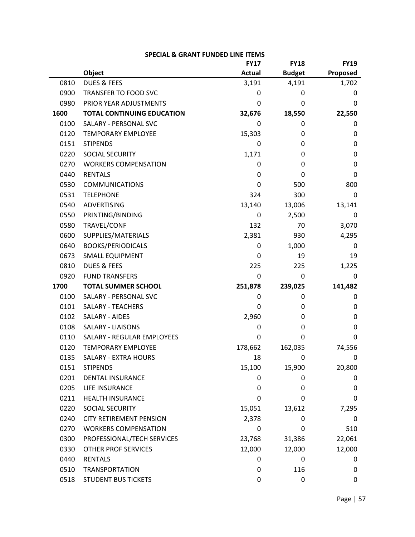|      | <b>SPECIAL &amp; GRANT FUNDED LINE ITEMS</b> |               |               |             |  |
|------|----------------------------------------------|---------------|---------------|-------------|--|
|      |                                              | <b>FY17</b>   | <b>FY18</b>   | <b>FY19</b> |  |
|      | Object                                       | <b>Actual</b> | <b>Budget</b> | Proposed    |  |
| 0810 | <b>DUES &amp; FEES</b>                       | 3,191         | 4,191         | 1,702       |  |
| 0900 | <b>TRANSFER TO FOOD SVC</b>                  | 0             | 0             | 0           |  |
| 0980 | PRIOR YEAR ADJUSTMENTS                       | 0             | 0             | 0           |  |
| 1600 | <b>TOTAL CONTINUING EDUCATION</b>            | 32,676        | 18,550        | 22,550      |  |
| 0100 | SALARY - PERSONAL SVC                        | 0             | 0             | 0           |  |
| 0120 | <b>TEMPORARY EMPLOYEE</b>                    | 15,303        | 0             | 0           |  |
| 0151 | <b>STIPENDS</b>                              | 0             | 0             | 0           |  |
| 0220 | SOCIAL SECURITY                              | 1,171         | 0             | 0           |  |
| 0270 | <b>WORKERS COMPENSATION</b>                  | 0             | 0             | 0           |  |
| 0440 | <b>RENTALS</b>                               | 0             | 0             | 0           |  |
| 0530 | <b>COMMUNICATIONS</b>                        | 0             | 500           | 800         |  |
| 0531 | <b>TELEPHONE</b>                             | 324           | 300           | 0           |  |
| 0540 | <b>ADVERTISING</b>                           | 13,140        | 13,006        | 13,141      |  |
| 0550 | PRINTING/BINDING                             | 0             | 2,500         | 0           |  |
| 0580 | TRAVEL/CONF                                  | 132           | 70            | 3,070       |  |
| 0600 | SUPPLIES/MATERIALS                           | 2,381         | 930           | 4,295       |  |
| 0640 | <b>BOOKS/PERIODICALS</b>                     | 0             | 1,000         | 0           |  |
| 0673 | <b>SMALL EQUIPMENT</b>                       | 0             | 19            | 19          |  |
| 0810 | <b>DUES &amp; FEES</b>                       | 225           | 225           | 1,225       |  |
| 0920 | <b>FUND TRANSFERS</b>                        | 0             | 0             | 0           |  |
| 1700 | <b>TOTAL SUMMER SCHOOL</b>                   | 251,878       | 239,025       | 141,482     |  |
| 0100 | SALARY - PERSONAL SVC                        | 0             | 0             | 0           |  |
| 0101 | <b>SALARY - TEACHERS</b>                     | 0             | 0             | 0           |  |
| 0102 | SALARY - AIDES                               | 2,960         | 0             | 0           |  |
| 0108 | <b>SALARY - LIAISONS</b>                     | 0             | 0             | 0           |  |
| 0110 | SALARY - REGULAR EMPLOYEES                   | 0             | 0             | 0           |  |
| 0120 | <b>TEMPORARY EMPLOYEE</b>                    | 178,662       | 162,035       | 74,556      |  |
| 0135 | SALARY - EXTRA HOURS                         | 18            | 0             | 0           |  |
| 0151 | <b>STIPENDS</b>                              | 15,100        | 15,900        | 20,800      |  |
| 0201 | <b>DENTAL INSURANCE</b>                      | 0             | 0             | 0           |  |
| 0205 | LIFE INSURANCE                               | 0             | 0             | 0           |  |
| 0211 | <b>HEALTH INSURANCE</b>                      | 0             | 0             | 0           |  |
| 0220 | SOCIAL SECURITY                              | 15,051        | 13,612        | 7,295       |  |
| 0240 | <b>CITY RETIREMENT PENSION</b>               | 2,378         | 0             | 0           |  |
| 0270 | <b>WORKERS COMPENSATION</b>                  | 0             | 0             | 510         |  |
| 0300 | PROFESSIONAL/TECH SERVICES                   | 23,768        | 31,386        | 22,061      |  |
| 0330 | <b>OTHER PROF SERVICES</b>                   | 12,000        | 12,000        | 12,000      |  |
| 0440 | <b>RENTALS</b>                               | 0             | 0             | 0           |  |
| 0510 | <b>TRANSPORTATION</b>                        | 0             | 116           | 0           |  |
| 0518 | <b>STUDENT BUS TICKETS</b>                   | 0             | 0             | 0           |  |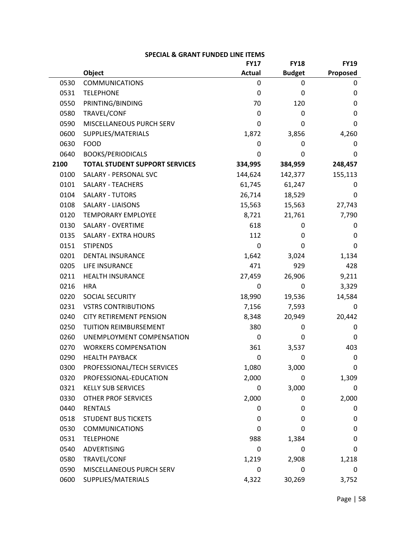|      |                                       | <b>FY17</b>   | <b>FY18</b>   | <b>FY19</b> |
|------|---------------------------------------|---------------|---------------|-------------|
|      | Object                                | <b>Actual</b> | <b>Budget</b> | Proposed    |
| 0530 | <b>COMMUNICATIONS</b>                 | 0             | 0             | 0           |
| 0531 | <b>TELEPHONE</b>                      | 0             | 0             | 0           |
| 0550 | PRINTING/BINDING                      | 70            | 120           | 0           |
| 0580 | TRAVEL/CONF                           | 0             | 0             | 0           |
| 0590 | MISCELLANEOUS PURCH SERV              | 0             | 0             | 0           |
| 0600 | SUPPLIES/MATERIALS                    | 1,872         | 3,856         | 4,260       |
| 0630 | <b>FOOD</b>                           | 0             | 0             | 0           |
| 0640 | <b>BOOKS/PERIODICALS</b>              | 0             | 0             | 0           |
| 2100 | <b>TOTAL STUDENT SUPPORT SERVICES</b> | 334,995       | 384,959       | 248,457     |
| 0100 | SALARY - PERSONAL SVC                 | 144,624       | 142,377       | 155,113     |
| 0101 | <b>SALARY - TEACHERS</b>              | 61,745        | 61,247        | 0           |
| 0104 | <b>SALARY - TUTORS</b>                | 26,714        | 18,529        | 0           |
| 0108 | <b>SALARY - LIAISONS</b>              | 15,563        | 15,563        | 27,743      |
| 0120 | <b>TEMPORARY EMPLOYEE</b>             | 8,721         | 21,761        | 7,790       |
| 0130 | <b>SALARY - OVERTIME</b>              | 618           | 0             | 0           |
| 0135 | <b>SALARY - EXTRA HOURS</b>           | 112           | 0             | 0           |
| 0151 | <b>STIPENDS</b>                       | 0             | 0             | 0           |
| 0201 | <b>DENTAL INSURANCE</b>               | 1,642         | 3,024         | 1,134       |
| 0205 | LIFE INSURANCE                        | 471           | 929           | 428         |
| 0211 | <b>HEALTH INSURANCE</b>               | 27,459        | 26,906        | 9,211       |
| 0216 | <b>HRA</b>                            | 0             | 0             | 3,329       |
| 0220 | SOCIAL SECURITY                       | 18,990        | 19,536        | 14,584      |
| 0231 | <b>VSTRS CONTRIBUTIONS</b>            | 7,156         | 7,593         | 0           |
| 0240 | <b>CITY RETIREMENT PENSION</b>        | 8,348         | 20,949        | 20,442      |
| 0250 | TUITION REIMBURSEMENT                 | 380           | 0             | 0           |
| 0260 | UNEMPLOYMENT COMPENSATION             | 0             | 0             | 0           |
| 0270 | <b>WORKERS COMPENSATION</b>           | 361           | 3,537         | 403         |
| 0290 | <b>HEALTH PAYBACK</b>                 | 0             | 0             | 0           |
| 0300 | PROFESSIONAL/TECH SERVICES            | 1,080         | 3,000         | 0           |
| 0320 | PROFESSIONAL-EDUCATION                | 2,000         | 0             | 1,309       |
| 0321 | <b>KELLY SUB SERVICES</b>             | 0             | 3,000         | 0           |
| 0330 | <b>OTHER PROF SERVICES</b>            | 2,000         | 0             | 2,000       |
| 0440 | <b>RENTALS</b>                        | 0             | 0             | 0           |
| 0518 | <b>STUDENT BUS TICKETS</b>            | 0             | 0             | 0           |
| 0530 | <b>COMMUNICATIONS</b>                 | 0             | 0             | 0           |
| 0531 | <b>TELEPHONE</b>                      | 988           | 1,384         | 0           |
| 0540 | <b>ADVERTISING</b>                    | 0             | 0             | 0           |
| 0580 | TRAVEL/CONF                           | 1,219         | 2,908         | 1,218       |
| 0590 | MISCELLANEOUS PURCH SERV              | 0             | 0             | 0           |
| 0600 | SUPPLIES/MATERIALS                    | 4,322         | 30,269        | 3,752       |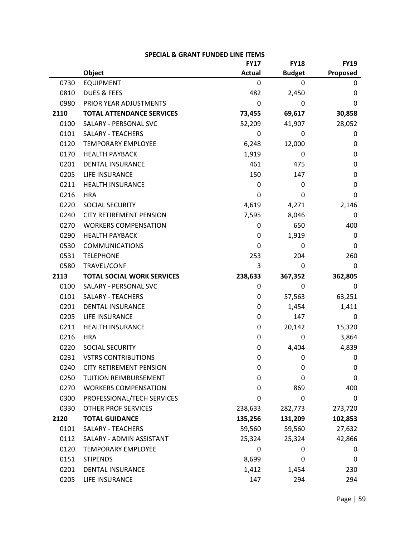|      |                                   | <b>FY17</b>   | <b>FY18</b>   | <b>FY19</b> |
|------|-----------------------------------|---------------|---------------|-------------|
|      | Object                            | <b>Actual</b> | <b>Budget</b> | Proposed    |
| 0730 | <b>EQUIPMENT</b>                  | 0             | 0             | 0           |
| 0810 | <b>DUES &amp; FEES</b>            | 482           | 2,450         | 0           |
| 0980 | PRIOR YEAR ADJUSTMENTS            | 0             | 0             | 0           |
| 2110 | <b>TOTAL ATTENDANCE SERVICES</b>  | 73,455        | 69,617        | 30,858      |
| 0100 | SALARY - PERSONAL SVC             | 52,209        | 41,907        | 28,052      |
| 0101 | <b>SALARY - TEACHERS</b>          | 0             | 0             | 0           |
| 0120 | <b>TEMPORARY EMPLOYEE</b>         | 6,248         | 12,000        | 0           |
| 0170 | <b>HEALTH PAYBACK</b>             | 1,919         | 0             | 0           |
| 0201 | <b>DENTAL INSURANCE</b>           | 461           | 475           | 0           |
| 0205 | LIFE INSURANCE                    | 150           | 147           | 0           |
| 0211 | <b>HEALTH INSURANCE</b>           | 0             | 0             | 0           |
| 0216 | <b>HRA</b>                        | 0             | 0             | 0           |
| 0220 | SOCIAL SECURITY                   | 4,619         | 4,271         | 2,146       |
| 0240 | <b>CITY RETIREMENT PENSION</b>    | 7,595         | 8,046         | 0           |
| 0270 | <b>WORKERS COMPENSATION</b>       | 0             | 650           | 400         |
| 0290 | <b>HEALTH PAYBACK</b>             | 0             | 1,919         | 0           |
| 0530 | <b>COMMUNICATIONS</b>             | 0             | 0             | 0           |
| 0531 | <b>TELEPHONE</b>                  | 253           | 204           | 260         |
| 0580 | TRAVEL/CONF                       | 3             | 0             | 0           |
| 2113 | <b>TOTAL SOCIAL WORK SERVICES</b> | 238,633       | 367,352       | 362,805     |
| 0100 | SALARY - PERSONAL SVC             | 0             | 0             | 0           |
| 0101 | <b>SALARY - TEACHERS</b>          | 0             | 57,563        | 63,251      |
| 0201 | <b>DENTAL INSURANCE</b>           | 0             | 1,454         | 1,411       |
| 0205 | LIFE INSURANCE                    | 0             | 147           | 0           |
| 0211 | <b>HEALTH INSURANCE</b>           | 0             | 20,142        | 15,320      |
| 0216 | <b>HRA</b>                        | 0             | 0             | 3,864       |
| 0220 | SOCIAL SECURITY                   | 0             | 4,404         | 4,839       |
| 0231 | <b>VSTRS CONTRIBUTIONS</b>        | 0             | 0             | 0           |
| 0240 | <b>CITY RETIREMENT PENSION</b>    | 0             | 0             | 0           |
| 0250 | TUITION REIMBURSEMENT             | 0             | 0             | 0           |
| 0270 | <b>WORKERS COMPENSATION</b>       | 0             | 869           | 400         |
| 0300 | PROFESSIONAL/TECH SERVICES        | 0             | 0             | 0           |
| 0330 | <b>OTHER PROF SERVICES</b>        | 238,633       | 282,773       | 273,720     |
| 2120 | <b>TOTAL GUIDANCE</b>             | 135,256       | 131,209       | 102,853     |
| 0101 | <b>SALARY - TEACHERS</b>          | 59,560        | 59,560        | 27,632      |
| 0112 | SALARY - ADMIN ASSISTANT          | 25,324        | 25,324        | 42,866      |
| 0120 | <b>TEMPORARY EMPLOYEE</b>         | 0             | 0             | 0           |
| 0151 | <b>STIPENDS</b>                   | 8,699         | 0             | 0           |
| 0201 | <b>DENTAL INSURANCE</b>           | 1,412         | 1,454         | 230         |
| 0205 | LIFE INSURANCE                    | 147           | 294           | 294         |

| SPECIAL & GRANT FUNDED LINE ITEMS |  |  |  |  |
|-----------------------------------|--|--|--|--|
|-----------------------------------|--|--|--|--|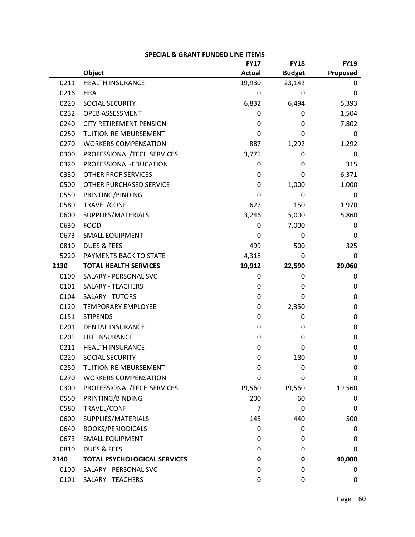|      |                                     | <b>FY17</b>   | <b>FY18</b>   | <b>FY19</b> |
|------|-------------------------------------|---------------|---------------|-------------|
|      | Object                              | <b>Actual</b> | <b>Budget</b> | Proposed    |
| 0211 | <b>HEALTH INSURANCE</b>             | 19,930        | 23,142        | 0           |
| 0216 | <b>HRA</b>                          | 0             | 0             | 0           |
| 0220 | SOCIAL SECURITY                     | 6,832         | 6,494         | 5,393       |
| 0232 | OPEB ASSESSMENT                     | 0             | 0             | 1,504       |
| 0240 | <b>CITY RETIREMENT PENSION</b>      | 0             | 0             | 7,802       |
| 0250 | <b>TUITION REIMBURSEMENT</b>        | 0             | 0             | 0           |
| 0270 | <b>WORKERS COMPENSATION</b>         | 887           | 1,292         | 1,292       |
| 0300 | PROFESSIONAL/TECH SERVICES          | 3,775         | 0             | 0           |
| 0320 | PROFESSIONAL-EDUCATION              | 0             | 0             | 315         |
| 0330 | OTHER PROF SERVICES                 | 0             | 0             | 6,371       |
| 0500 | OTHER PURCHASED SERVICE             | 0             | 1,000         | 1,000       |
| 0550 | PRINTING/BINDING                    | 0             | 0             | 0           |
| 0580 | TRAVEL/CONF                         | 627           | 150           | 1,970       |
| 0600 | SUPPLIES/MATERIALS                  | 3,246         | 5,000         | 5,860       |
| 0630 | <b>FOOD</b>                         | 0             | 7,000         | 0           |
| 0673 | <b>SMALL EQUIPMENT</b>              | 0             | 0             | 0           |
| 0810 | <b>DUES &amp; FEES</b>              | 499           | 500           | 325         |
| 5220 | PAYMENTS BACK TO STATE              | 4,318         | 0             | 0           |
| 2130 | <b>TOTAL HEALTH SERVICES</b>        | 19,912        | 22,590        | 20,060      |
| 0100 | SALARY - PERSONAL SVC               | 0             | 0             | 0           |
| 0101 | <b>SALARY - TEACHERS</b>            | 0             | 0             | 0           |
| 0104 | <b>SALARY - TUTORS</b>              | 0             | 0             | 0           |
| 0120 | <b>TEMPORARY EMPLOYEE</b>           | 0             | 2,350         | 0           |
| 0151 | <b>STIPENDS</b>                     | 0             | 0             | 0           |
| 0201 | <b>DENTAL INSURANCE</b>             | 0             | 0             | 0           |
| 0205 | LIFE INSURANCE                      | 0             | 0             | 0           |
| 0211 | <b>HEALTH INSURANCE</b>             | 0             | 0             | $\mathbf 0$ |
| 0220 | SOCIAL SECURITY                     | 0             | 180           | 0           |
| 0250 | TUITION REIMBURSEMENT               | 0             | 0             | $\mathbf 0$ |
| 0270 | <b>WORKERS COMPENSATION</b>         | 0             | 0             | 0           |
| 0300 | PROFESSIONAL/TECH SERVICES          | 19,560        | 19,560        | 19,560      |
| 0550 | PRINTING/BINDING                    | 200           | 60            | 0           |
| 0580 | TRAVEL/CONF                         | 7             | 0             | 0           |
| 0600 | SUPPLIES/MATERIALS                  | 145           | 440           | 500         |
| 0640 | <b>BOOKS/PERIODICALS</b>            | 0             | 0             | 0           |
| 0673 | <b>SMALL EQUIPMENT</b>              | 0             | 0             | 0           |
| 0810 | <b>DUES &amp; FEES</b>              | 0             | 0             | 0           |
| 2140 | <b>TOTAL PSYCHOLOGICAL SERVICES</b> | 0             | 0             | 40,000      |
| 0100 | SALARY - PERSONAL SVC               | 0             | 0             | 0           |
| 0101 | SALARY - TEACHERS                   | 0             | 0             | 0           |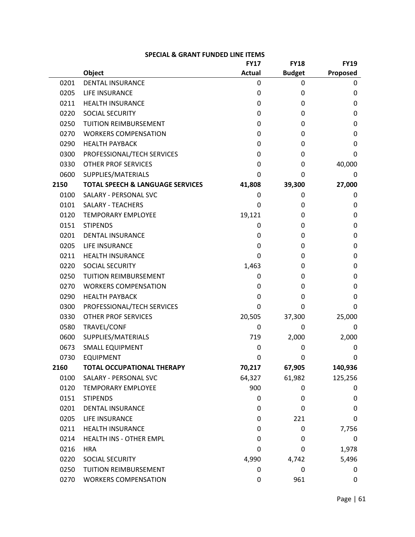|      |                                             | <b>FY17</b>   | <b>FY18</b>   | <b>FY19</b> |
|------|---------------------------------------------|---------------|---------------|-------------|
|      | <b>Object</b>                               | <b>Actual</b> | <b>Budget</b> | Proposed    |
| 0201 | <b>DENTAL INSURANCE</b>                     | 0             | 0             | 0           |
| 0205 | <b>LIFE INSURANCE</b>                       | 0             | 0             | 0           |
| 0211 | <b>HEALTH INSURANCE</b>                     | 0             | 0             | 0           |
| 0220 | SOCIAL SECURITY                             | 0             | 0             | 0           |
| 0250 | TUITION REIMBURSEMENT                       | 0             | 0             | 0           |
| 0270 | <b>WORKERS COMPENSATION</b>                 | 0             | 0             | 0           |
| 0290 | <b>HEALTH PAYBACK</b>                       | 0             | 0             | 0           |
| 0300 | PROFESSIONAL/TECH SERVICES                  | 0             | 0             | 0           |
| 0330 | <b>OTHER PROF SERVICES</b>                  | 0             | 0             | 40,000      |
| 0600 | SUPPLIES/MATERIALS                          | 0             | 0             | 0           |
| 2150 | <b>TOTAL SPEECH &amp; LANGUAGE SERVICES</b> | 41,808        | 39,300        | 27,000      |
| 0100 | SALARY - PERSONAL SVC                       | 0             | 0             | 0           |
| 0101 | <b>SALARY - TEACHERS</b>                    | 0             | 0             | 0           |
| 0120 | <b>TEMPORARY EMPLOYEE</b>                   | 19,121        | 0             | 0           |
| 0151 | <b>STIPENDS</b>                             | 0             | 0             | 0           |
| 0201 | <b>DENTAL INSURANCE</b>                     | 0             | 0             | 0           |
| 0205 | <b>LIFE INSURANCE</b>                       | 0             | 0             | 0           |
| 0211 | <b>HEALTH INSURANCE</b>                     | 0             | 0             | 0           |
| 0220 | <b>SOCIAL SECURITY</b>                      | 1,463         | 0             | 0           |
| 0250 | TUITION REIMBURSEMENT                       | 0             | 0             | 0           |
| 0270 | <b>WORKERS COMPENSATION</b>                 | 0             | 0             | 0           |
| 0290 | <b>HEALTH PAYBACK</b>                       | 0             | 0             | 0           |
| 0300 | PROFESSIONAL/TECH SERVICES                  | 0             | 0             | 0           |
| 0330 | <b>OTHER PROF SERVICES</b>                  | 20,505        | 37,300        | 25,000      |
| 0580 | TRAVEL/CONF                                 | 0             | 0             | 0           |
| 0600 | SUPPLIES/MATERIALS                          | 719           | 2,000         | 2,000       |
| 0673 | <b>SMALL EQUIPMENT</b>                      | 0             | 0             | 0           |
| 0730 | <b>EQUIPMENT</b>                            | 0             | 0             | 0           |
| 2160 | <b>TOTAL OCCUPATIONAL THERAPY</b>           | 70,217        | 67,905        | 140,936     |
| 0100 | SALARY - PERSONAL SVC                       | 64,327        | 61,982        | 125,256     |
| 0120 | <b>TEMPORARY EMPLOYEE</b>                   | 900           | 0             | 0           |
| 0151 | <b>STIPENDS</b>                             | 0             | 0             | 0           |
| 0201 | <b>DENTAL INSURANCE</b>                     | 0             | 0             | 0           |
| 0205 | LIFE INSURANCE                              | 0             | 221           | 0           |
| 0211 | <b>HEALTH INSURANCE</b>                     | 0             | 0             | 7,756       |
| 0214 | HEALTH INS - OTHER EMPL                     | 0             | 0             | 0           |
| 0216 | <b>HRA</b>                                  | 0             | 0             | 1,978       |
| 0220 | SOCIAL SECURITY                             | 4,990         | 4,742         | 5,496       |
| 0250 | TUITION REIMBURSEMENT                       | 0             | 0             | 0           |
| 0270 | <b>WORKERS COMPENSATION</b>                 | 0             | 961           | 0           |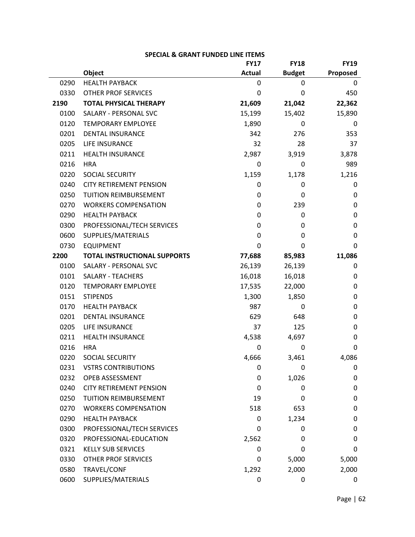|      |                                     | <b>FY17</b>   | <b>FY18</b>   | <b>FY19</b> |
|------|-------------------------------------|---------------|---------------|-------------|
|      | <b>Object</b>                       | <b>Actual</b> | <b>Budget</b> | Proposed    |
| 0290 | <b>HEALTH PAYBACK</b>               | 0             | 0             | 0           |
| 0330 | <b>OTHER PROF SERVICES</b>          | 0             | 0             | 450         |
| 2190 | <b>TOTAL PHYSICAL THERAPY</b>       | 21,609        | 21,042        | 22,362      |
| 0100 | SALARY - PERSONAL SVC               | 15,199        | 15,402        | 15,890      |
| 0120 | <b>TEMPORARY EMPLOYEE</b>           | 1,890         | 0             | 0           |
| 0201 | <b>DENTAL INSURANCE</b>             | 342           | 276           | 353         |
| 0205 | LIFE INSURANCE                      | 32            | 28            | 37          |
| 0211 | <b>HEALTH INSURANCE</b>             | 2,987         | 3,919         | 3,878       |
| 0216 | <b>HRA</b>                          | 0             | 0             | 989         |
| 0220 | SOCIAL SECURITY                     | 1,159         | 1,178         | 1,216       |
| 0240 | <b>CITY RETIREMENT PENSION</b>      | 0             | 0             | 0           |
| 0250 | TUITION REIMBURSEMENT               | 0             | 0             | 0           |
| 0270 | <b>WORKERS COMPENSATION</b>         | 0             | 239           | 0           |
| 0290 | <b>HEALTH PAYBACK</b>               | 0             | 0             | 0           |
| 0300 | PROFESSIONAL/TECH SERVICES          | 0             | 0             | 0           |
| 0600 | SUPPLIES/MATERIALS                  | 0             | 0             | 0           |
| 0730 | <b>EQUIPMENT</b>                    | 0             | 0             | 0           |
| 2200 | <b>TOTAL INSTRUCTIONAL SUPPORTS</b> | 77,688        | 85,983        | 11,086      |
| 0100 | SALARY - PERSONAL SVC               | 26,139        | 26,139        | 0           |
| 0101 | <b>SALARY - TEACHERS</b>            | 16,018        | 16,018        | 0           |
| 0120 | <b>TEMPORARY EMPLOYEE</b>           | 17,535        | 22,000        | 0           |
| 0151 | <b>STIPENDS</b>                     | 1,300         | 1,850         | 0           |
| 0170 | <b>HEALTH PAYBACK</b>               | 987           | 0             | 0           |
| 0201 | <b>DENTAL INSURANCE</b>             | 629           | 648           | 0           |
| 0205 | LIFE INSURANCE                      | 37            | 125           | 0           |
| 0211 | <b>HEALTH INSURANCE</b>             | 4,538         | 4,697         | 0           |
| 0216 | <b>HRA</b>                          | 0             | 0             | 0           |
| 0220 | SOCIAL SECURITY                     | 4,666         | 3,461         | 4,086       |
| 0231 | <b>VSTRS CONTRIBUTIONS</b>          | 0             | 0             | 0           |
| 0232 | OPEB ASSESSMENT                     | 0             | 1,026         | 0           |
| 0240 | <b>CITY RETIREMENT PENSION</b>      | 0             | 0             | 0           |
| 0250 | <b>TUITION REIMBURSEMENT</b>        | 19            | 0             | 0           |
| 0270 | <b>WORKERS COMPENSATION</b>         | 518           | 653           | 0           |
| 0290 | <b>HEALTH PAYBACK</b>               | 0             | 1,234         | 0           |
| 0300 | PROFESSIONAL/TECH SERVICES          | 0             | 0             | 0           |
| 0320 | PROFESSIONAL-EDUCATION              | 2,562         | 0             | 0           |
| 0321 | <b>KELLY SUB SERVICES</b>           | 0             | 0             | 0           |
| 0330 | <b>OTHER PROF SERVICES</b>          | 0             | 5,000         | 5,000       |
| 0580 | TRAVEL/CONF                         | 1,292         | 2,000         | 2,000       |
| 0600 | SUPPLIES/MATERIALS                  | 0             | 0             | 0           |

| <b>SPECIAL &amp; GRANT FUNDED LINE ITEMS</b> |  |
|----------------------------------------------|--|
|----------------------------------------------|--|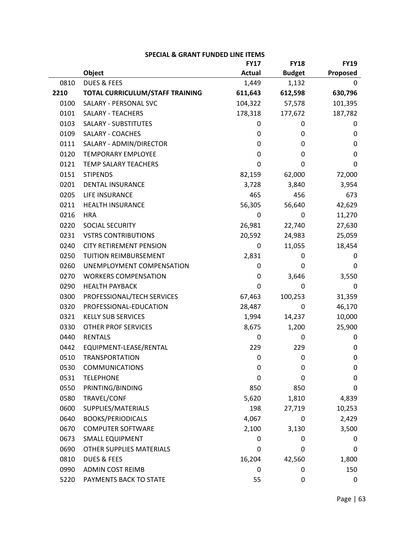|      |                                 | <b>FY17</b>   | <b>FY18</b>   | <b>FY19</b> |
|------|---------------------------------|---------------|---------------|-------------|
|      | Object                          | <b>Actual</b> | <b>Budget</b> | Proposed    |
| 0810 | <b>DUES &amp; FEES</b>          | 1,449         | 1,132         | 0           |
| 2210 | TOTAL CURRICULUM/STAFF TRAINING | 611,643       | 612,598       | 630,796     |
| 0100 | SALARY - PERSONAL SVC           | 104,322       | 57,578        | 101,395     |
| 0101 | <b>SALARY - TEACHERS</b>        | 178,318       | 177,672       | 187,782     |
| 0103 | <b>SALARY - SUBSTITUTES</b>     | 0             | 0             | 0           |
| 0109 | <b>SALARY - COACHES</b>         | 0             | 0             | 0           |
| 0111 | SALARY - ADMIN/DIRECTOR         | 0             | 0             | 0           |
| 0120 | <b>TEMPORARY EMPLOYEE</b>       | 0             | 0             | 0           |
| 0121 | TEMP SALARY TEACHERS            | 0             | 0             | 0           |
| 0151 | <b>STIPENDS</b>                 | 82,159        | 62,000        | 72,000      |
| 0201 | <b>DENTAL INSURANCE</b>         | 3,728         | 3,840         | 3,954       |
| 0205 | LIFE INSURANCE                  | 465           | 456           | 673         |
| 0211 | <b>HEALTH INSURANCE</b>         | 56,305        | 56,640        | 42,629      |
| 0216 | <b>HRA</b>                      | 0             | 0             | 11,270      |
| 0220 | SOCIAL SECURITY                 | 26,981        | 22,740        | 27,630      |
| 0231 | <b>VSTRS CONTRIBUTIONS</b>      | 20,592        | 24,983        | 25,059      |
| 0240 | <b>CITY RETIREMENT PENSION</b>  | 0             | 11,055        | 18,454      |
| 0250 | <b>TUITION REIMBURSEMENT</b>    | 2,831         | 0             | 0           |
| 0260 | UNEMPLOYMENT COMPENSATION       | 0             | 0             | 0           |
| 0270 | <b>WORKERS COMPENSATION</b>     | 0             | 3,646         | 3,550       |
| 0290 | <b>HEALTH PAYBACK</b>           | 0             | 0             | 0           |
| 0300 | PROFESSIONAL/TECH SERVICES      | 67,463        | 100,253       | 31,359      |
| 0320 | PROFESSIONAL-EDUCATION          | 28,487        | 0             | 46,170      |
| 0321 | <b>KELLY SUB SERVICES</b>       | 1,994         | 14,237        | 10,000      |
| 0330 | OTHER PROF SERVICES             | 8,675         | 1,200         | 25,900      |
| 0440 | <b>RENTALS</b>                  | 0             | 0             | 0           |
| 0442 | EQUIPMENT-LEASE/RENTAL          | 229           | 229           | 0           |
| 0510 | <b>TRANSPORTATION</b>           | 0             | 0             | 0           |
| 0530 | <b>COMMUNICATIONS</b>           | 0             | 0             | 0           |
| 0531 | <b>TELEPHONE</b>                | 0             | 0             | 0           |
| 0550 | PRINTING/BINDING                | 850           | 850           | 0           |
| 0580 | TRAVEL/CONF                     | 5,620         | 1,810         | 4,839       |
| 0600 | SUPPLIES/MATERIALS              | 198           | 27,719        | 10,253      |
| 0640 | <b>BOOKS/PERIODICALS</b>        | 4,067         | 0             | 2,429       |
| 0670 | <b>COMPUTER SOFTWARE</b>        | 2,100         | 3,130         | 3,500       |
| 0673 | <b>SMALL EQUIPMENT</b>          | 0             | 0             | 0           |
| 0690 | OTHER SUPPLIES MATERIALS        | 0             | 0             | 0           |
| 0810 | <b>DUES &amp; FEES</b>          | 16,204        | 42,560        | 1,800       |
| 0990 | <b>ADMIN COST REIMB</b>         | 0             | 0             | 150         |
| 5220 | PAYMENTS BACK TO STATE          | 55            | 0             | 0           |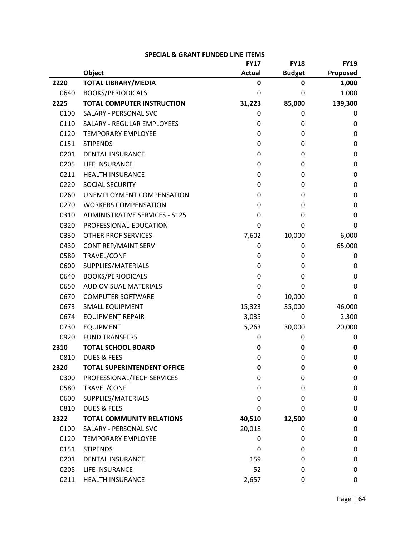|      |                                       | <b>FY17</b>   | <b>FY18</b>   | <b>FY19</b> |
|------|---------------------------------------|---------------|---------------|-------------|
|      | Object                                | <b>Actual</b> | <b>Budget</b> | Proposed    |
| 2220 | <b>TOTAL LIBRARY/MEDIA</b>            | 0             | 0             | 1,000       |
| 0640 | <b>BOOKS/PERIODICALS</b>              | 0             | 0             | 1,000       |
| 2225 | <b>TOTAL COMPUTER INSTRUCTION</b>     | 31,223        | 85,000        | 139,300     |
| 0100 | SALARY - PERSONAL SVC                 | 0             | 0             | 0           |
| 0110 | SALARY - REGULAR EMPLOYEES            | 0             | 0             | 0           |
| 0120 | <b>TEMPORARY EMPLOYEE</b>             | 0             | 0             | 0           |
| 0151 | <b>STIPENDS</b>                       | 0             | 0             | 0           |
| 0201 | <b>DENTAL INSURANCE</b>               | 0             | 0             | 0           |
| 0205 | LIFE INSURANCE                        | 0             | 0             | 0           |
| 0211 | <b>HEALTH INSURANCE</b>               | 0             | 0             | 0           |
| 0220 | <b>SOCIAL SECURITY</b>                | 0             | 0             | 0           |
| 0260 | UNEMPLOYMENT COMPENSATION             | 0             | 0             | 0           |
| 0270 | <b>WORKERS COMPENSATION</b>           | 0             | 0             | 0           |
| 0310 | <b>ADMINISTRATIVE SERVICES - S125</b> | 0             | 0             | 0           |
| 0320 | PROFESSIONAL-EDUCATION                | 0             | 0             | 0           |
| 0330 | <b>OTHER PROF SERVICES</b>            | 7,602         | 10,000        | 6,000       |
| 0430 | CONT REP/MAINT SERV                   | 0             | 0             | 65,000      |
| 0580 | TRAVEL/CONF                           | 0             | 0             | 0           |
| 0600 | SUPPLIES/MATERIALS                    | 0             | 0             | 0           |
| 0640 | <b>BOOKS/PERIODICALS</b>              | 0             | 0             | 0           |
| 0650 | <b>AUDIOVISUAL MATERIALS</b>          | 0             | 0             | 0           |
| 0670 | <b>COMPUTER SOFTWARE</b>              | 0             | 10,000        | 0           |
| 0673 | <b>SMALL EQUIPMENT</b>                | 15,323        | 35,000        | 46,000      |
| 0674 | <b>EQUIPMENT REPAIR</b>               | 3,035         | 0             | 2,300       |
| 0730 | <b>EQUIPMENT</b>                      | 5,263         | 30,000        | 20,000      |
| 0920 | <b>FUND TRANSFERS</b>                 | 0             | 0             | 0           |
| 2310 | <b>TOTAL SCHOOL BOARD</b>             | 0             | 0             | 0           |
| 0810 | <b>DUES &amp; FEES</b>                | 0             | 0             | 0           |
| 2320 | <b>TOTAL SUPERINTENDENT OFFICE</b>    | 0             | 0             | 0           |
| 0300 | PROFESSIONAL/TECH SERVICES            | 0             | 0             | 0           |
| 0580 | TRAVEL/CONF                           | 0             | 0             | 0           |
| 0600 | SUPPLIES/MATERIALS                    | 0             | 0             | 0           |
| 0810 | <b>DUES &amp; FEES</b>                | 0             | 0             | 0           |
| 2322 | <b>TOTAL COMMUNITY RELATIONS</b>      | 40,510        | 12,500        | 0           |
| 0100 | SALARY - PERSONAL SVC                 | 20,018        | 0             | 0           |
| 0120 | <b>TEMPORARY EMPLOYEE</b>             | 0             | 0             | 0           |
| 0151 | <b>STIPENDS</b>                       | 0             | 0             | 0           |
| 0201 | <b>DENTAL INSURANCE</b>               | 159           | 0             | 0           |
| 0205 | LIFE INSURANCE                        | 52            | 0             | 0           |
| 0211 | <b>HEALTH INSURANCE</b>               | 2,657         | 0             | 0           |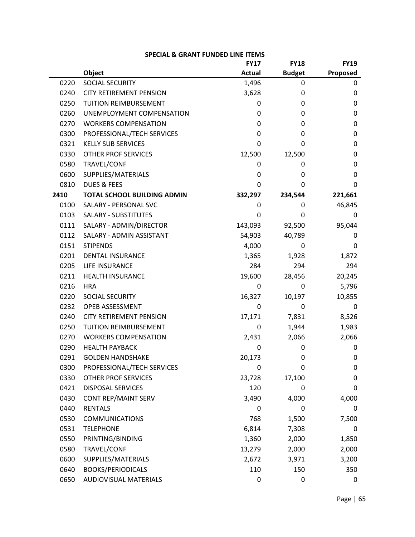|      |                                    | <b>FY17</b>   | <b>FY18</b>   | <b>FY19</b> |
|------|------------------------------------|---------------|---------------|-------------|
|      | Object                             | <b>Actual</b> | <b>Budget</b> | Proposed    |
| 0220 | SOCIAL SECURITY                    | 1,496         | 0             | 0           |
| 0240 | <b>CITY RETIREMENT PENSION</b>     | 3,628         | 0             | 0           |
| 0250 | <b>TUITION REIMBURSEMENT</b>       | 0             | 0             | 0           |
| 0260 | UNEMPLOYMENT COMPENSATION          | 0             | 0             | 0           |
| 0270 | <b>WORKERS COMPENSATION</b>        | 0             | 0             | 0           |
| 0300 | PROFESSIONAL/TECH SERVICES         | 0             | 0             | 0           |
| 0321 | <b>KELLY SUB SERVICES</b>          | 0             | 0             | 0           |
| 0330 | <b>OTHER PROF SERVICES</b>         | 12,500        | 12,500        | 0           |
| 0580 | TRAVEL/CONF                        | 0             | 0             | 0           |
| 0600 | SUPPLIES/MATERIALS                 | 0             | 0             | 0           |
| 0810 | <b>DUES &amp; FEES</b>             | 0             | 0             | 0           |
| 2410 | <b>TOTAL SCHOOL BUILDING ADMIN</b> | 332,297       | 234,544       | 221,661     |
| 0100 | SALARY - PERSONAL SVC              | 0             | 0             | 46,845      |
| 0103 | <b>SALARY - SUBSTITUTES</b>        | 0             | 0             | 0           |
| 0111 | SALARY - ADMIN/DIRECTOR            | 143,093       | 92,500        | 95,044      |
| 0112 | SALARY - ADMIN ASSISTANT           | 54,903        | 40,789        | 0           |
| 0151 | <b>STIPENDS</b>                    | 4,000         | 0             | 0           |
| 0201 | <b>DENTAL INSURANCE</b>            | 1,365         | 1,928         | 1,872       |
| 0205 | LIFE INSURANCE                     | 284           | 294           | 294         |
| 0211 | <b>HEALTH INSURANCE</b>            | 19,600        | 28,456        | 20,245      |
| 0216 | <b>HRA</b>                         | 0             | 0             | 5,796       |
| 0220 | SOCIAL SECURITY                    | 16,327        | 10,197        | 10,855      |
| 0232 | OPEB ASSESSMENT                    | 0             | 0             | 0           |
| 0240 | <b>CITY RETIREMENT PENSION</b>     | 17,171        | 7,831         | 8,526       |
| 0250 | TUITION REIMBURSEMENT              | 0             | 1,944         | 1,983       |
| 0270 | <b>WORKERS COMPENSATION</b>        | 2,431         | 2,066         | 2,066       |
| 0290 | <b>HEALTH PAYBACK</b>              | 0             | 0             | 0           |
| 0291 | <b>GOLDEN HANDSHAKE</b>            | 20,173        | 0             | 0           |
| 0300 | PROFESSIONAL/TECH SERVICES         | 0             | 0             | 0           |
| 0330 | <b>OTHER PROF SERVICES</b>         | 23,728        | 17,100        | 0           |
| 0421 | <b>DISPOSAL SERVICES</b>           | 120           | 0             | 0           |
| 0430 | <b>CONT REP/MAINT SERV</b>         | 3,490         | 4,000         | 4,000       |
| 0440 | <b>RENTALS</b>                     | 0             | 0             | 0           |
| 0530 | <b>COMMUNICATIONS</b>              | 768           | 1,500         | 7,500       |
| 0531 | <b>TELEPHONE</b>                   | 6,814         | 7,308         | 0           |
| 0550 | PRINTING/BINDING                   | 1,360         | 2,000         | 1,850       |
| 0580 | TRAVEL/CONF                        | 13,279        | 2,000         | 2,000       |
| 0600 | SUPPLIES/MATERIALS                 | 2,672         | 3,971         | 3,200       |
| 0640 | <b>BOOKS/PERIODICALS</b>           | 110           | 150           | 350         |
| 0650 | AUDIOVISUAL MATERIALS              | 0             | 0             | 0           |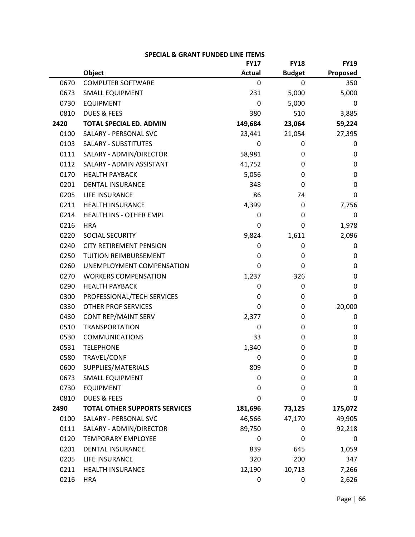|      |                                      | <b>FY17</b>   | <b>FY18</b>   | <b>FY19</b> |
|------|--------------------------------------|---------------|---------------|-------------|
|      | Object                               | <b>Actual</b> | <b>Budget</b> | Proposed    |
| 0670 | <b>COMPUTER SOFTWARE</b>             | 0             | 0             | 350         |
| 0673 | <b>SMALL EQUIPMENT</b>               | 231           | 5,000         | 5,000       |
| 0730 | <b>EQUIPMENT</b>                     | 0             | 5,000         | 0           |
| 0810 | <b>DUES &amp; FEES</b>               | 380           | 510           | 3,885       |
| 2420 | <b>TOTAL SPECIAL ED. ADMIN</b>       | 149,684       | 23,064        | 59,224      |
| 0100 | SALARY - PERSONAL SVC                | 23,441        | 21,054        | 27,395      |
| 0103 | <b>SALARY - SUBSTITUTES</b>          | 0             | 0             | 0           |
| 0111 | SALARY - ADMIN/DIRECTOR              | 58,981        | 0             | 0           |
| 0112 | SALARY - ADMIN ASSISTANT             | 41,752        | 0             | 0           |
| 0170 | <b>HEALTH PAYBACK</b>                | 5,056         | 0             | 0           |
| 0201 | <b>DENTAL INSURANCE</b>              | 348           | 0             | 0           |
| 0205 | LIFE INSURANCE                       | 86            | 74            | 0           |
| 0211 | <b>HEALTH INSURANCE</b>              | 4,399         | 0             | 7,756       |
| 0214 | HEALTH INS - OTHER EMPL              | 0             | 0             | 0           |
| 0216 | <b>HRA</b>                           | 0             | 0             | 1,978       |
| 0220 | SOCIAL SECURITY                      | 9,824         | 1,611         | 2,096       |
| 0240 | <b>CITY RETIREMENT PENSION</b>       | 0             | 0             | 0           |
| 0250 | TUITION REIMBURSEMENT                | 0             | 0             | 0           |
| 0260 | UNEMPLOYMENT COMPENSATION            | 0             | 0             | 0           |
| 0270 | <b>WORKERS COMPENSATION</b>          | 1,237         | 326           | 0           |
| 0290 | <b>HEALTH PAYBACK</b>                | 0             | 0             | 0           |
| 0300 | PROFESSIONAL/TECH SERVICES           | 0             | 0             | 0           |
| 0330 | <b>OTHER PROF SERVICES</b>           | 0             | 0             | 20,000      |
| 0430 | CONT REP/MAINT SERV                  | 2,377         | 0             | 0           |
| 0510 | <b>TRANSPORTATION</b>                | 0             | 0             | 0           |
| 0530 | <b>COMMUNICATIONS</b>                | 33            | 0             | 0           |
| 0531 | <b>TELEPHONE</b>                     | 1,340         | 0             | 0           |
| 0580 | TRAVEL/CONF                          | 0             | 0             | 0           |
| 0600 | SUPPLIES/MATERIALS                   | 809           | 0             | 0           |
| 0673 | <b>SMALL EQUIPMENT</b>               | 0             | 0             | 0           |
| 0730 | <b>EQUIPMENT</b>                     | 0             | 0             | 0           |
| 0810 | <b>DUES &amp; FEES</b>               | 0             | 0             | 0           |
| 2490 | <b>TOTAL OTHER SUPPORTS SERVICES</b> | 181,696       | 73,125        | 175,072     |
| 0100 | SALARY - PERSONAL SVC                | 46,566        | 47,170        | 49,905      |
| 0111 | SALARY - ADMIN/DIRECTOR              | 89,750        | 0             | 92,218      |
| 0120 | <b>TEMPORARY EMPLOYEE</b>            | 0             | 0             | 0           |
| 0201 | <b>DENTAL INSURANCE</b>              | 839           | 645           | 1,059       |
| 0205 | LIFE INSURANCE                       | 320           | 200           | 347         |
| 0211 | <b>HEALTH INSURANCE</b>              | 12,190        | 10,713        | 7,266       |
| 0216 | <b>HRA</b>                           | 0             | 0             | 2,626       |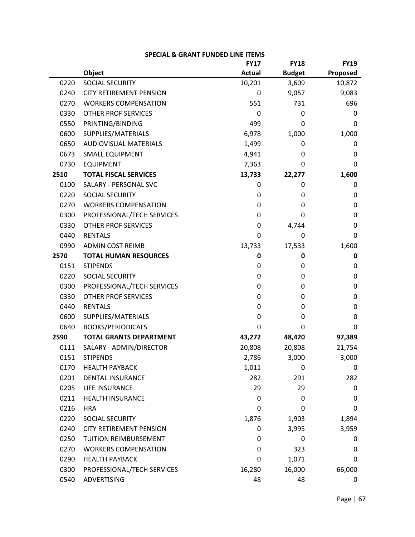|      |                                | <b>FY17</b>   | <b>FY18</b>   | <b>FY19</b> |
|------|--------------------------------|---------------|---------------|-------------|
|      | Object                         | <b>Actual</b> | <b>Budget</b> | Proposed    |
| 0220 | SOCIAL SECURITY                | 10,201        | 3,609         | 10,872      |
| 0240 | <b>CITY RETIREMENT PENSION</b> | 0             | 9,057         | 9,083       |
| 0270 | <b>WORKERS COMPENSATION</b>    | 551           | 731           | 696         |
| 0330 | <b>OTHER PROF SERVICES</b>     | 0             | 0             | 0           |
| 0550 | PRINTING/BINDING               | 499           | 0             | 0           |
| 0600 | SUPPLIES/MATERIALS             | 6,978         | 1,000         | 1,000       |
| 0650 | <b>AUDIOVISUAL MATERIALS</b>   | 1,499         | 0             | 0           |
| 0673 | <b>SMALL EQUIPMENT</b>         | 4,941         | 0             | 0           |
| 0730 | <b>EQUIPMENT</b>               | 7,363         | 0             | 0           |
| 2510 | <b>TOTAL FISCAL SERVICES</b>   | 13,733        | 22,277        | 1,600       |
| 0100 | SALARY - PERSONAL SVC          | 0             | 0             | 0           |
| 0220 | SOCIAL SECURITY                | 0             | 0             | 0           |
| 0270 | <b>WORKERS COMPENSATION</b>    | 0             | 0             | $\mathbf 0$ |
| 0300 | PROFESSIONAL/TECH SERVICES     | 0             | 0             | 0           |
| 0330 | <b>OTHER PROF SERVICES</b>     | 0             | 4,744         | $\mathbf 0$ |
| 0440 | <b>RENTALS</b>                 | 0             | 0             | 0           |
| 0990 | <b>ADMIN COST REIMB</b>        | 13,733        | 17,533        | 1,600       |
| 2570 | <b>TOTAL HUMAN RESOURCES</b>   | 0             | 0             | 0           |
| 0151 | <b>STIPENDS</b>                | 0             | 0             | $\mathbf 0$ |
| 0220 | SOCIAL SECURITY                | 0             | 0             | 0           |
| 0300 | PROFESSIONAL/TECH SERVICES     | 0             | 0             | $\mathbf 0$ |
| 0330 | <b>OTHER PROF SERVICES</b>     | 0             | 0             | 0           |
| 0440 | <b>RENTALS</b>                 | 0             | 0             | $\mathbf 0$ |
| 0600 | SUPPLIES/MATERIALS             | 0             | 0             | $\mathbf 0$ |
| 0640 | <b>BOOKS/PERIODICALS</b>       | 0             | 0             | 0           |
| 2590 | <b>TOTAL GRANTS DEPARTMENT</b> | 43,272        | 48,420        | 97,389      |
| 0111 | SALARY - ADMIN/DIRECTOR        | 20,808        | 20,808        | 21,754      |
| 0151 | <b>STIPENDS</b>                | 2,786         | 3,000         | 3,000       |
| 0170 | <b>HEALTH PAYBACK</b>          | 1,011         | 0             | 0           |
| 0201 | <b>DENTAL INSURANCE</b>        | 282           | 291           | 282         |
| 0205 | LIFE INSURANCE                 | 29            | 29            | 0           |
| 0211 | <b>HEALTH INSURANCE</b>        | 0             | 0             | 0           |
| 0216 | <b>HRA</b>                     | 0             | 0             | 0           |
| 0220 | SOCIAL SECURITY                | 1,876         | 1,903         | 1,894       |
| 0240 | <b>CITY RETIREMENT PENSION</b> | 0             | 3,995         | 3,959       |
| 0250 | TUITION REIMBURSEMENT          | 0             | 0             | 0           |
| 0270 | <b>WORKERS COMPENSATION</b>    | 0             | 323           | $\mathbf 0$ |
| 0290 | <b>HEALTH PAYBACK</b>          | 0             | 1,071         | 0           |
| 0300 | PROFESSIONAL/TECH SERVICES     | 16,280        | 16,000        | 66,000      |
| 0540 | ADVERTISING                    | 48            | 48            | 0           |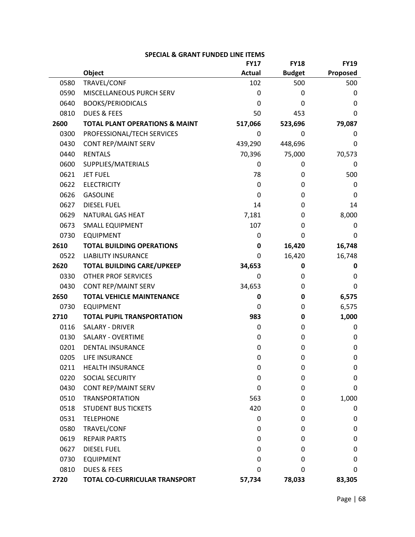|      |                                           | <b>FY17</b>   | <b>FY18</b>   | <b>FY19</b> |
|------|-------------------------------------------|---------------|---------------|-------------|
|      | Object                                    | <b>Actual</b> | <b>Budget</b> | Proposed    |
| 0580 | TRAVEL/CONF                               | 102           | 500           | 500         |
| 0590 | MISCELLANEOUS PURCH SERV                  | 0             | 0             | 0           |
| 0640 | <b>BOOKS/PERIODICALS</b>                  | 0             | 0             | 0           |
| 0810 | <b>DUES &amp; FEES</b>                    | 50            | 453           | 0           |
| 2600 | <b>TOTAL PLANT OPERATIONS &amp; MAINT</b> | 517,066       | 523,696       | 79,087      |
| 0300 | PROFESSIONAL/TECH SERVICES                | $\mathbf{0}$  | 0             | 0           |
| 0430 | CONT REP/MAINT SERV                       | 439,290       | 448,696       | 0           |
| 0440 | <b>RENTALS</b>                            | 70,396        | 75,000        | 70,573      |
| 0600 | SUPPLIES/MATERIALS                        | 0             | 0             | 0           |
| 0621 | <b>JET FUEL</b>                           | 78            | 0             | 500         |
| 0622 | <b>ELECTRICITY</b>                        | 0             | 0             | 0           |
| 0626 | <b>GASOLINE</b>                           | 0             | 0             | 0           |
| 0627 | <b>DIESEL FUEL</b>                        | 14            | 0             | 14          |
| 0629 | <b>NATURAL GAS HEAT</b>                   | 7,181         | 0             | 8,000       |
| 0673 | <b>SMALL EQUIPMENT</b>                    | 107           | 0             | 0           |
| 0730 | <b>EQUIPMENT</b>                          | 0             | 0             | 0           |
| 2610 | <b>TOTAL BUILDING OPERATIONS</b>          | 0             | 16,420        | 16,748      |
| 0522 | <b>LIABILITY INSURANCE</b>                | 0             | 16,420        | 16,748      |
| 2620 | <b>TOTAL BUILDING CARE/UPKEEP</b>         | 34,653        | 0             | 0           |
| 0330 | <b>OTHER PROF SERVICES</b>                | 0             | 0             | 0           |
| 0430 | <b>CONT REP/MAINT SERV</b>                | 34,653        | 0             | 0           |
| 2650 | <b>TOTAL VEHICLE MAINTENANCE</b>          | 0             | 0             | 6,575       |
| 0730 | <b>EQUIPMENT</b>                          | 0             | 0             | 6,575       |
| 2710 | <b>TOTAL PUPIL TRANSPORTATION</b>         | 983           | 0             | 1,000       |
| 0116 | SALARY - DRIVER                           | 0             | 0             | 0           |
| 0130 | <b>SALARY - OVERTIME</b>                  | 0             | 0             | 0           |
| 0201 | <b>DENTAL INSURANCE</b>                   | 0             | 0             | 0           |
| 0205 | LIFE INSURANCE                            | 0             | 0             | 0           |
| 0211 | <b>HEALTH INSURANCE</b>                   | 0             | 0             | 0           |
| 0220 | SOCIAL SECURITY                           | 0             | 0             | 0           |
| 0430 | CONT REP/MAINT SERV                       | 0             | 0             | 0           |
| 0510 | <b>TRANSPORTATION</b>                     | 563           | 0             | 1,000       |
| 0518 | <b>STUDENT BUS TICKETS</b>                | 420           | 0             | 0           |
| 0531 | <b>TELEPHONE</b>                          | 0             | 0             | 0           |
| 0580 | TRAVEL/CONF                               | 0             | 0             | 0           |
| 0619 | <b>REPAIR PARTS</b>                       | 0             | 0             | 0           |
| 0627 | <b>DIESEL FUEL</b>                        | 0             | 0             | 0           |
| 0730 | <b>EQUIPMENT</b>                          | 0             | 0             | 0           |
| 0810 | <b>DUES &amp; FEES</b>                    | 0             | 0             | 0           |
| 2720 | TOTAL CO-CURRICULAR TRANSPORT             | 57,734        | 78,033        | 83,305      |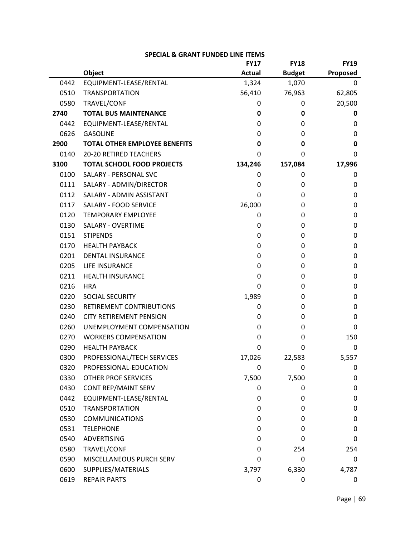|      |                                      | <b>FY17</b>   | <b>FY18</b>   | <b>FY19</b> |
|------|--------------------------------------|---------------|---------------|-------------|
|      | Object                               | <b>Actual</b> | <b>Budget</b> | Proposed    |
| 0442 | EQUIPMENT-LEASE/RENTAL               | 1,324         | 1,070         | 0           |
| 0510 | <b>TRANSPORTATION</b>                | 56,410        | 76,963        | 62,805      |
| 0580 | TRAVEL/CONF                          | 0             | 0             | 20,500      |
| 2740 | <b>TOTAL BUS MAINTENANCE</b>         | 0             | 0             | 0           |
| 0442 | EQUIPMENT-LEASE/RENTAL               | 0             | 0             | 0           |
| 0626 | <b>GASOLINE</b>                      | 0             | 0             | 0           |
| 2900 | <b>TOTAL OTHER EMPLOYEE BENEFITS</b> | 0             | 0             | 0           |
| 0140 | <b>20-20 RETIRED TEACHERS</b>        | 0             | 0             | 0           |
| 3100 | <b>TOTAL SCHOOL FOOD PROJECTS</b>    | 134,246       | 157,084       | 17,996      |
| 0100 | SALARY - PERSONAL SVC                | 0             | 0             | 0           |
| 0111 | SALARY - ADMIN/DIRECTOR              | 0             | 0             | 0           |
| 0112 | SALARY - ADMIN ASSISTANT             | 0             | 0             | 0           |
| 0117 | SALARY - FOOD SERVICE                | 26,000        | 0             | 0           |
| 0120 | <b>TEMPORARY EMPLOYEE</b>            | 0             | 0             | 0           |
| 0130 | <b>SALARY - OVERTIME</b>             | 0             | 0             | 0           |
| 0151 | <b>STIPENDS</b>                      | 0             | 0             | 0           |
| 0170 | <b>HEALTH PAYBACK</b>                | 0             | 0             | 0           |
| 0201 | <b>DENTAL INSURANCE</b>              | 0             | 0             | 0           |
| 0205 | LIFE INSURANCE                       | 0             | 0             | 0           |
| 0211 | <b>HEALTH INSURANCE</b>              | 0             | 0             | 0           |
| 0216 | <b>HRA</b>                           | 0             | 0             | 0           |
| 0220 | SOCIAL SECURITY                      | 1,989         | 0             | 0           |
| 0230 | RETIREMENT CONTRIBUTIONS             | 0             | 0             | 0           |
| 0240 | <b>CITY RETIREMENT PENSION</b>       | 0             | 0             | 0           |
| 0260 | UNEMPLOYMENT COMPENSATION            | 0             | 0             | 0           |
| 0270 | <b>WORKERS COMPENSATION</b>          | 0             | 0             | 150         |
| 0290 | <b>HEALTH PAYBACK</b>                | 0             | 0             | 0           |
| 0300 | PROFESSIONAL/TECH SERVICES           | 17,026        | 22,583        | 5,557       |
| 0320 | PROFESSIONAL-EDUCATION               | 0             | 0             | 0           |
| 0330 | <b>OTHER PROF SERVICES</b>           | 7,500         | 7,500         | 0           |
| 0430 | CONT REP/MAINT SERV                  | 0             | 0             | 0           |
| 0442 | EQUIPMENT-LEASE/RENTAL               | 0             | 0             | 0           |
| 0510 | <b>TRANSPORTATION</b>                | 0             | 0             | 0           |
| 0530 | <b>COMMUNICATIONS</b>                | 0             | 0             | 0           |
| 0531 | <b>TELEPHONE</b>                     | 0             | 0             | 0           |
| 0540 | <b>ADVERTISING</b>                   | 0             | 0             | 0           |
| 0580 | TRAVEL/CONF                          | 0             | 254           | 254         |
| 0590 | MISCELLANEOUS PURCH SERV             | 0             | 0             | 0           |
| 0600 | SUPPLIES/MATERIALS                   | 3,797         | 6,330         | 4,787       |
| 0619 | <b>REPAIR PARTS</b>                  | 0             | 0             | 0           |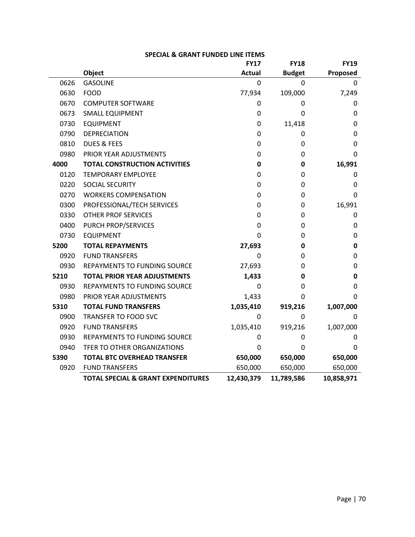|      |                                               | <b>FY17</b>   | <b>FY18</b>   | <b>FY19</b> |
|------|-----------------------------------------------|---------------|---------------|-------------|
|      | Object                                        | <b>Actual</b> | <b>Budget</b> | Proposed    |
| 0626 | <b>GASOLINE</b>                               | 0             | 0             | 0           |
| 0630 | <b>FOOD</b>                                   | 77,934        | 109,000       | 7,249       |
| 0670 | <b>COMPUTER SOFTWARE</b>                      | 0             | 0             | 0           |
| 0673 | SMALL EQUIPMENT                               | 0             | 0             | 0           |
| 0730 | <b>EQUIPMENT</b>                              | 0             | 11,418        | 0           |
| 0790 | <b>DEPRECIATION</b>                           | 0             | 0             | 0           |
| 0810 | <b>DUES &amp; FEES</b>                        | 0             | 0             | 0           |
| 0980 | PRIOR YEAR ADJUSTMENTS                        | 0             | 0             | 0           |
| 4000 | <b>TOTAL CONSTRUCTION ACTIVITIES</b>          | 0             | 0             | 16,991      |
| 0120 | <b>TEMPORARY EMPLOYEE</b>                     | 0             | 0             | 0           |
| 0220 | SOCIAL SECURITY                               | 0             | 0             | 0           |
| 0270 | <b>WORKERS COMPENSATION</b>                   | 0             | 0             | 0           |
| 0300 | PROFESSIONAL/TECH SERVICES                    | 0             | 0             | 16,991      |
| 0330 | <b>OTHER PROF SERVICES</b>                    | 0             | 0             | 0           |
| 0400 | PURCH PROP/SERVICES                           | 0             | 0             | 0           |
| 0730 | <b>EQUIPMENT</b>                              | 0             | 0             | 0           |
| 5200 | <b>TOTAL REPAYMENTS</b>                       | 27,693        | 0             | 0           |
| 0920 | <b>FUND TRANSFERS</b>                         | 0             | 0             | 0           |
| 0930 | REPAYMENTS TO FUNDING SOURCE                  | 27,693        | 0             | 0           |
| 5210 | <b>TOTAL PRIOR YEAR ADJUSTMENTS</b>           | 1,433         | 0             | 0           |
| 0930 | <b>REPAYMENTS TO FUNDING SOURCE</b>           | 0             | 0             | 0           |
| 0980 | PRIOR YEAR ADJUSTMENTS                        | 1,433         | 0             | 0           |
| 5310 | <b>TOTAL FUND TRANSFERS</b>                   | 1,035,410     | 919,216       | 1,007,000   |
| 0900 | TRANSFER TO FOOD SVC                          | 0             | 0             | 0           |
| 0920 | <b>FUND TRANSFERS</b>                         | 1,035,410     | 919,216       | 1,007,000   |
| 0930 | REPAYMENTS TO FUNDING SOURCE                  | 0             | 0             | 0           |
| 0940 | TFER TO OTHER ORGANIZATIONS                   | 0             | 0             | 0           |
| 5390 | <b>TOTAL BTC OVERHEAD TRANSFER</b>            | 650,000       | 650,000       | 650,000     |
| 0920 | <b>FUND TRANSFERS</b>                         | 650,000       | 650,000       | 650,000     |
|      | <b>TOTAL SPECIAL &amp; GRANT EXPENDITURES</b> | 12,430,379    | 11,789,586    | 10,858,971  |

#### **SPECIAL & GRANT FUNDED LINE ITEMS**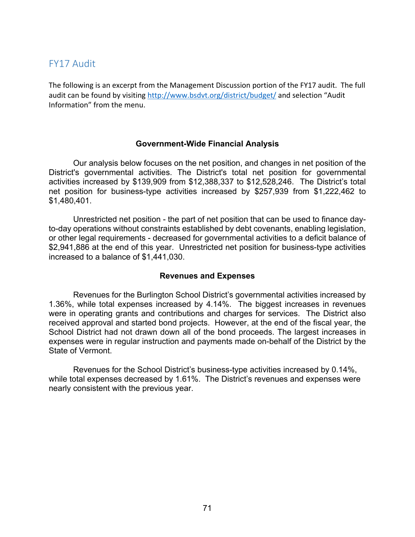# FY17 Audit

The following is an excerpt from the Management Discussion portion of the FY17 audit. The full audit can be found by visiting http://www.bsdvt.org/district/budget/ and selection "Audit Information" from the menu.

### **Government-Wide Financial Analysis**

Our analysis below focuses on the net position, and changes in net position of the District's governmental activities. The District's total net position for governmental activities increased by \$139,909 from \$12,388,337 to \$12,528,246. The District's total net position for business-type activities increased by \$257,939 from \$1,222,462 to \$1,480,401.

Unrestricted net position - the part of net position that can be used to finance dayto-day operations without constraints established by debt covenants, enabling legislation, or other legal requirements - decreased for governmental activities to a deficit balance of \$2,941,886 at the end of this year. Unrestricted net position for business-type activities increased to a balance of \$1,441,030.

### **Revenues and Expenses**

Revenues for the Burlington School District's governmental activities increased by 1.36%, while total expenses increased by 4.14%. The biggest increases in revenues were in operating grants and contributions and charges for services. The District also received approval and started bond projects. However, at the end of the fiscal year, the School District had not drawn down all of the bond proceeds. The largest increases in expenses were in regular instruction and payments made on-behalf of the District by the State of Vermont.

 Revenues for the School District's business-type activities increased by 0.14%, while total expenses decreased by 1.61%. The District's revenues and expenses were nearly consistent with the previous year.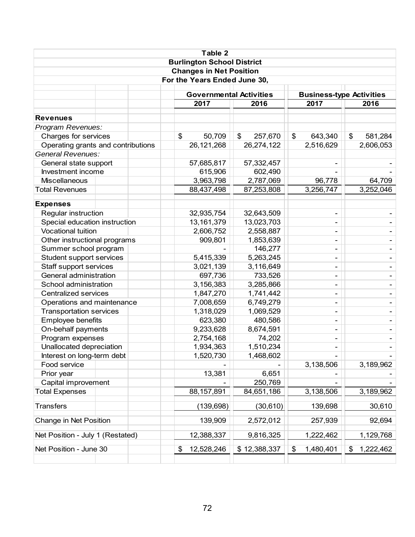|                                                                |  |  |         | Table 2                        |                           |                           |                                 |        |           |
|----------------------------------------------------------------|--|--|---------|--------------------------------|---------------------------|---------------------------|---------------------------------|--------|-----------|
| <b>Burlington School District</b>                              |  |  |         |                                |                           |                           |                                 |        |           |
| <b>Changes in Net Position</b><br>For the Years Ended June 30, |  |  |         |                                |                           |                           |                                 |        |           |
|                                                                |  |  |         |                                |                           |                           |                                 |        |           |
|                                                                |  |  |         | <b>Governmental Activities</b> |                           |                           | <b>Business-type Activities</b> |        |           |
|                                                                |  |  |         | 2017                           | 2016                      |                           | 2017                            |        | 2016      |
| <b>Revenues</b>                                                |  |  |         |                                |                           |                           |                                 |        |           |
| Program Revenues:                                              |  |  |         |                                |                           |                           |                                 |        |           |
| Charges for services                                           |  |  | \$      | 50,709                         | $\mathfrak{S}$<br>257,670 | $\boldsymbol{\mathsf{S}}$ | 643,340                         | \$     | 581,284   |
| Operating grants and contributions                             |  |  |         | 26, 121, 268                   | 26,274,122                |                           | 2,516,629                       |        | 2,606,053 |
| <b>General Revenues:</b>                                       |  |  |         |                                |                           |                           |                                 |        |           |
| General state support                                          |  |  |         | 57,685,817                     | 57,332,457                |                           |                                 |        |           |
| Investment income                                              |  |  |         | 615,906                        | 602,490                   |                           |                                 |        |           |
| <b>Miscellaneous</b>                                           |  |  |         | 3,963,798                      | 2,787,069                 |                           | 96,778                          |        | 64,709    |
| <b>Total Revenues</b>                                          |  |  |         | 88,437,498                     | 87,253,808                |                           | 3,256,747                       |        | 3,252,046 |
| <b>Expenses</b>                                                |  |  |         |                                |                           |                           |                                 |        |           |
| Regular instruction                                            |  |  |         | 32,935,754                     | 32,643,509                |                           | $\overline{\phantom{a}}$        |        |           |
| Special education instruction                                  |  |  |         | 13, 161, 379                   | 13,023,703                |                           | $\blacksquare$                  |        |           |
| <b>Vocational tuition</b>                                      |  |  |         | 2,606,752                      | 2,558,887                 |                           |                                 |        |           |
| Other instructional programs                                   |  |  |         | 909,801                        | 1,853,639                 |                           | $\overline{\phantom{a}}$        |        |           |
| Summer school program                                          |  |  |         | 146,277                        |                           |                           |                                 |        |           |
| Student support services                                       |  |  |         | 5,415,339                      | 5,263,245                 |                           |                                 |        |           |
| Staff support services                                         |  |  |         | 3,021,139                      | 3,116,649                 |                           | $\blacksquare$                  |        |           |
| General administration                                         |  |  |         | 697,736                        | 733,526                   |                           | $\blacksquare$                  |        |           |
| School administration                                          |  |  |         | 3,156,383                      | 3,285,866                 |                           | $\blacksquare$                  |        |           |
| <b>Centralized services</b>                                    |  |  |         | 1,847,270                      | 1,741,442                 |                           | -                               |        |           |
| Operations and maintenance                                     |  |  |         | 7,008,659                      | 6,749,279                 |                           |                                 |        |           |
| <b>Transportation services</b>                                 |  |  |         | 1,318,029                      | 1,069,529                 |                           | $\blacksquare$                  |        |           |
| Employee benefits                                              |  |  |         | 623,380                        | 480,586                   |                           | $\blacksquare$                  |        |           |
| On-behalf payments                                             |  |  |         | 9,233,628                      | 8,674,591                 |                           |                                 |        |           |
| Program expenses                                               |  |  |         | 2,754,168                      | 74,202                    |                           | $\overline{\phantom{a}}$        |        |           |
| Unallocated depreciation                                       |  |  |         | 1,934,363                      | 1,510,234                 |                           |                                 |        |           |
| Interest on long-term debt                                     |  |  |         | 1,520,730                      | 1,468,602                 |                           |                                 |        |           |
| Food service                                                   |  |  |         |                                |                           |                           | 3,138,506                       |        | 3,189,962 |
| Prior year                                                     |  |  |         | 13,381                         | 6,651                     |                           |                                 |        |           |
| Capital improvement                                            |  |  |         |                                | 250,769                   |                           |                                 |        |           |
| <b>Total Expenses</b>                                          |  |  |         | 88,157,891                     | 84,651,186                |                           | 3,138,506                       |        | 3,189,962 |
| <b>Transfers</b>                                               |  |  |         | (139, 698)                     | (30, 610)                 |                           | 139,698                         |        | 30,610    |
| Change in Net Position                                         |  |  | 139,909 | 2,572,012                      |                           | 257,939                   |                                 | 92,694 |           |
| Net Position - July 1 (Restated)                               |  |  |         | 12,388,337                     | 9,816,325                 |                           | 1,222,462                       |        | 1,129,768 |
| Net Position - June 30                                         |  |  | \$      | 12,528,246                     | \$12,388,337              | \$                        | 1,480,401                       | \$     | 1,222,462 |
|                                                                |  |  |         |                                |                           |                           |                                 |        |           |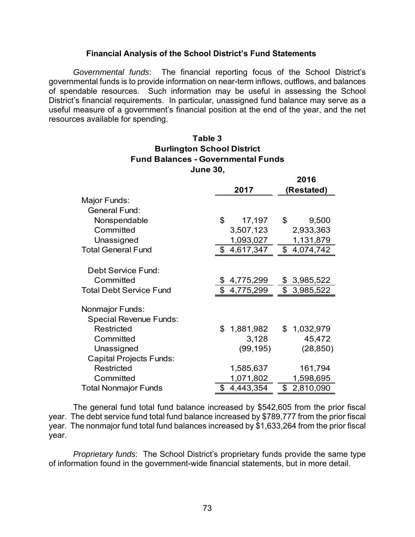### **Financial Analysis of the School District's Fund Statements**

*Governmental funds*: The financial reporting focus of the School District's governmental funds is to provide information on near-term inflows, outflows, and balances of spendable resources. Such information may be useful in assessing the School District's financial requirements. In particular, unassigned fund balance may serve as a useful measure of a government's financial position at the end of the year, and the net resources available for spending.

### **June 30, Fund Balances - Governmental Funds Burlington School District Table 3**

**2016**

|                                |                 | ZUIU                        |  |  |
|--------------------------------|-----------------|-----------------------------|--|--|
|                                | 2017            | (Restated)                  |  |  |
| Major Funds:                   |                 |                             |  |  |
| <b>General Fund:</b>           |                 |                             |  |  |
| Nonspendable                   | \$<br>17,197    | \$<br>9,500                 |  |  |
| Committed                      | 3,507,123       | 2,933,363                   |  |  |
| Unassigned                     | 1,093,027       | 1,131,879                   |  |  |
| <b>Total General Fund</b>      | \$4,617,347     | 4,074,742<br>$\mathfrak{L}$ |  |  |
|                                |                 |                             |  |  |
| Debt Service Fund:             |                 |                             |  |  |
| Committed                      | 4,775,299       | \$3,985,522                 |  |  |
| <b>Total Debt Service Fund</b> | \$4,775,299     | \$3,985,522                 |  |  |
| <b>Nonmajor Funds:</b>         |                 |                             |  |  |
| <b>Special Revenue Funds:</b>  |                 |                             |  |  |
| Restricted                     | 1,881,982<br>\$ | \$1,032,979                 |  |  |
| Committed                      | 3,128           | 45,472                      |  |  |
| Unassigned                     | (99, 195)       | (28, 850)                   |  |  |
| <b>Capital Projects Funds:</b> |                 |                             |  |  |
| Restricted                     | 1,585,637       | 161,794                     |  |  |
| Committed                      | 1,071,802       | 1,598,695                   |  |  |
| <b>Total Nonmajor Funds</b>    | 4,443,354<br>\$ | 2,810,090<br>\$             |  |  |

The general fund total fund balance increased by \$542,605 from the prior fiscal year. The debt service fund total fund balance increased by \$789,777 from the prior fiscal year. The nonmajor fund total fund balances increased by \$1,633,264 from the prior fiscal year.

*Proprietary funds*: The School District's proprietary funds provide the same type of information found in the government-wide financial statements, but in more detail.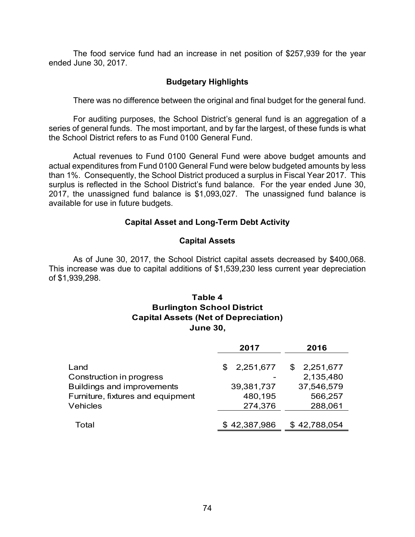The food service fund had an increase in net position of \$257,939 for the year ended June 30, 2017.

### **Budgetary Highlights**

There was no difference between the original and final budget for the general fund.

 For auditing purposes, the School District's general fund is an aggregation of a series of general funds. The most important, and by far the largest, of these funds is what the School District refers to as Fund 0100 General Fund.

 Actual revenues to Fund 0100 General Fund were above budget amounts and actual expenditures from Fund 0100 General Fund were below budgeted amounts by less than 1%. Consequently, the School District produced a surplus in Fiscal Year 2017. This surplus is reflected in the School District's fund balance. For the year ended June 30, 2017, the unassigned fund balance is \$1,093,027. The unassigned fund balance is available for use in future budgets.

### **Capital Asset and Long-Term Debt Activity**

### **Capital Assets**

 As of June 30, 2017, the School District capital assets decreased by \$400,068. This increase was due to capital additions of \$1,539,230 less current year depreciation of \$1,939,298.

## **Table 4 Burlington School District Capital Assets (Net of Depreciation) June 30,**

|                                   | 2017         | 2016            |
|-----------------------------------|--------------|-----------------|
| Land                              | \$2,251,677  | 2,251,677<br>S. |
| Construction in progress          |              | 2,135,480       |
| <b>Buildings and improvements</b> | 39,381,737   | 37,546,579      |
| Furniture, fixtures and equipment | 480,195      | 566,257         |
| <b>Vehicles</b>                   | 274,376      | 288,061         |
|                                   |              |                 |
| Total                             | \$42,387,986 | \$42,788,054    |